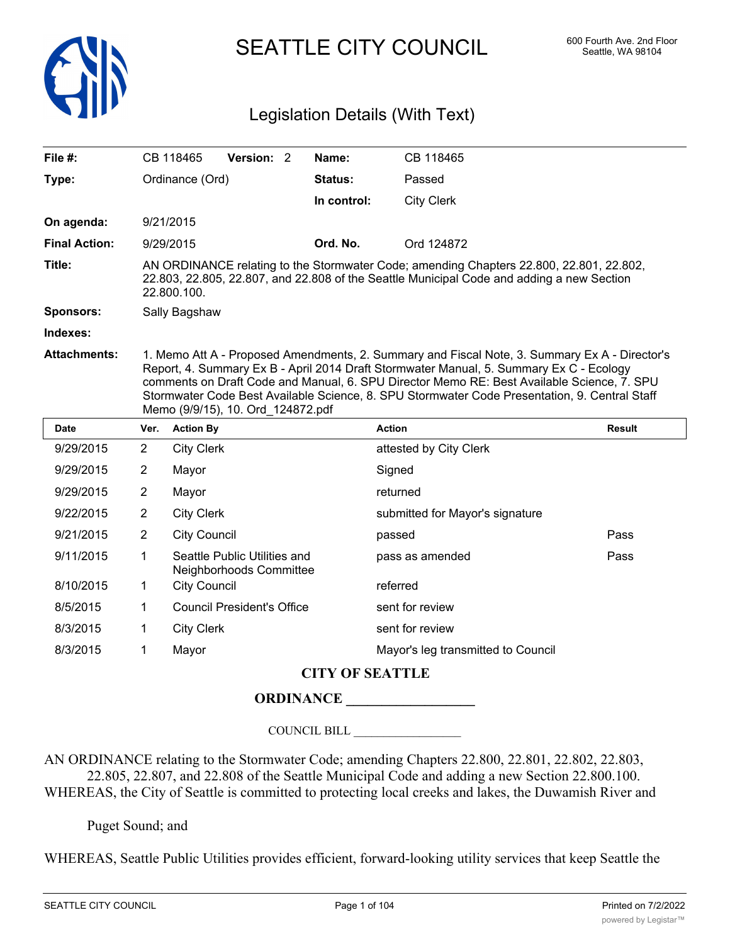

SEATTLE CITY COUNCIL 600 Fourth Ave. 2nd Floor

# Legislation Details (With Text)

| File $#$ :           |                                                                                                                                                                                                                                                                                                                                                                                                                              | CB 118465                                               | Version: 2 |  | Name:                  | CB 118465                          |               |  |
|----------------------|------------------------------------------------------------------------------------------------------------------------------------------------------------------------------------------------------------------------------------------------------------------------------------------------------------------------------------------------------------------------------------------------------------------------------|---------------------------------------------------------|------------|--|------------------------|------------------------------------|---------------|--|
| Type:                | Ordinance (Ord)                                                                                                                                                                                                                                                                                                                                                                                                              |                                                         |            |  | Status:                | Passed                             |               |  |
|                      |                                                                                                                                                                                                                                                                                                                                                                                                                              |                                                         |            |  | In control:            | <b>City Clerk</b>                  |               |  |
| On agenda:           |                                                                                                                                                                                                                                                                                                                                                                                                                              | 9/21/2015                                               |            |  |                        |                                    |               |  |
| <b>Final Action:</b> |                                                                                                                                                                                                                                                                                                                                                                                                                              | 9/29/2015                                               |            |  |                        | Ord 124872                         |               |  |
| Title:               | AN ORDINANCE relating to the Stormwater Code; amending Chapters 22.800, 22.801, 22.802,<br>22.803, 22.805, 22.807, and 22.808 of the Seattle Municipal Code and adding a new Section<br>22.800.100.                                                                                                                                                                                                                          |                                                         |            |  |                        |                                    |               |  |
| Sponsors:            | Sally Bagshaw                                                                                                                                                                                                                                                                                                                                                                                                                |                                                         |            |  |                        |                                    |               |  |
| Indexes:             |                                                                                                                                                                                                                                                                                                                                                                                                                              |                                                         |            |  |                        |                                    |               |  |
| <b>Attachments:</b>  | 1. Memo Att A - Proposed Amendments, 2. Summary and Fiscal Note, 3. Summary Ex A - Director's<br>Report, 4. Summary Ex B - April 2014 Draft Stormwater Manual, 5. Summary Ex C - Ecology<br>comments on Draft Code and Manual, 6. SPU Director Memo RE: Best Available Science, 7. SPU<br>Stormwater Code Best Available Science, 8. SPU Stormwater Code Presentation, 9. Central Staff<br>Memo (9/9/15), 10. Ord 124872.pdf |                                                         |            |  |                        |                                    |               |  |
| <b>Date</b>          | Ver.                                                                                                                                                                                                                                                                                                                                                                                                                         | <b>Action By</b>                                        |            |  |                        | <b>Action</b>                      | <b>Result</b> |  |
| 9/29/2015            | $\overline{2}$                                                                                                                                                                                                                                                                                                                                                                                                               | <b>City Clerk</b>                                       |            |  |                        | attested by City Clerk             |               |  |
| 9/29/2015            | 2                                                                                                                                                                                                                                                                                                                                                                                                                            | Mayor                                                   |            |  |                        | Signed                             |               |  |
| 9/29/2015            | $\overline{2}$                                                                                                                                                                                                                                                                                                                                                                                                               | Mayor                                                   |            |  |                        | returned                           |               |  |
| 9/22/2015            | $\overline{2}$                                                                                                                                                                                                                                                                                                                                                                                                               | <b>City Clerk</b><br>submitted for Mayor's signature    |            |  |                        |                                    |               |  |
| 9/21/2015            | $\overline{2}$                                                                                                                                                                                                                                                                                                                                                                                                               | <b>City Council</b>                                     |            |  |                        | passed                             | Pass          |  |
| 9/11/2015            | 1                                                                                                                                                                                                                                                                                                                                                                                                                            | Seattle Public Utilities and<br>Neighborhoods Committee |            |  | pass as amended        | Pass                               |               |  |
| 8/10/2015            | 1                                                                                                                                                                                                                                                                                                                                                                                                                            | <b>City Council</b>                                     |            |  | referred               |                                    |               |  |
| 8/5/2015             | 1                                                                                                                                                                                                                                                                                                                                                                                                                            | <b>Council President's Office</b>                       |            |  | sent for review        |                                    |               |  |
| 8/3/2015             | 1                                                                                                                                                                                                                                                                                                                                                                                                                            | <b>City Clerk</b><br>sent for review                    |            |  |                        |                                    |               |  |
| 8/3/2015             | 1                                                                                                                                                                                                                                                                                                                                                                                                                            | Mayor                                                   |            |  |                        | Mayor's leg transmitted to Council |               |  |
|                      |                                                                                                                                                                                                                                                                                                                                                                                                                              |                                                         |            |  | <b>CITY OF SEATTLE</b> |                                    |               |  |

# **ORDINANCE \_\_\_\_\_\_\_\_\_\_\_\_\_\_\_\_\_\_**

COUNCIL BILL \_\_\_\_\_\_\_\_\_\_\_\_\_\_\_\_\_\_

AN ORDINANCE relating to the Stormwater Code; amending Chapters 22.800, 22.801, 22.802, 22.803, 22.805, 22.807, and 22.808 of the Seattle Municipal Code and adding a new Section 22.800.100. WHEREAS, the City of Seattle is committed to protecting local creeks and lakes, the Duwamish River and

Puget Sound; and

WHEREAS, Seattle Public Utilities provides efficient, forward-looking utility services that keep Seattle the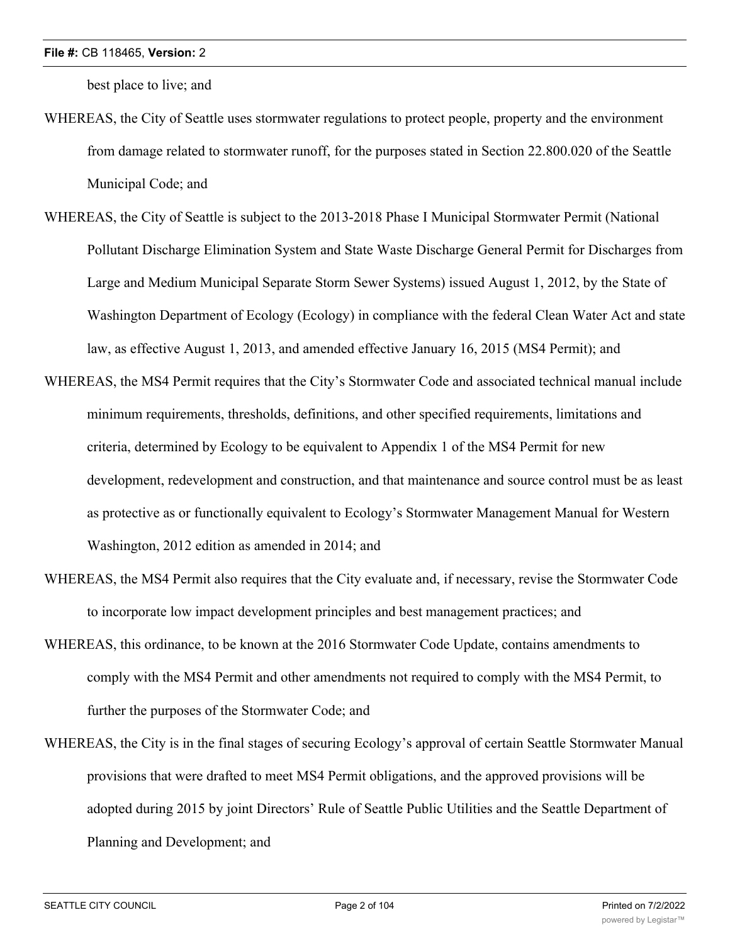best place to live; and

- WHEREAS, the City of Seattle uses stormwater regulations to protect people, property and the environment from damage related to stormwater runoff, for the purposes stated in Section 22.800.020 of the Seattle Municipal Code; and
- WHEREAS, the City of Seattle is subject to the 2013-2018 Phase I Municipal Stormwater Permit (National Pollutant Discharge Elimination System and State Waste Discharge General Permit for Discharges from Large and Medium Municipal Separate Storm Sewer Systems) issued August 1, 2012, by the State of Washington Department of Ecology (Ecology) in compliance with the federal Clean Water Act and state law, as effective August 1, 2013, and amended effective January 16, 2015 (MS4 Permit); and
- WHEREAS, the MS4 Permit requires that the City's Stormwater Code and associated technical manual include minimum requirements, thresholds, definitions, and other specified requirements, limitations and criteria, determined by Ecology to be equivalent to Appendix 1 of the MS4 Permit for new development, redevelopment and construction, and that maintenance and source control must be as least as protective as or functionally equivalent to Ecology's Stormwater Management Manual for Western Washington, 2012 edition as amended in 2014; and
- WHEREAS, the MS4 Permit also requires that the City evaluate and, if necessary, revise the Stormwater Code to incorporate low impact development principles and best management practices; and
- WHEREAS, this ordinance, to be known at the 2016 Stormwater Code Update, contains amendments to comply with the MS4 Permit and other amendments not required to comply with the MS4 Permit, to further the purposes of the Stormwater Code; and
- WHEREAS, the City is in the final stages of securing Ecology's approval of certain Seattle Stormwater Manual provisions that were drafted to meet MS4 Permit obligations, and the approved provisions will be adopted during 2015 by joint Directors' Rule of Seattle Public Utilities and the Seattle Department of Planning and Development; and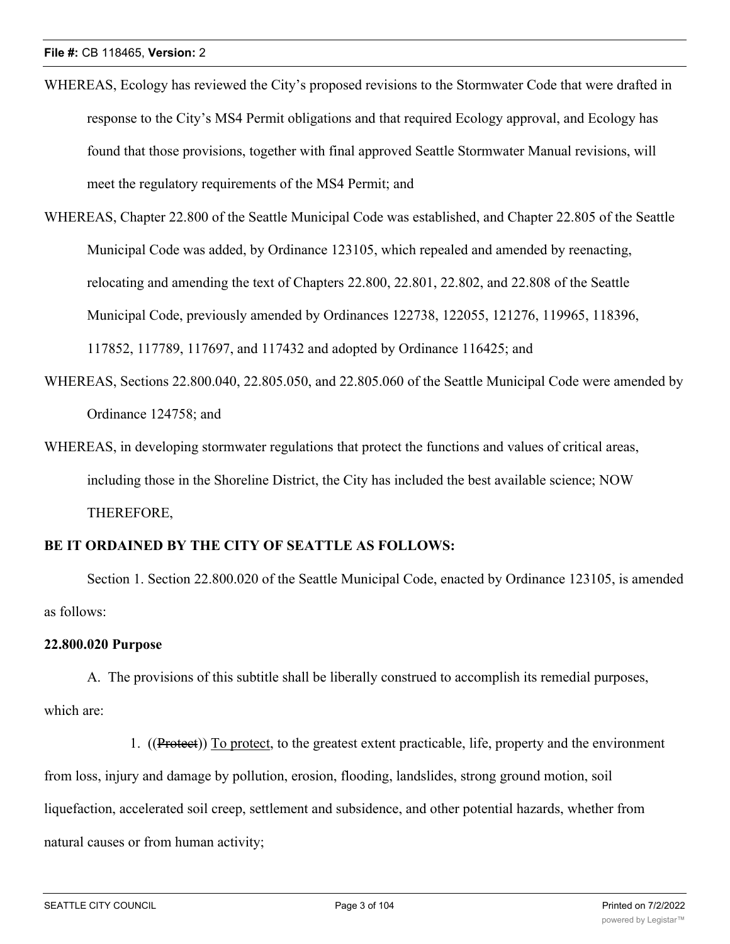- WHEREAS, Ecology has reviewed the City's proposed revisions to the Stormwater Code that were drafted in response to the City's MS4 Permit obligations and that required Ecology approval, and Ecology has found that those provisions, together with final approved Seattle Stormwater Manual revisions, will meet the regulatory requirements of the MS4 Permit; and
- WHEREAS, Chapter 22.800 of the Seattle Municipal Code was established, and Chapter 22.805 of the Seattle Municipal Code was added, by Ordinance 123105, which repealed and amended by reenacting, relocating and amending the text of Chapters 22.800, 22.801, 22.802, and 22.808 of the Seattle Municipal Code, previously amended by Ordinances 122738, 122055, 121276, 119965, 118396, 117852, 117789, 117697, and 117432 and adopted by Ordinance 116425; and
- WHEREAS, Sections 22.800.040, 22.805.050, and 22.805.060 of the Seattle Municipal Code were amended by Ordinance 124758; and
- WHEREAS, in developing stormwater regulations that protect the functions and values of critical areas, including those in the Shoreline District, the City has included the best available science; NOW THEREFORE,

# **BE IT ORDAINED BY THE CITY OF SEATTLE AS FOLLOWS:**

Section 1. Section 22.800.020 of the Seattle Municipal Code, enacted by Ordinance 123105, is amended as follows:

# **22.800.020 Purpose**

A. The provisions of this subtitle shall be liberally construed to accomplish its remedial purposes, which are:

1. ((Protect)) To protect, to the greatest extent practicable, life, property and the environment from loss, injury and damage by pollution, erosion, flooding, landslides, strong ground motion, soil liquefaction, accelerated soil creep, settlement and subsidence, and other potential hazards, whether from natural causes or from human activity;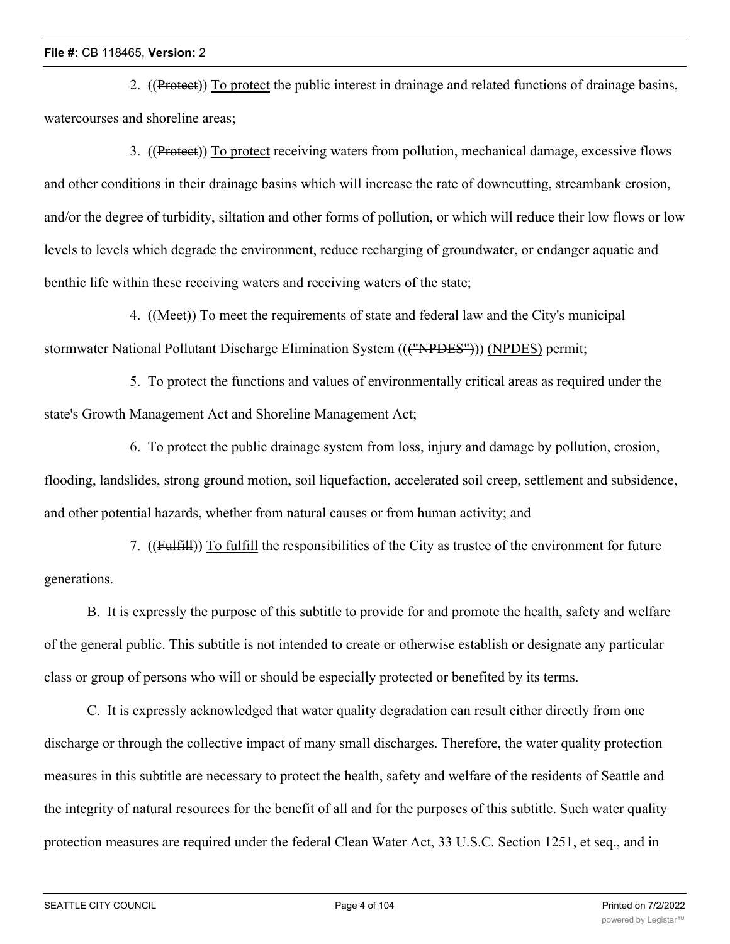2. ((Protect)) To protect the public interest in drainage and related functions of drainage basins, watercourses and shoreline areas;

3. ((Protect)) To protect receiving waters from pollution, mechanical damage, excessive flows and other conditions in their drainage basins which will increase the rate of downcutting, streambank erosion, and/or the degree of turbidity, siltation and other forms of pollution, or which will reduce their low flows or low levels to levels which degrade the environment, reduce recharging of groundwater, or endanger aquatic and benthic life within these receiving waters and receiving waters of the state;

4. ((Meet)) To meet the requirements of state and federal law and the City's municipal stormwater National Pollutant Discharge Elimination System ((("NPDES"))) (NPDES) permit;

5. To protect the functions and values of environmentally critical areas as required under the state's Growth Management Act and Shoreline Management Act;

6. To protect the public drainage system from loss, injury and damage by pollution, erosion, flooding, landslides, strong ground motion, soil liquefaction, accelerated soil creep, settlement and subsidence, and other potential hazards, whether from natural causes or from human activity; and

7. ((Fulfill)) To fulfill the responsibilities of the City as trustee of the environment for future generations.

B. It is expressly the purpose of this subtitle to provide for and promote the health, safety and welfare of the general public. This subtitle is not intended to create or otherwise establish or designate any particular class or group of persons who will or should be especially protected or benefited by its terms.

C. It is expressly acknowledged that water quality degradation can result either directly from one discharge or through the collective impact of many small discharges. Therefore, the water quality protection measures in this subtitle are necessary to protect the health, safety and welfare of the residents of Seattle and the integrity of natural resources for the benefit of all and for the purposes of this subtitle. Such water quality protection measures are required under the federal Clean Water Act, 33 U.S.C. Section 1251, et seq., and in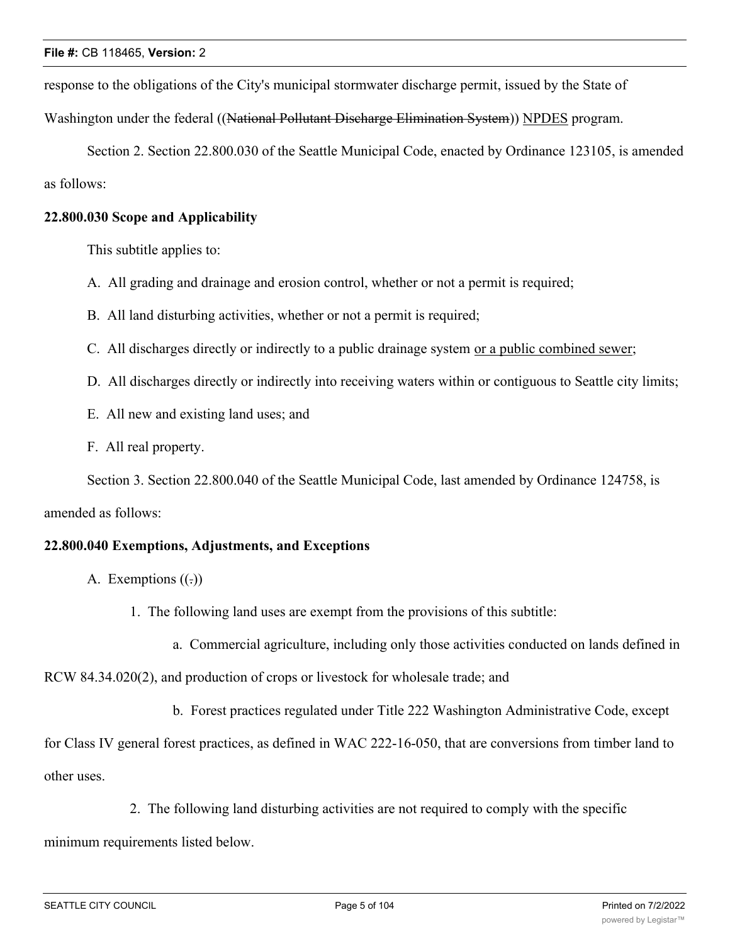response to the obligations of the City's municipal stormwater discharge permit, issued by the State of

Washington under the federal ((National Pollutant Discharge Elimination System)) NPDES program.

Section 2. Section 22.800.030 of the Seattle Municipal Code, enacted by Ordinance 123105, is amended as follows:

# **22.800.030 Scope and Applicability**

This subtitle applies to:

- A. All grading and drainage and erosion control, whether or not a permit is required;
- B. All land disturbing activities, whether or not a permit is required;
- C. All discharges directly or indirectly to a public drainage system or a public combined sewer;
- D. All discharges directly or indirectly into receiving waters within or contiguous to Seattle city limits;
- E. All new and existing land uses; and
- F. All real property.

Section 3. Section 22.800.040 of the Seattle Municipal Code, last amended by Ordinance 124758, is

# amended as follows:

# **22.800.040 Exemptions, Adjustments, and Exceptions**

- A. Exemptions  $((.)$ 
	- 1. The following land uses are exempt from the provisions of this subtitle:
		- a. Commercial agriculture, including only those activities conducted on lands defined in

RCW 84.34.020(2), and production of crops or livestock for wholesale trade; and

b. Forest practices regulated under Title 222 Washington Administrative Code, except

for Class IV general forest practices, as defined in WAC 222-16-050, that are conversions from timber land to other uses.

2. The following land disturbing activities are not required to comply with the specific

minimum requirements listed below.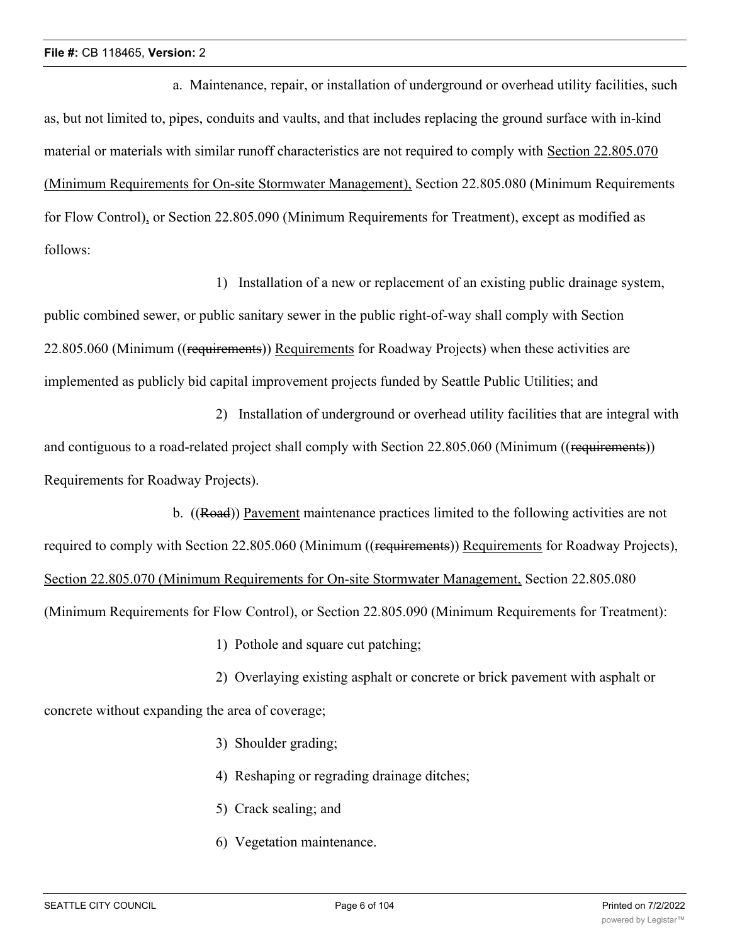a. Maintenance, repair, or installation of underground or overhead utility facilities, such as, but not limited to, pipes, conduits and vaults, and that includes replacing the ground surface with in-kind material or materials with similar runoff characteristics are not required to comply with Section 22.805.070 (Minimum Requirements for On-site Stormwater Management), Section 22.805.080 (Minimum Requirements for Flow Control), or Section 22.805.090 (Minimum Requirements for Treatment), except as modified as follows:

1) Installation of a new or replacement of an existing public drainage system, public combined sewer, or public sanitary sewer in the public right-of-way shall comply with Section 22.805.060 (Minimum ((requirements)) Requirements for Roadway Projects) when these activities are implemented as publicly bid capital improvement projects funded by Seattle Public Utilities; and

2) Installation of underground or overhead utility facilities that are integral with and contiguous to a road-related project shall comply with Section 22.805.060 (Minimum ((requirements)) Requirements for Roadway Projects).

b. ((Road)) Pavement maintenance practices limited to the following activities are not required to comply with Section 22.805.060 (Minimum ((requirements)) Requirements for Roadway Projects), Section 22.805.070 (Minimum Requirements for On-site Stormwater Management, Section 22.805.080 (Minimum Requirements for Flow Control), or Section 22.805.090 (Minimum Requirements for Treatment):

1) Pothole and square cut patching;

2) Overlaying existing asphalt or concrete or brick pavement with asphalt or concrete without expanding the area of coverage;

- 3) Shoulder grading;
- 4) Reshaping or regrading drainage ditches;
- 5) Crack sealing; and
- 6) Vegetation maintenance.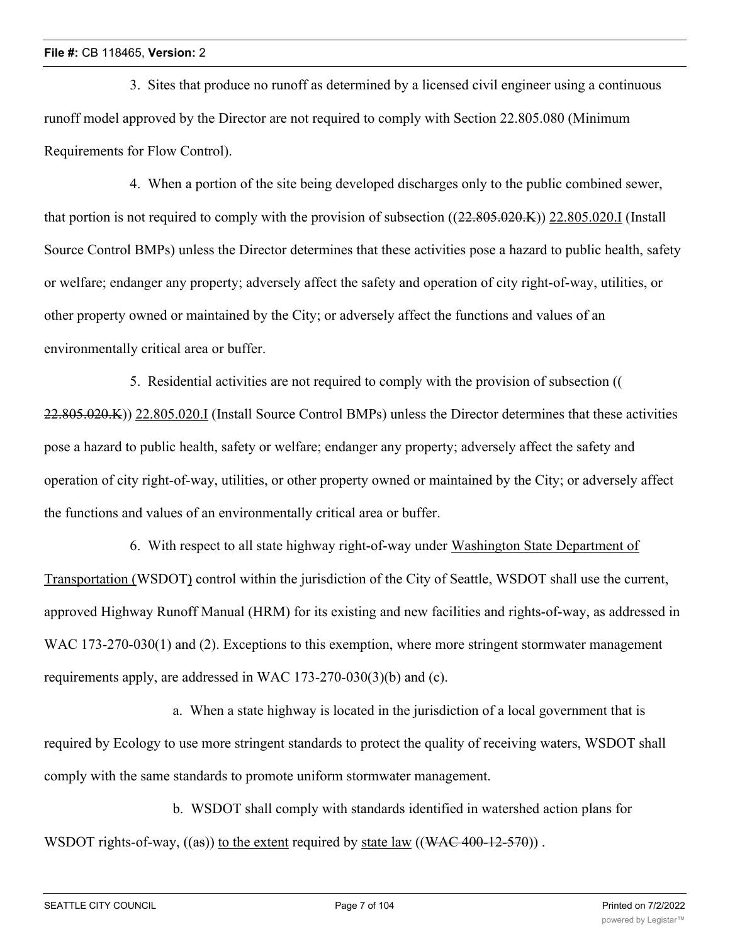3. Sites that produce no runoff as determined by a licensed civil engineer using a continuous runoff model approved by the Director are not required to comply with Section 22.805.080 (Minimum Requirements for Flow Control).

4. When a portion of the site being developed discharges only to the public combined sewer, that portion is not required to comply with the provision of subsection  $((22.805.020.K))$  22.805.020.I (Install Source Control BMPs) unless the Director determines that these activities pose a hazard to public health, safety or welfare; endanger any property; adversely affect the safety and operation of city right-of-way, utilities, or other property owned or maintained by the City; or adversely affect the functions and values of an environmentally critical area or buffer.

5. Residential activities are not required to comply with the provision of subsection (( 22.805.020.K)) 22.805.020.I (Install Source Control BMPs) unless the Director determines that these activities pose a hazard to public health, safety or welfare; endanger any property; adversely affect the safety and operation of city right-of-way, utilities, or other property owned or maintained by the City; or adversely affect the functions and values of an environmentally critical area or buffer.

6. With respect to all state highway right-of-way under Washington State Department of Transportation (WSDOT) control within the jurisdiction of the City of Seattle, WSDOT shall use the current, approved Highway Runoff Manual (HRM) for its existing and new facilities and rights-of-way, as addressed in WAC 173-270-030(1) and (2). Exceptions to this exemption, where more stringent stormwater management requirements apply, are addressed in WAC 173-270-030(3)(b) and (c).

a. When a state highway is located in the jurisdiction of a local government that is required by Ecology to use more stringent standards to protect the quality of receiving waters, WSDOT shall comply with the same standards to promote uniform stormwater management.

b. WSDOT shall comply with standards identified in watershed action plans for WSDOT rights-of-way,  $((as))$  to the extent required by state law  $((WAC 400-12-570))$ .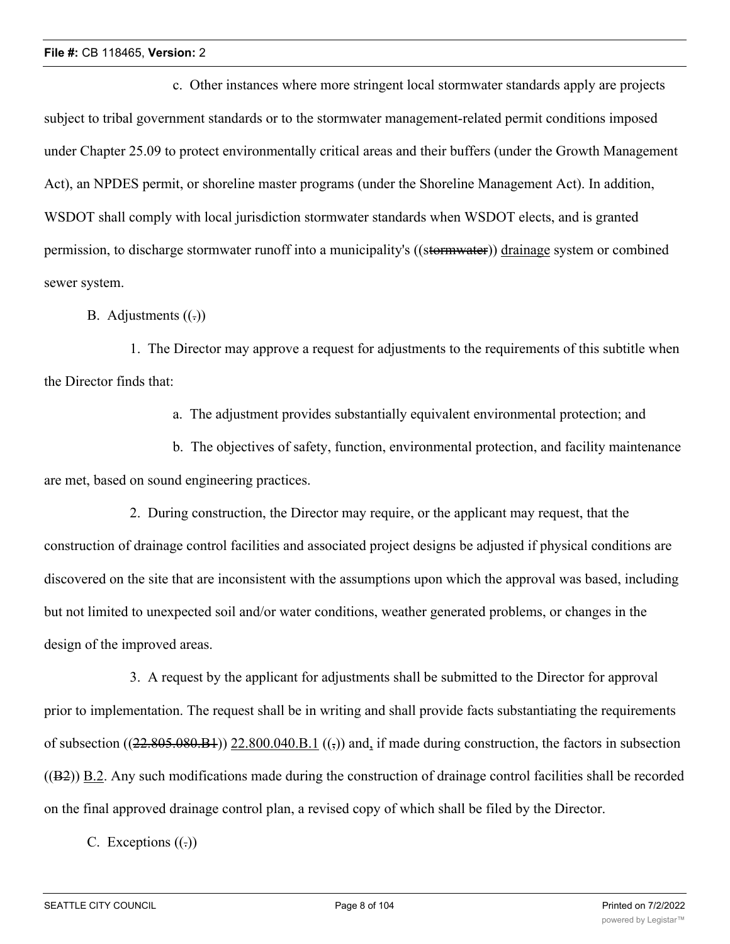c. Other instances where more stringent local stormwater standards apply are projects subject to tribal government standards or to the stormwater management-related permit conditions imposed under Chapter 25.09 to protect environmentally critical areas and their buffers (under the Growth Management Act), an NPDES permit, or shoreline master programs (under the Shoreline Management Act). In addition, WSDOT shall comply with local jurisdiction stormwater standards when WSDOT elects, and is granted permission, to discharge stormwater runoff into a municipality's ((stormwater)) drainage system or combined sewer system.

B. Adjustments  $((.)$ 

1. The Director may approve a request for adjustments to the requirements of this subtitle when the Director finds that:

a. The adjustment provides substantially equivalent environmental protection; and

b. The objectives of safety, function, environmental protection, and facility maintenance are met, based on sound engineering practices.

2. During construction, the Director may require, or the applicant may request, that the construction of drainage control facilities and associated project designs be adjusted if physical conditions are discovered on the site that are inconsistent with the assumptions upon which the approval was based, including but not limited to unexpected soil and/or water conditions, weather generated problems, or changes in the design of the improved areas.

3. A request by the applicant for adjustments shall be submitted to the Director for approval prior to implementation. The request shall be in writing and shall provide facts substantiating the requirements of subsection  $((22.805.080.04))$  22.800.040.B.1  $((,))$  and, if made during construction, the factors in subsection  $((B2))$  B.2. Any such modifications made during the construction of drainage control facilities shall be recorded on the final approved drainage control plan, a revised copy of which shall be filed by the Director.

C. Exceptions  $((.)$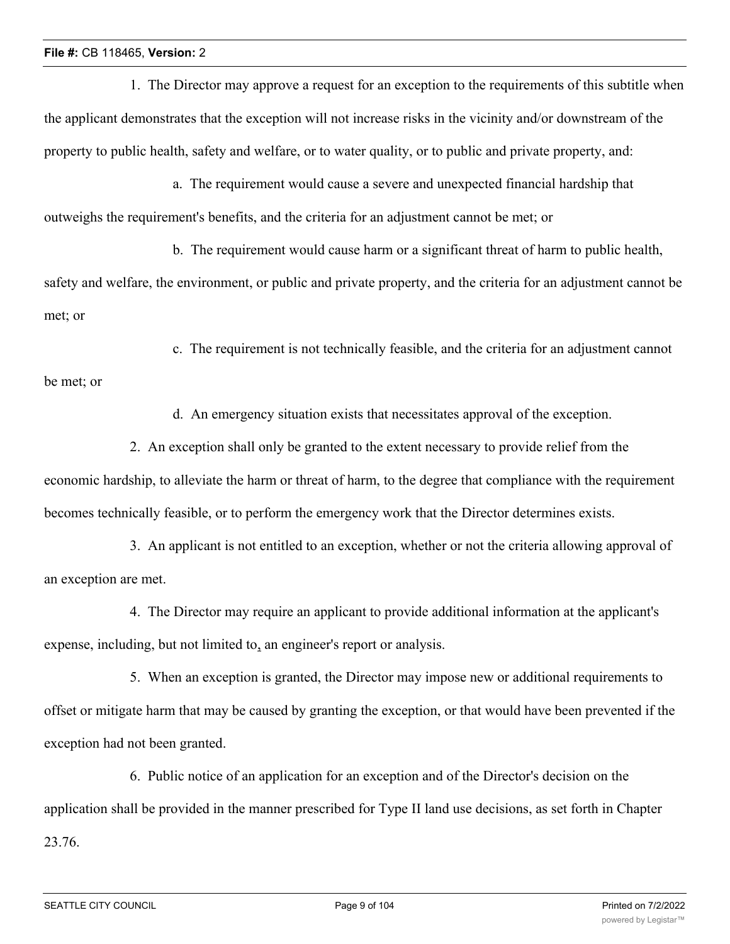1. The Director may approve a request for an exception to the requirements of this subtitle when the applicant demonstrates that the exception will not increase risks in the vicinity and/or downstream of the property to public health, safety and welfare, or to water quality, or to public and private property, and:

a. The requirement would cause a severe and unexpected financial hardship that outweighs the requirement's benefits, and the criteria for an adjustment cannot be met; or

b. The requirement would cause harm or a significant threat of harm to public health, safety and welfare, the environment, or public and private property, and the criteria for an adjustment cannot be met; or

c. The requirement is not technically feasible, and the criteria for an adjustment cannot

be met; or

d. An emergency situation exists that necessitates approval of the exception.

2. An exception shall only be granted to the extent necessary to provide relief from the economic hardship, to alleviate the harm or threat of harm, to the degree that compliance with the requirement becomes technically feasible, or to perform the emergency work that the Director determines exists.

3. An applicant is not entitled to an exception, whether or not the criteria allowing approval of an exception are met.

4. The Director may require an applicant to provide additional information at the applicant's expense, including, but not limited to, an engineer's report or analysis.

5. When an exception is granted, the Director may impose new or additional requirements to offset or mitigate harm that may be caused by granting the exception, or that would have been prevented if the exception had not been granted.

6. Public notice of an application for an exception and of the Director's decision on the application shall be provided in the manner prescribed for Type II land use decisions, as set forth in Chapter 23.76.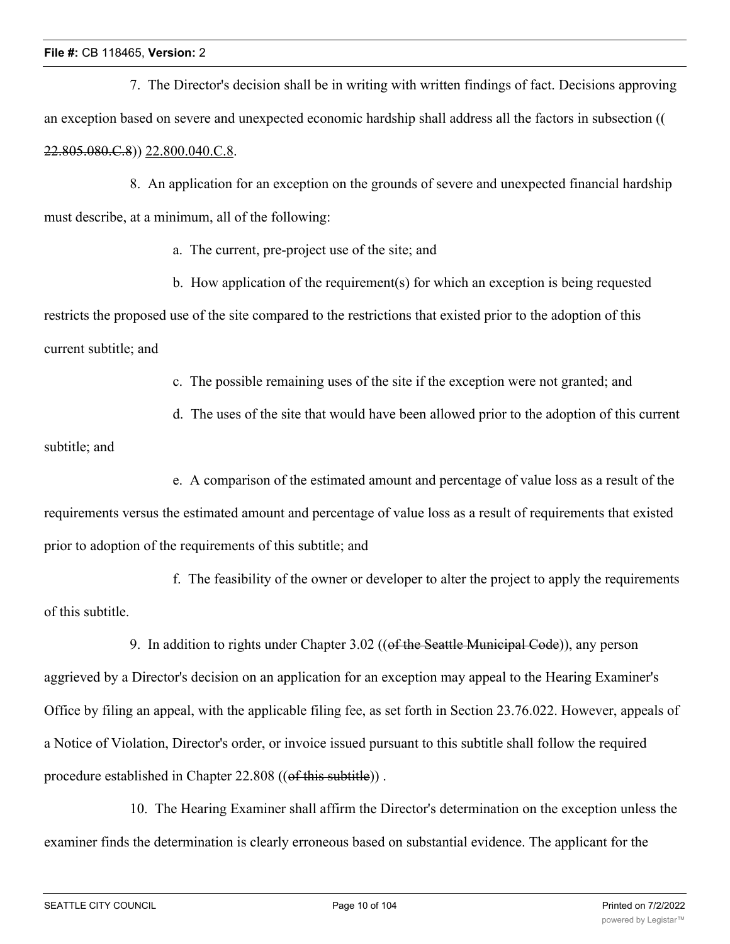7. The Director's decision shall be in writing with written findings of fact. Decisions approving an exception based on severe and unexpected economic hardship shall address all the factors in subsection (( 22.805.080.C.8)) 22.800.040.C.8.

8. An application for an exception on the grounds of severe and unexpected financial hardship must describe, at a minimum, all of the following:

a. The current, pre-project use of the site; and

b. How application of the requirement(s) for which an exception is being requested restricts the proposed use of the site compared to the restrictions that existed prior to the adoption of this current subtitle; and

c. The possible remaining uses of the site if the exception were not granted; and

d. The uses of the site that would have been allowed prior to the adoption of this current

subtitle; and

e. A comparison of the estimated amount and percentage of value loss as a result of the

requirements versus the estimated amount and percentage of value loss as a result of requirements that existed prior to adoption of the requirements of this subtitle; and

f. The feasibility of the owner or developer to alter the project to apply the requirements of this subtitle.

9. In addition to rights under Chapter 3.02 ((of the Seattle Municipal Code)), any person aggrieved by a Director's decision on an application for an exception may appeal to the Hearing Examiner's Office by filing an appeal, with the applicable filing fee, as set forth in Section 23.76.022. However, appeals of a Notice of Violation, Director's order, or invoice issued pursuant to this subtitle shall follow the required procedure established in Chapter 22.808 ((of this subtitle)).

10. The Hearing Examiner shall affirm the Director's determination on the exception unless the examiner finds the determination is clearly erroneous based on substantial evidence. The applicant for the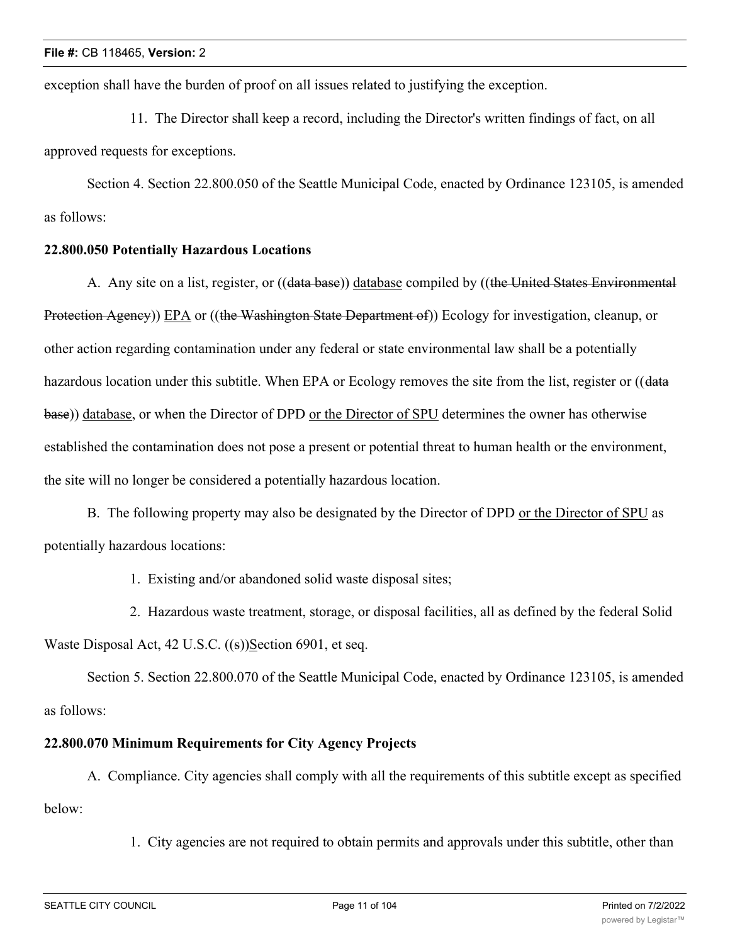exception shall have the burden of proof on all issues related to justifying the exception.

11. The Director shall keep a record, including the Director's written findings of fact, on all approved requests for exceptions.

Section 4. Section 22.800.050 of the Seattle Municipal Code, enacted by Ordinance 123105, is amended as follows:

# **22.800.050 Potentially Hazardous Locations**

A. Any site on a list, register, or ((data base)) database compiled by ((the United States Environmental Protection Agency)) EPA or ((the Washington State Department of)) Ecology for investigation, cleanup, or other action regarding contamination under any federal or state environmental law shall be a potentially hazardous location under this subtitle. When EPA or Ecology removes the site from the list, register or ((data base)) database, or when the Director of DPD or the Director of SPU determines the owner has otherwise established the contamination does not pose a present or potential threat to human health or the environment, the site will no longer be considered a potentially hazardous location.

B. The following property may also be designated by the Director of DPD or the Director of SPU as potentially hazardous locations:

1. Existing and/or abandoned solid waste disposal sites;

2. Hazardous waste treatment, storage, or disposal facilities, all as defined by the federal Solid Waste Disposal Act, 42 U.S.C. ((s))Section 6901, et seq.

Section 5. Section 22.800.070 of the Seattle Municipal Code, enacted by Ordinance 123105, is amended as follows:

# **22.800.070 Minimum Requirements for City Agency Projects**

A. Compliance. City agencies shall comply with all the requirements of this subtitle except as specified below:

1. City agencies are not required to obtain permits and approvals under this subtitle, other than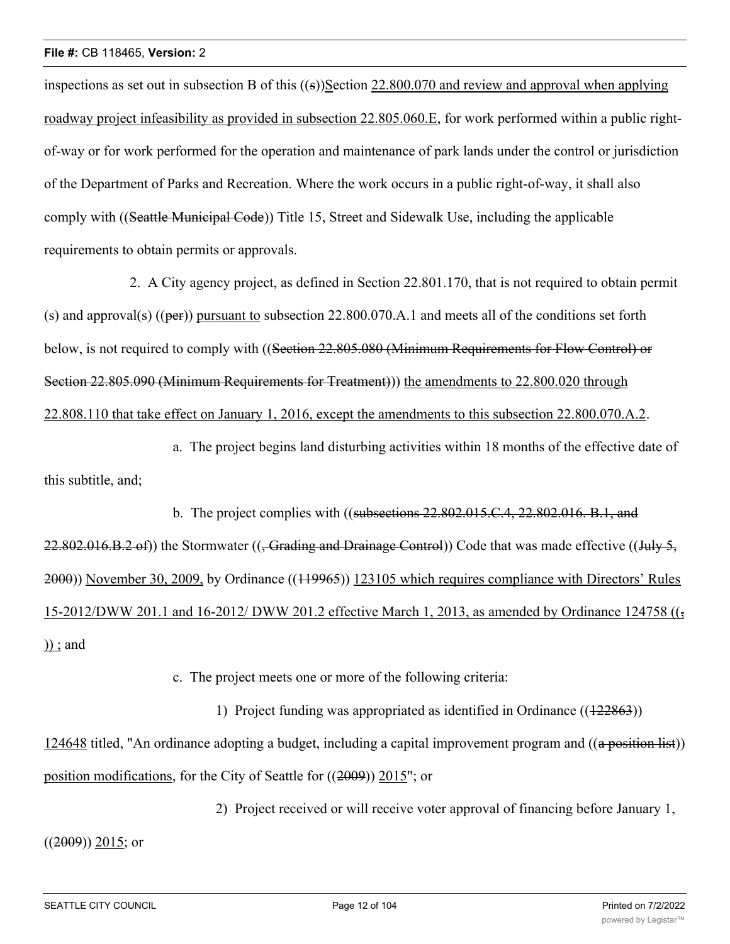inspections as set out in subsection B of this ((s))Section 22.800.070 and review and approval when applying roadway project infeasibility as provided in subsection 22.805.060.E, for work performed within a public rightof-way or for work performed for the operation and maintenance of park lands under the control or jurisdiction of the Department of Parks and Recreation. Where the work occurs in a public right-of-way, it shall also comply with ((Seattle Municipal Code)) Title 15, Street and Sidewalk Use, including the applicable requirements to obtain permits or approvals.

2. A City agency project, as defined in Section 22.801.170, that is not required to obtain permit (s) and approval(s) ((per)) pursuant to subsection 22.800.070.A.1 and meets all of the conditions set forth below, is not required to comply with ((Section 22.805.080 (Minimum Requirements for Flow Control) or Section 22.805.090 (Minimum Requirements for Treatment)) the amendments to 22.800.020 through 22.808.110 that take effect on January 1, 2016, except the amendments to this subsection 22.800.070.A.2.

a. The project begins land disturbing activities within 18 months of the effective date of this subtitle, and;

b. The project complies with ((subsections  $22.802.015$ ,  $C.4$ ,  $22.802.016$ , B.1, and 22.802.016.B.2 of)) the Stormwater ((<del>, Grading and Drainage Control</del>)) Code that was made effective ((July 5, 2000)) November 30, 2009, by Ordinance ((119965)) 123105 which requires compliance with Directors' Rules 15-2012/DWW 201.1 and 16-2012/ DWW 201.2 effective March 1, 2013, as amended by Ordinance 124758  $((\frac{1}{2})$ )) ; and

c. The project meets one or more of the following criteria:

1) Project funding was appropriated as identified in Ordinance  $((122863))$ 124648 titled, "An ordinance adopting a budget, including a capital improvement program and ((a position list)) position modifications, for the City of Seattle for ((2009)) 2015"; or

2) Project received or will receive voter approval of financing before January 1,

 $((2009))$  2015; or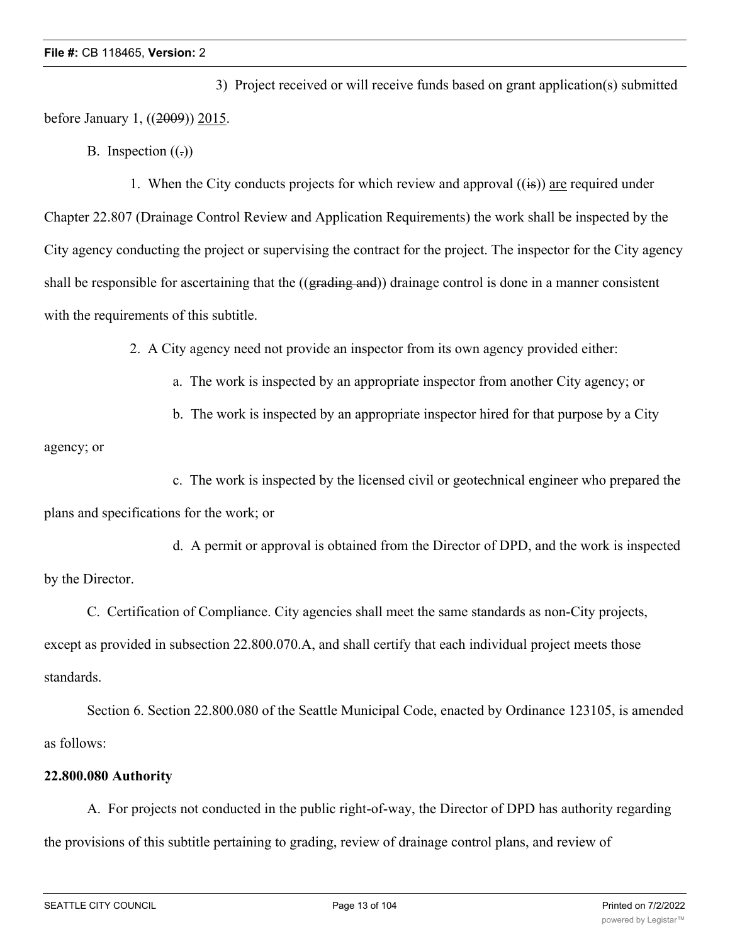3) Project received or will receive funds based on grant application(s) submitted before January 1, ((2009)) 2015.

B. Inspection  $((.)$ 

1. When the City conducts projects for which review and approval  $((\mathbf{is}))$  are required under Chapter 22.807 (Drainage Control Review and Application Requirements) the work shall be inspected by the City agency conducting the project or supervising the contract for the project. The inspector for the City agency shall be responsible for ascertaining that the ((grading and)) drainage control is done in a manner consistent with the requirements of this subtitle.

2. A City agency need not provide an inspector from its own agency provided either:

- a. The work is inspected by an appropriate inspector from another City agency; or
- b. The work is inspected by an appropriate inspector hired for that purpose by a City

agency; or

c. The work is inspected by the licensed civil or geotechnical engineer who prepared the plans and specifications for the work; or

d. A permit or approval is obtained from the Director of DPD, and the work is inspected by the Director.

C. Certification of Compliance. City agencies shall meet the same standards as non-City projects, except as provided in subsection 22.800.070.A, and shall certify that each individual project meets those standards.

Section 6. Section 22.800.080 of the Seattle Municipal Code, enacted by Ordinance 123105, is amended as follows:

# **22.800.080 Authority**

A. For projects not conducted in the public right-of-way, the Director of DPD has authority regarding the provisions of this subtitle pertaining to grading, review of drainage control plans, and review of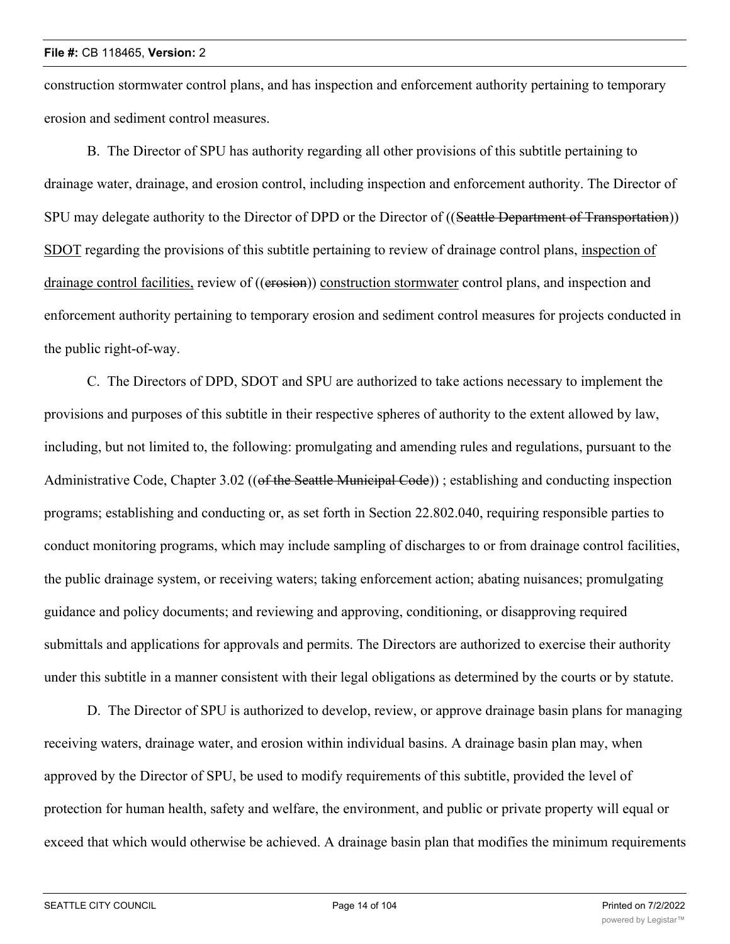construction stormwater control plans, and has inspection and enforcement authority pertaining to temporary erosion and sediment control measures.

B. The Director of SPU has authority regarding all other provisions of this subtitle pertaining to drainage water, drainage, and erosion control, including inspection and enforcement authority. The Director of SPU may delegate authority to the Director of DPD or the Director of ((Seattle Department of Transportation)) SDOT regarding the provisions of this subtitle pertaining to review of drainage control plans, inspection of drainage control facilities, review of ((erosion)) construction stormwater control plans, and inspection and enforcement authority pertaining to temporary erosion and sediment control measures for projects conducted in the public right-of-way.

C. The Directors of DPD, SDOT and SPU are authorized to take actions necessary to implement the provisions and purposes of this subtitle in their respective spheres of authority to the extent allowed by law, including, but not limited to, the following: promulgating and amending rules and regulations, pursuant to the Administrative Code, Chapter 3.02 ((of the Seattle Municipal Code)); establishing and conducting inspection programs; establishing and conducting or, as set forth in Section 22.802.040, requiring responsible parties to conduct monitoring programs, which may include sampling of discharges to or from drainage control facilities, the public drainage system, or receiving waters; taking enforcement action; abating nuisances; promulgating guidance and policy documents; and reviewing and approving, conditioning, or disapproving required submittals and applications for approvals and permits. The Directors are authorized to exercise their authority under this subtitle in a manner consistent with their legal obligations as determined by the courts or by statute.

D. The Director of SPU is authorized to develop, review, or approve drainage basin plans for managing receiving waters, drainage water, and erosion within individual basins. A drainage basin plan may, when approved by the Director of SPU, be used to modify requirements of this subtitle, provided the level of protection for human health, safety and welfare, the environment, and public or private property will equal or exceed that which would otherwise be achieved. A drainage basin plan that modifies the minimum requirements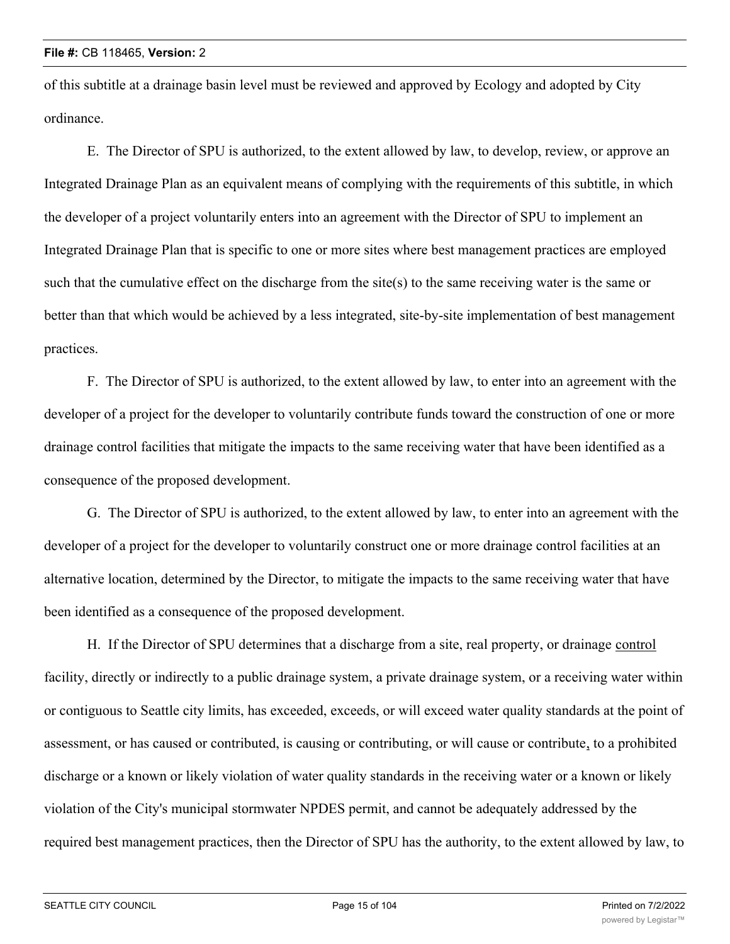of this subtitle at a drainage basin level must be reviewed and approved by Ecology and adopted by City ordinance.

E. The Director of SPU is authorized, to the extent allowed by law, to develop, review, or approve an Integrated Drainage Plan as an equivalent means of complying with the requirements of this subtitle, in which the developer of a project voluntarily enters into an agreement with the Director of SPU to implement an Integrated Drainage Plan that is specific to one or more sites where best management practices are employed such that the cumulative effect on the discharge from the site(s) to the same receiving water is the same or better than that which would be achieved by a less integrated, site-by-site implementation of best management practices.

F. The Director of SPU is authorized, to the extent allowed by law, to enter into an agreement with the developer of a project for the developer to voluntarily contribute funds toward the construction of one or more drainage control facilities that mitigate the impacts to the same receiving water that have been identified as a consequence of the proposed development.

G. The Director of SPU is authorized, to the extent allowed by law, to enter into an agreement with the developer of a project for the developer to voluntarily construct one or more drainage control facilities at an alternative location, determined by the Director, to mitigate the impacts to the same receiving water that have been identified as a consequence of the proposed development.

H. If the Director of SPU determines that a discharge from a site, real property, or drainage control facility, directly or indirectly to a public drainage system, a private drainage system, or a receiving water within or contiguous to Seattle city limits, has exceeded, exceeds, or will exceed water quality standards at the point of assessment, or has caused or contributed, is causing or contributing, or will cause or contribute, to a prohibited discharge or a known or likely violation of water quality standards in the receiving water or a known or likely violation of the City's municipal stormwater NPDES permit, and cannot be adequately addressed by the required best management practices, then the Director of SPU has the authority, to the extent allowed by law, to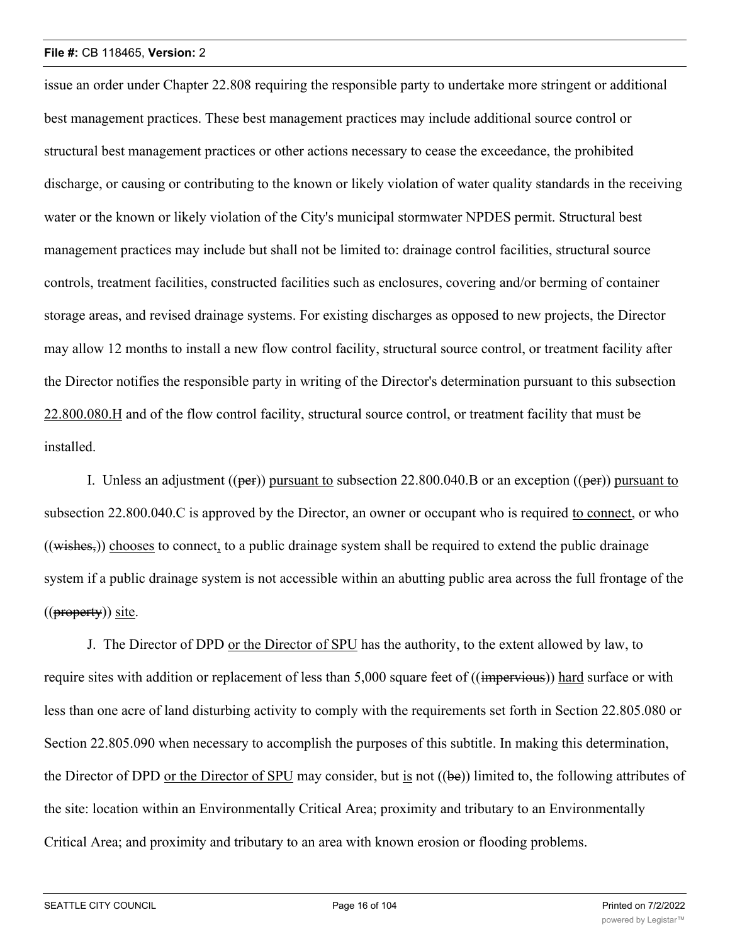issue an order under Chapter 22.808 requiring the responsible party to undertake more stringent or additional best management practices. These best management practices may include additional source control or structural best management practices or other actions necessary to cease the exceedance, the prohibited discharge, or causing or contributing to the known or likely violation of water quality standards in the receiving water or the known or likely violation of the City's municipal stormwater NPDES permit. Structural best management practices may include but shall not be limited to: drainage control facilities, structural source controls, treatment facilities, constructed facilities such as enclosures, covering and/or berming of container storage areas, and revised drainage systems. For existing discharges as opposed to new projects, the Director may allow 12 months to install a new flow control facility, structural source control, or treatment facility after the Director notifies the responsible party in writing of the Director's determination pursuant to this subsection 22.800.080.H and of the flow control facility, structural source control, or treatment facility that must be installed.

I. Unless an adjustment  $((per))$  pursuant to subsection 22.800.040.B or an exception  $((per))$  pursuant to subsection 22.800.040.C is approved by the Director, an owner or occupant who is required to connect, or who  $((wishes))$  chooses to connect, to a public drainage system shall be required to extend the public drainage system if a public drainage system is not accessible within an abutting public area across the full frontage of the  $((\text{property}))$  site.

J. The Director of DPD or the Director of SPU has the authority, to the extent allowed by law, to require sites with addition or replacement of less than 5,000 square feet of ((impervious)) hard surface or with less than one acre of land disturbing activity to comply with the requirements set forth in Section 22.805.080 or Section 22.805.090 when necessary to accomplish the purposes of this subtitle. In making this determination, the Director of DPD or the Director of SPU may consider, but is not ((be)) limited to, the following attributes of the site: location within an Environmentally Critical Area; proximity and tributary to an Environmentally Critical Area; and proximity and tributary to an area with known erosion or flooding problems.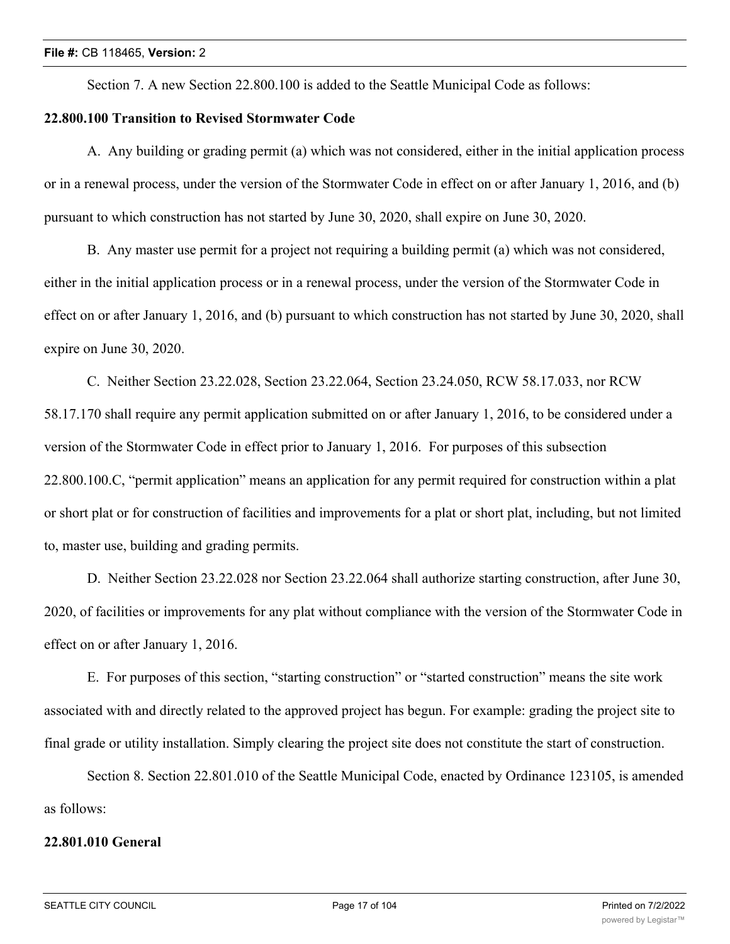Section 7. A new Section 22.800.100 is added to the Seattle Municipal Code as follows:

# **22.800.100 Transition to Revised Stormwater Code**

A. Any building or grading permit (a) which was not considered, either in the initial application process or in a renewal process, under the version of the Stormwater Code in effect on or after January 1, 2016, and (b) pursuant to which construction has not started by June 30, 2020, shall expire on June 30, 2020.

B. Any master use permit for a project not requiring a building permit (a) which was not considered, either in the initial application process or in a renewal process, under the version of the Stormwater Code in effect on or after January 1, 2016, and (b) pursuant to which construction has not started by June 30, 2020, shall expire on June 30, 2020.

C. Neither Section 23.22.028, Section 23.22.064, Section 23.24.050, RCW 58.17.033, nor RCW 58.17.170 shall require any permit application submitted on or after January 1, 2016, to be considered under a version of the Stormwater Code in effect prior to January 1, 2016. For purposes of this subsection 22.800.100.C, "permit application" means an application for any permit required for construction within a plat or short plat or for construction of facilities and improvements for a plat or short plat, including, but not limited to, master use, building and grading permits.

D. Neither Section 23.22.028 nor Section 23.22.064 shall authorize starting construction, after June 30, 2020, of facilities or improvements for any plat without compliance with the version of the Stormwater Code in effect on or after January 1, 2016.

E. For purposes of this section, "starting construction" or "started construction" means the site work associated with and directly related to the approved project has begun. For example: grading the project site to final grade or utility installation. Simply clearing the project site does not constitute the start of construction.

Section 8. Section 22.801.010 of the Seattle Municipal Code, enacted by Ordinance 123105, is amended as follows:

#### **22.801.010 General**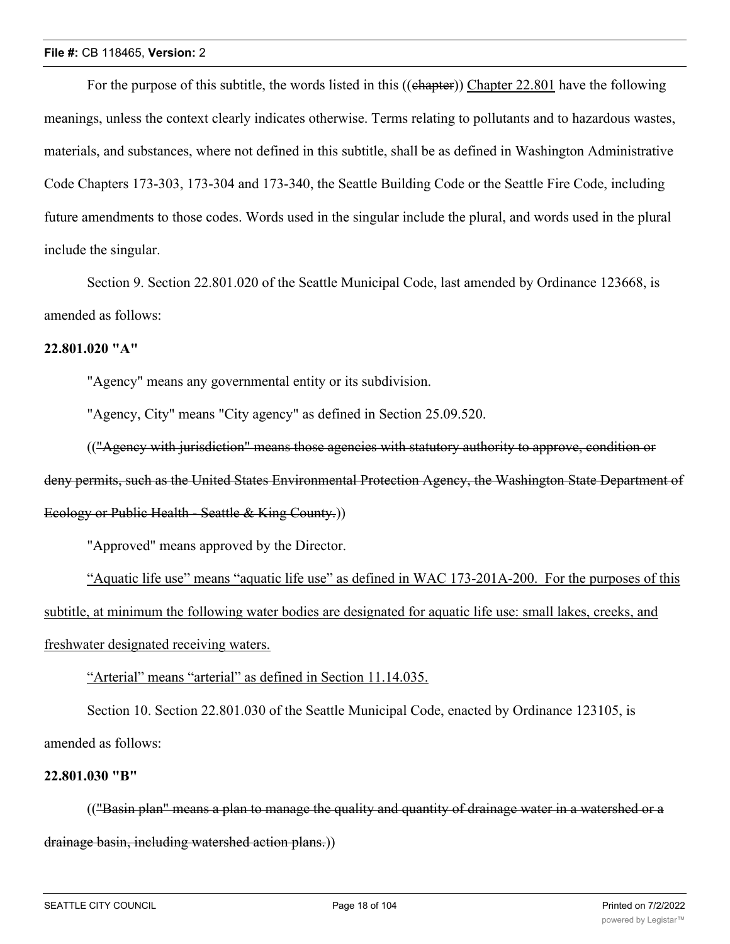For the purpose of this subtitle, the words listed in this ((chapter)) Chapter 22.801 have the following meanings, unless the context clearly indicates otherwise. Terms relating to pollutants and to hazardous wastes, materials, and substances, where not defined in this subtitle, shall be as defined in Washington Administrative Code Chapters 173-303, 173-304 and 173-340, the Seattle Building Code or the Seattle Fire Code, including future amendments to those codes. Words used in the singular include the plural, and words used in the plural include the singular.

Section 9. Section 22.801.020 of the Seattle Municipal Code, last amended by Ordinance 123668, is amended as follows:

### **22.801.020 "A"**

"Agency" means any governmental entity or its subdivision.

"Agency, City" means "City agency" as defined in Section 25.09.520.

(("Agency with jurisdiction" means those agencies with statutory authority to approve, condition or deny permits, such as the United States Environmental Protection Agency, the Washington State Department of

# Ecology or Public Health - Seattle & King County.))

"Approved" means approved by the Director.

"Aquatic life use" means "aquatic life use" as defined in WAC 173-201A-200. For the purposes of this subtitle, at minimum the following water bodies are designated for aquatic life use: small lakes, creeks, and freshwater designated receiving waters.

"Arterial" means "arterial" as defined in Section 11.14.035.

Section 10. Section 22.801.030 of the Seattle Municipal Code, enacted by Ordinance 123105, is amended as follows:

### **22.801.030 "B"**

(("Basin plan" means a plan to manage the quality and quantity of drainage water in a watershed or a drainage basin, including watershed action plans.))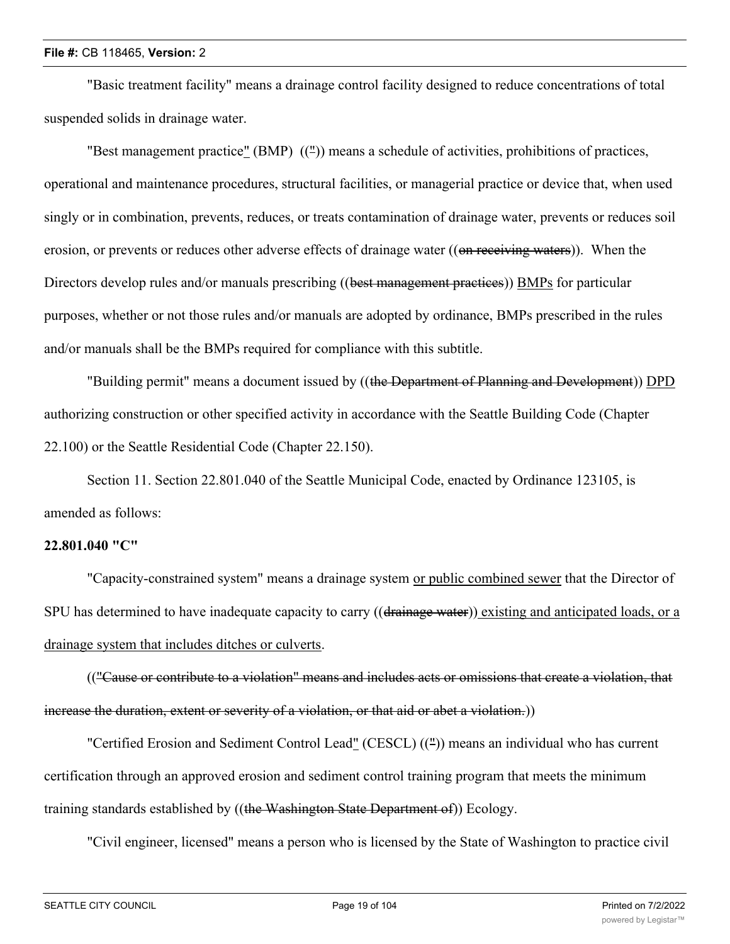"Basic treatment facility" means a drainage control facility designed to reduce concentrations of total suspended solids in drainage water.

"Best management practice" (BMP) ((")) means a schedule of activities, prohibitions of practices, operational and maintenance procedures, structural facilities, or managerial practice or device that, when used singly or in combination, prevents, reduces, or treats contamination of drainage water, prevents or reduces soil erosion, or prevents or reduces other adverse effects of drainage water ((on receiving waters)). When the Directors develop rules and/or manuals prescribing ((best management practices)) BMPs for particular purposes, whether or not those rules and/or manuals are adopted by ordinance, BMPs prescribed in the rules and/or manuals shall be the BMPs required for compliance with this subtitle.

"Building permit" means a document issued by ((the Department of Planning and Development)) DPD authorizing construction or other specified activity in accordance with the Seattle Building Code (Chapter 22.100) or the Seattle Residential Code (Chapter 22.150).

Section 11. Section 22.801.040 of the Seattle Municipal Code, enacted by Ordinance 123105, is amended as follows:

#### **22.801.040 "C"**

"Capacity-constrained system" means a drainage system or public combined sewer that the Director of SPU has determined to have inadequate capacity to carry ((drainage water)) existing and anticipated loads, or a drainage system that includes ditches or culverts.

(("Cause or contribute to a violation" means and includes acts or omissions that create a violation, that increase the duration, extent or severity of a violation, or that aid or abet a violation.))

"Certified Erosion and Sediment Control Lead" (CESCL) ((")) means an individual who has current certification through an approved erosion and sediment control training program that meets the minimum training standards established by ((the Washington State Department of)) Ecology.

"Civil engineer, licensed" means a person who is licensed by the State of Washington to practice civil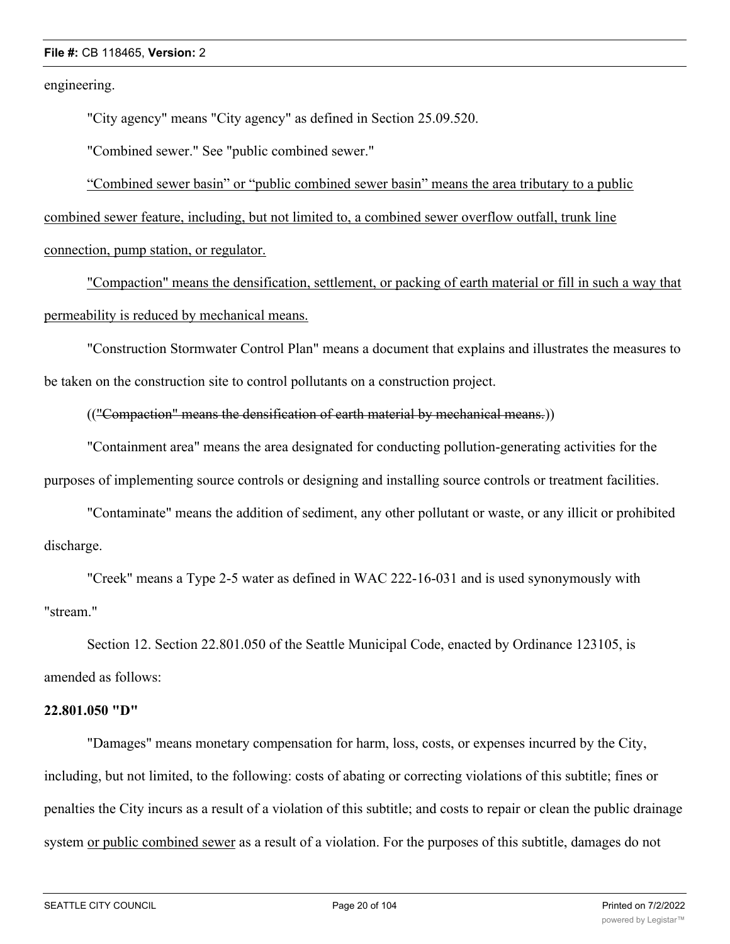engineering.

"City agency" means "City agency" as defined in Section 25.09.520.

"Combined sewer." See "public combined sewer."

"Combined sewer basin" or "public combined sewer basin" means the area tributary to a public combined sewer feature, including, but not limited to, a combined sewer overflow outfall, trunk line connection, pump station, or regulator.

"Compaction" means the densification, settlement, or packing of earth material or fill in such a way that permeability is reduced by mechanical means.

"Construction Stormwater Control Plan" means a document that explains and illustrates the measures to be taken on the construction site to control pollutants on a construction project.

(("Compaction" means the densification of earth material by mechanical means.))

"Containment area" means the area designated for conducting pollution-generating activities for the purposes of implementing source controls or designing and installing source controls or treatment facilities.

"Contaminate" means the addition of sediment, any other pollutant or waste, or any illicit or prohibited discharge.

"Creek" means a Type 2-5 water as defined in WAC 222-16-031 and is used synonymously with "stream."

Section 12. Section 22.801.050 of the Seattle Municipal Code, enacted by Ordinance 123105, is amended as follows:

#### **22.801.050 "D"**

"Damages" means monetary compensation for harm, loss, costs, or expenses incurred by the City, including, but not limited, to the following: costs of abating or correcting violations of this subtitle; fines or penalties the City incurs as a result of a violation of this subtitle; and costs to repair or clean the public drainage system or public combined sewer as a result of a violation. For the purposes of this subtitle, damages do not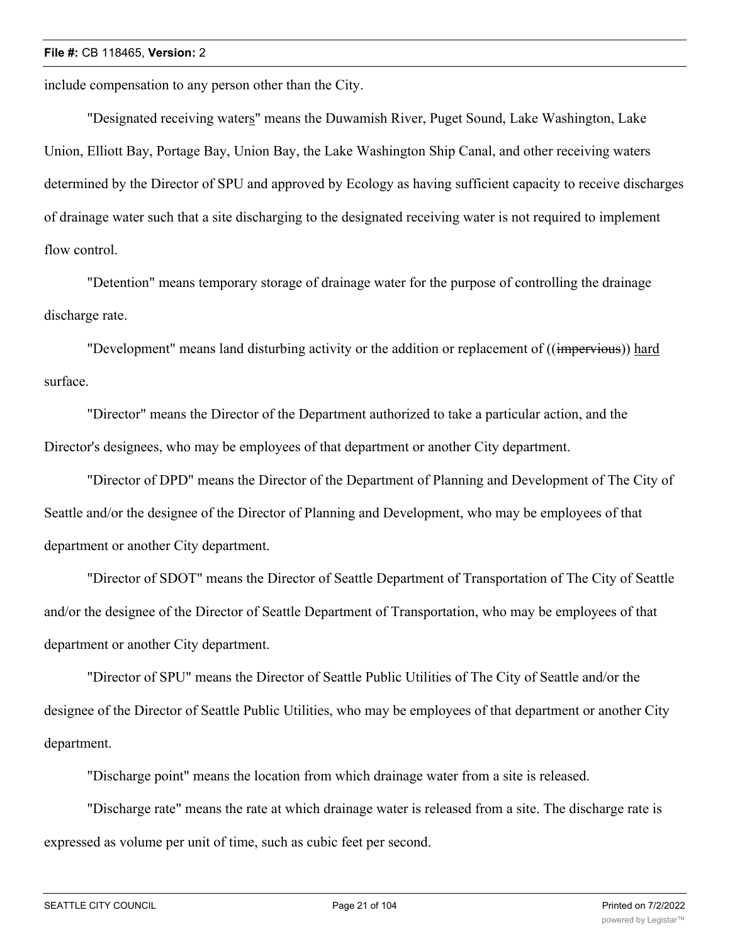include compensation to any person other than the City.

"Designated receiving waters" means the Duwamish River, Puget Sound, Lake Washington, Lake Union, Elliott Bay, Portage Bay, Union Bay, the Lake Washington Ship Canal, and other receiving waters determined by the Director of SPU and approved by Ecology as having sufficient capacity to receive discharges of drainage water such that a site discharging to the designated receiving water is not required to implement flow control.

"Detention" means temporary storage of drainage water for the purpose of controlling the drainage discharge rate.

"Development" means land disturbing activity or the addition or replacement of ((impervious)) hard surface.

"Director" means the Director of the Department authorized to take a particular action, and the Director's designees, who may be employees of that department or another City department.

"Director of DPD" means the Director of the Department of Planning and Development of The City of Seattle and/or the designee of the Director of Planning and Development, who may be employees of that department or another City department.

"Director of SDOT" means the Director of Seattle Department of Transportation of The City of Seattle and/or the designee of the Director of Seattle Department of Transportation, who may be employees of that department or another City department.

"Director of SPU" means the Director of Seattle Public Utilities of The City of Seattle and/or the designee of the Director of Seattle Public Utilities, who may be employees of that department or another City department.

"Discharge point" means the location from which drainage water from a site is released.

"Discharge rate" means the rate at which drainage water is released from a site. The discharge rate is expressed as volume per unit of time, such as cubic feet per second.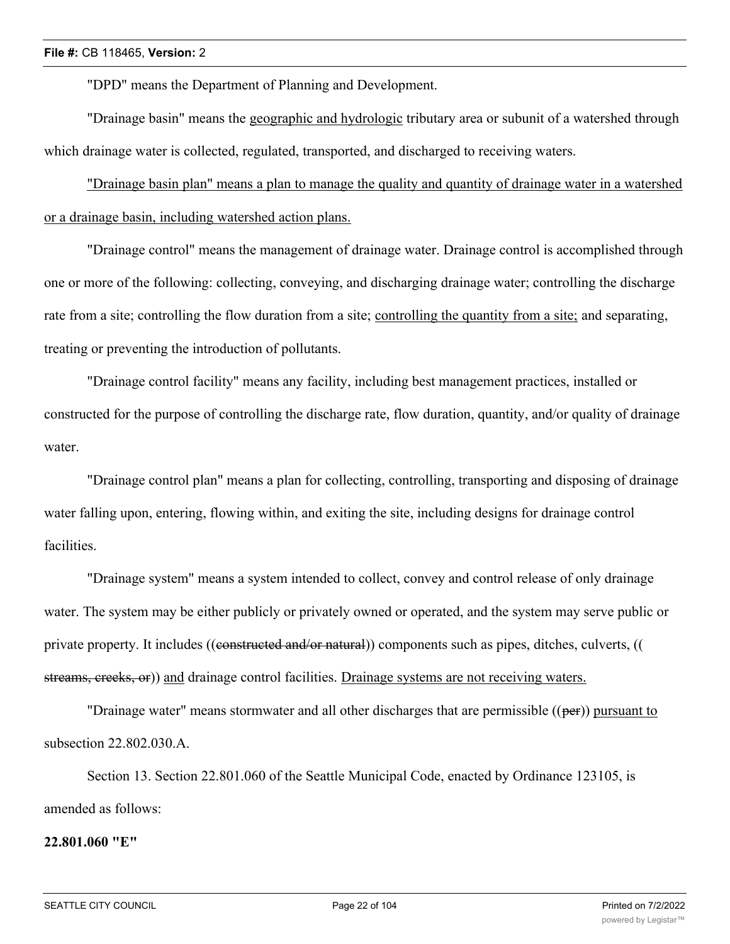"DPD" means the Department of Planning and Development.

"Drainage basin" means the geographic and hydrologic tributary area or subunit of a watershed through which drainage water is collected, regulated, transported, and discharged to receiving waters.

"Drainage basin plan" means a plan to manage the quality and quantity of drainage water in a watershed or a drainage basin, including watershed action plans.

"Drainage control" means the management of drainage water. Drainage control is accomplished through one or more of the following: collecting, conveying, and discharging drainage water; controlling the discharge rate from a site; controlling the flow duration from a site; controlling the quantity from a site; and separating, treating or preventing the introduction of pollutants.

"Drainage control facility" means any facility, including best management practices, installed or constructed for the purpose of controlling the discharge rate, flow duration, quantity, and/or quality of drainage water.

"Drainage control plan" means a plan for collecting, controlling, transporting and disposing of drainage water falling upon, entering, flowing within, and exiting the site, including designs for drainage control facilities.

"Drainage system" means a system intended to collect, convey and control release of only drainage water. The system may be either publicly or privately owned or operated, and the system may serve public or private property. It includes ((constructed and/or natural)) components such as pipes, ditches, culverts, (( streams, creeks, or)) and drainage control facilities. Drainage systems are not receiving waters.

"Drainage water" means stormwater and all other discharges that are permissible  $((per))$  pursuant to subsection 22.802.030.A.

Section 13. Section 22.801.060 of the Seattle Municipal Code, enacted by Ordinance 123105, is amended as follows:

#### **22.801.060 "E"**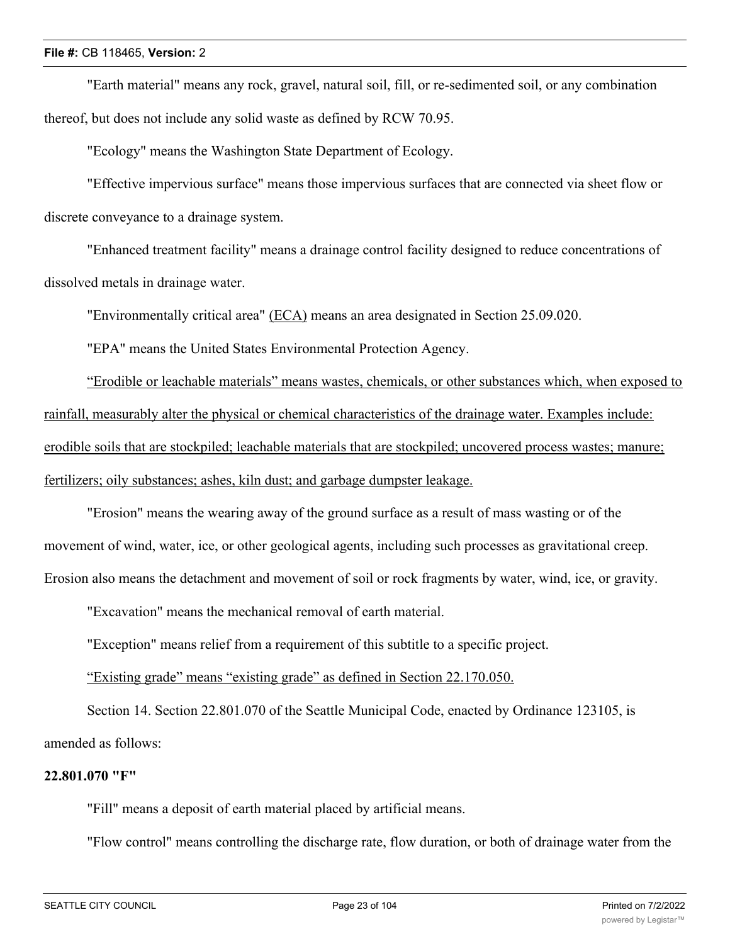"Earth material" means any rock, gravel, natural soil, fill, or re-sedimented soil, or any combination thereof, but does not include any solid waste as defined by RCW 70.95.

"Ecology" means the Washington State Department of Ecology.

"Effective impervious surface" means those impervious surfaces that are connected via sheet flow or discrete conveyance to a drainage system.

"Enhanced treatment facility" means a drainage control facility designed to reduce concentrations of dissolved metals in drainage water.

"Environmentally critical area" (ECA) means an area designated in Section 25.09.020.

"EPA" means the United States Environmental Protection Agency.

"Erodible or leachable materials" means wastes, chemicals, or other substances which, when exposed to rainfall, measurably alter the physical or chemical characteristics of the drainage water. Examples include: erodible soils that are stockpiled; leachable materials that are stockpiled; uncovered process wastes; manure; fertilizers; oily substances; ashes, kiln dust; and garbage dumpster leakage.

"Erosion" means the wearing away of the ground surface as a result of mass wasting or of the movement of wind, water, ice, or other geological agents, including such processes as gravitational creep. Erosion also means the detachment and movement of soil or rock fragments by water, wind, ice, or gravity.

"Excavation" means the mechanical removal of earth material.

"Exception" means relief from a requirement of this subtitle to a specific project.

"Existing grade" means "existing grade" as defined in Section 22.170.050.

Section 14. Section 22.801.070 of the Seattle Municipal Code, enacted by Ordinance 123105, is amended as follows:

### **22.801.070 "F"**

"Fill" means a deposit of earth material placed by artificial means.

"Flow control" means controlling the discharge rate, flow duration, or both of drainage water from the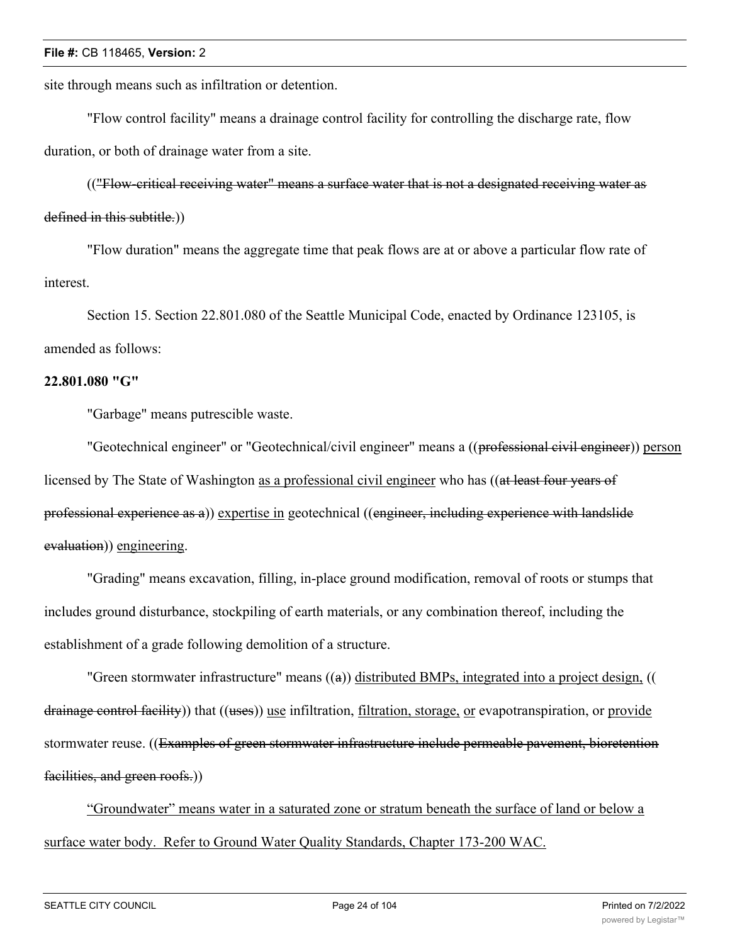site through means such as infiltration or detention.

"Flow control facility" means a drainage control facility for controlling the discharge rate, flow duration, or both of drainage water from a site.

(("Flow-critical receiving water" means a surface water that is not a designated receiving water as defined in this subtitle.))

"Flow duration" means the aggregate time that peak flows are at or above a particular flow rate of interest.

Section 15. Section 22.801.080 of the Seattle Municipal Code, enacted by Ordinance 123105, is amended as follows:

#### **22.801.080 "G"**

"Garbage" means putrescible waste.

"Geotechnical engineer" or "Geotechnical/civil engineer" means a ((professional civil engineer)) person licensed by The State of Washington as a professional civil engineer who has ((at least four years of professional experience as a)) expertise in geotechnical ((engineer, including experience with landslide evaluation)) engineering.

"Grading" means excavation, filling, in-place ground modification, removal of roots or stumps that includes ground disturbance, stockpiling of earth materials, or any combination thereof, including the establishment of a grade following demolition of a structure.

"Green stormwater infrastructure" means ((a)) distributed BMPs, integrated into a project design, (( drainage control facility)) that ((uses)) use infiltration, filtration, storage, or evapotranspiration, or provide stormwater reuse. ((Examples of green stormwater infrastructure include permeable pavement, bioretention facilities, and green roofs.))

"Groundwater" means water in a saturated zone or stratum beneath the surface of land or below a surface water body. Refer to Ground Water Quality Standards, Chapter 173-200 WAC.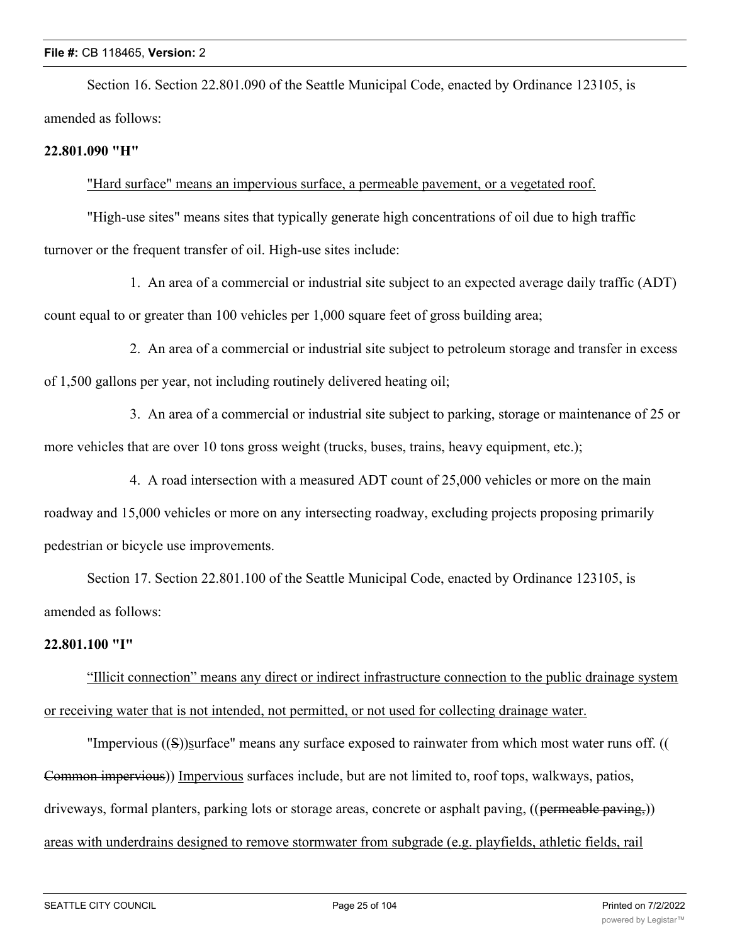Section 16. Section 22.801.090 of the Seattle Municipal Code, enacted by Ordinance 123105, is amended as follows:

#### **22.801.090 "H"**

"Hard surface" means an impervious surface, a permeable pavement, or a vegetated roof.

"High-use sites" means sites that typically generate high concentrations of oil due to high traffic turnover or the frequent transfer of oil. High-use sites include:

1. An area of a commercial or industrial site subject to an expected average daily traffic (ADT) count equal to or greater than 100 vehicles per 1,000 square feet of gross building area;

2. An area of a commercial or industrial site subject to petroleum storage and transfer in excess of 1,500 gallons per year, not including routinely delivered heating oil;

3. An area of a commercial or industrial site subject to parking, storage or maintenance of 25 or more vehicles that are over 10 tons gross weight (trucks, buses, trains, heavy equipment, etc.);

4. A road intersection with a measured ADT count of 25,000 vehicles or more on the main roadway and 15,000 vehicles or more on any intersecting roadway, excluding projects proposing primarily pedestrian or bicycle use improvements.

Section 17. Section 22.801.100 of the Seattle Municipal Code, enacted by Ordinance 123105, is amended as follows:

#### **22.801.100 "I"**

"Illicit connection" means any direct or indirect infrastructure connection to the public drainage system or receiving water that is not intended, not permitted, or not used for collecting drainage water.

"Impervious ((S))surface" means any surface exposed to rainwater from which most water runs off. (( Common impervious)) Impervious surfaces include, but are not limited to, roof tops, walkways, patios, driveways, formal planters, parking lots or storage areas, concrete or asphalt paving, ((permeable paving,)) areas with underdrains designed to remove stormwater from subgrade (e.g. playfields, athletic fields, rail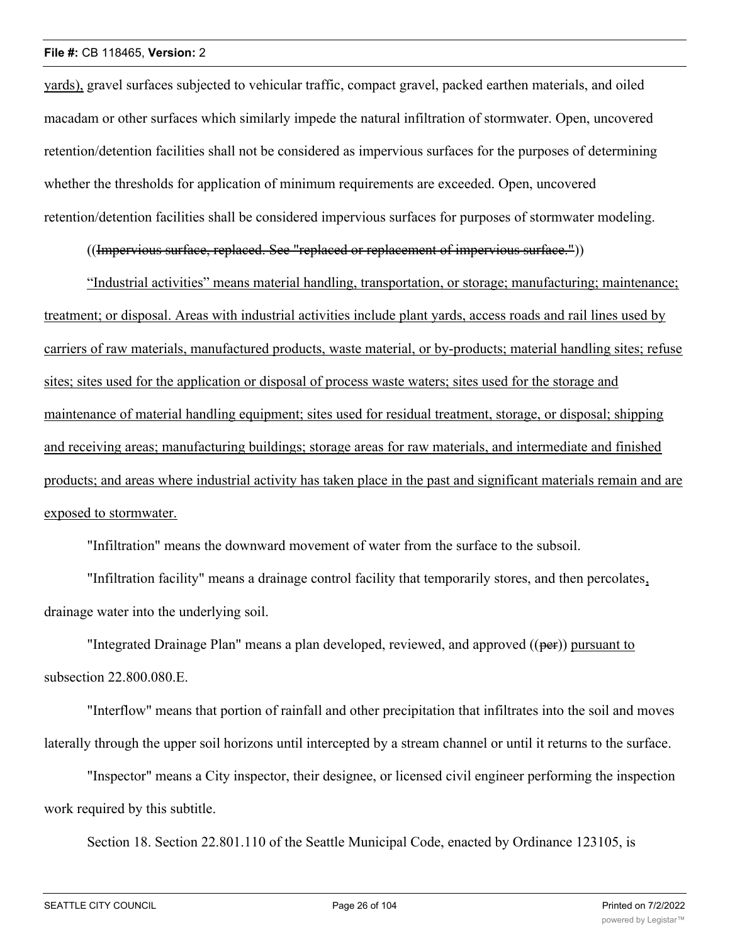yards), gravel surfaces subjected to vehicular traffic, compact gravel, packed earthen materials, and oiled macadam or other surfaces which similarly impede the natural infiltration of stormwater. Open, uncovered retention/detention facilities shall not be considered as impervious surfaces for the purposes of determining whether the thresholds for application of minimum requirements are exceeded. Open, uncovered retention/detention facilities shall be considered impervious surfaces for purposes of stormwater modeling.

((Impervious surface, replaced. See "replaced or replacement of impervious surface."))

"Industrial activities" means material handling, transportation, or storage; manufacturing; maintenance; treatment; or disposal. Areas with industrial activities include plant yards, access roads and rail lines used by carriers of raw materials, manufactured products, waste material, or by-products; material handling sites; refuse sites; sites used for the application or disposal of process waste waters; sites used for the storage and maintenance of material handling equipment; sites used for residual treatment, storage, or disposal; shipping and receiving areas; manufacturing buildings; storage areas for raw materials, and intermediate and finished products; and areas where industrial activity has taken place in the past and significant materials remain and are exposed to stormwater.

"Infiltration" means the downward movement of water from the surface to the subsoil.

"Infiltration facility" means a drainage control facility that temporarily stores, and then percolates, drainage water into the underlying soil.

"Integrated Drainage Plan" means a plan developed, reviewed, and approved ((per)) pursuant to subsection 22.800.080.E.

"Interflow" means that portion of rainfall and other precipitation that infiltrates into the soil and moves laterally through the upper soil horizons until intercepted by a stream channel or until it returns to the surface.

"Inspector" means a City inspector, their designee, or licensed civil engineer performing the inspection work required by this subtitle.

Section 18. Section 22.801.110 of the Seattle Municipal Code, enacted by Ordinance 123105, is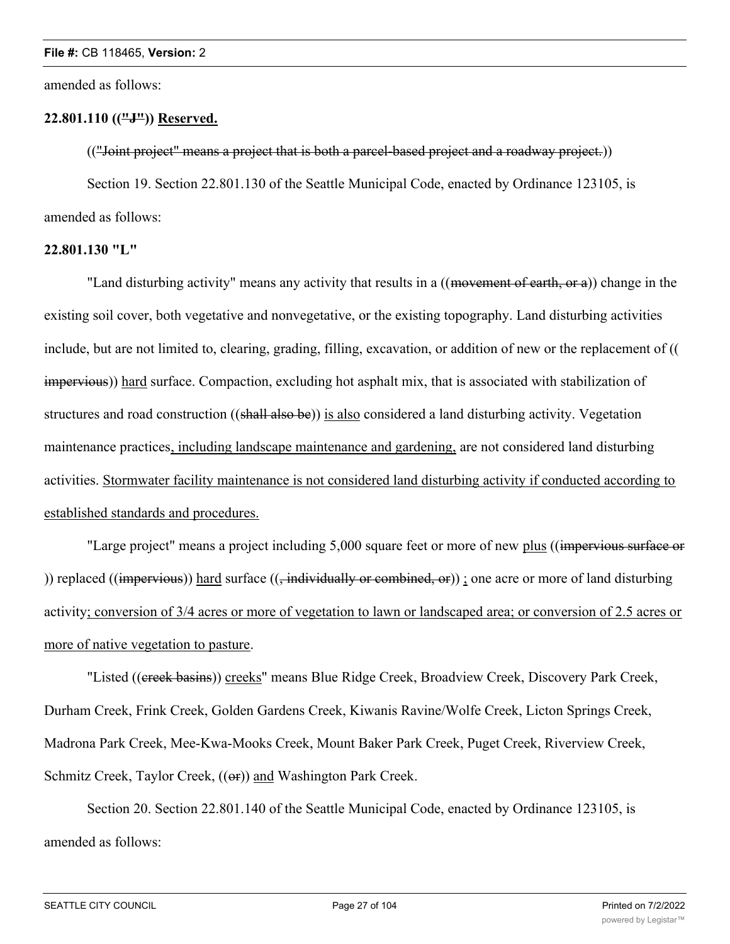amended as follows:

# **22.801.110 (("J")) Reserved.**

(("Joint project" means a project that is both a parcel-based project and a roadway project.))

Section 19. Section 22.801.130 of the Seattle Municipal Code, enacted by Ordinance 123105, is amended as follows:

# **22.801.130 "L"**

"Land disturbing activity" means any activity that results in a ((movement of earth, or a)) change in the existing soil cover, both vegetative and nonvegetative, or the existing topography. Land disturbing activities include, but are not limited to, clearing, grading, filling, excavation, or addition of new or the replacement of (( impervious)) hard surface. Compaction, excluding hot asphalt mix, that is associated with stabilization of structures and road construction ((shall also be)) is also considered a land disturbing activity. Vegetation maintenance practices, including landscape maintenance and gardening, are not considered land disturbing activities. Stormwater facility maintenance is not considered land disturbing activity if conducted according to established standards and procedures.

"Large project" means a project including 5,000 square feet or more of new plus ((impervious surface or )) replaced (( $impervious$ )) hard surface ( $\overline{(-individually or combined, or)}$ ; one acre or more of land disturbing activity; conversion of 3/4 acres or more of vegetation to lawn or landscaped area; or conversion of 2.5 acres or more of native vegetation to pasture.

"Listed ((ereek basins)) creeks" means Blue Ridge Creek, Broadview Creek, Discovery Park Creek, Durham Creek, Frink Creek, Golden Gardens Creek, Kiwanis Ravine/Wolfe Creek, Licton Springs Creek, Madrona Park Creek, Mee-Kwa-Mooks Creek, Mount Baker Park Creek, Puget Creek, Riverview Creek, Schmitz Creek, Taylor Creek, ((or)) and Washington Park Creek.

Section 20. Section 22.801.140 of the Seattle Municipal Code, enacted by Ordinance 123105, is amended as follows: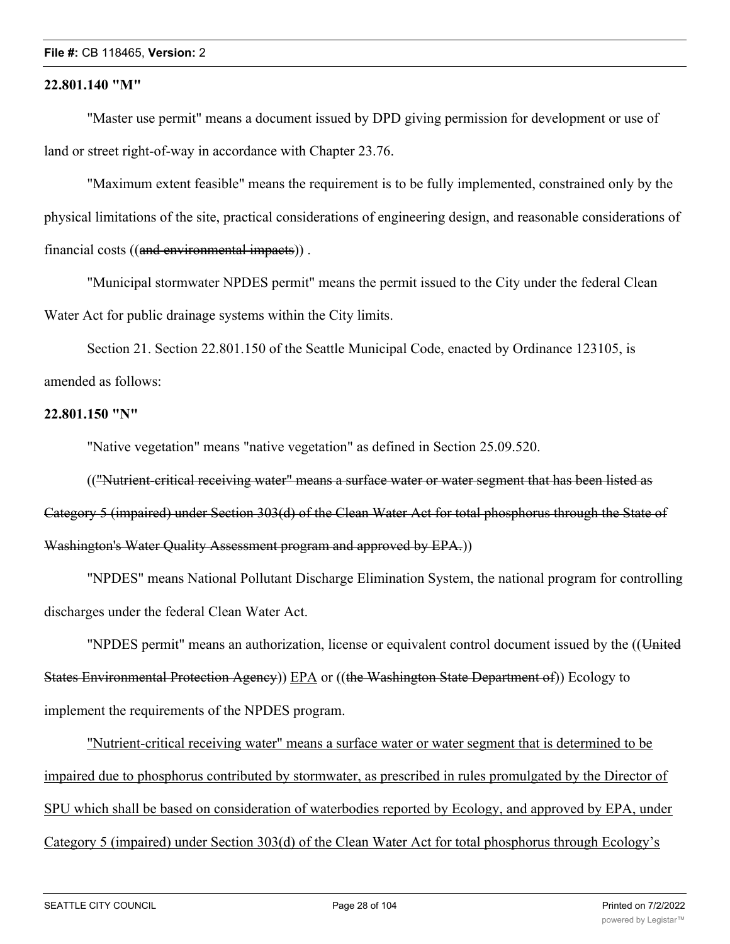#### **22.801.140 "M"**

"Master use permit" means a document issued by DPD giving permission for development or use of land or street right-of-way in accordance with Chapter 23.76.

"Maximum extent feasible" means the requirement is to be fully implemented, constrained only by the physical limitations of the site, practical considerations of engineering design, and reasonable considerations of financial costs ((and environmental impacts)) .

"Municipal stormwater NPDES permit" means the permit issued to the City under the federal Clean Water Act for public drainage systems within the City limits.

Section 21. Section 22.801.150 of the Seattle Municipal Code, enacted by Ordinance 123105, is amended as follows:

#### **22.801.150 "N"**

"Native vegetation" means "native vegetation" as defined in Section 25.09.520.

(("Nutrient-critical receiving water" means a surface water or water segment that has been listed as Category 5 (impaired) under Section 303(d) of the Clean Water Act for total phosphorus through the State of Washington's Water Quality Assessment program and approved by EPA.))

"NPDES" means National Pollutant Discharge Elimination System, the national program for controlling discharges under the federal Clean Water Act.

"NPDES permit" means an authorization, license or equivalent control document issued by the ((United States Environmental Protection Agency)) EPA or ((the Washington State Department of)) Ecology to implement the requirements of the NPDES program.

"Nutrient-critical receiving water" means a surface water or water segment that is determined to be impaired due to phosphorus contributed by stormwater, as prescribed in rules promulgated by the Director of SPU which shall be based on consideration of waterbodies reported by Ecology, and approved by EPA, under Category 5 (impaired) under Section 303(d) of the Clean Water Act for total phosphorus through Ecology's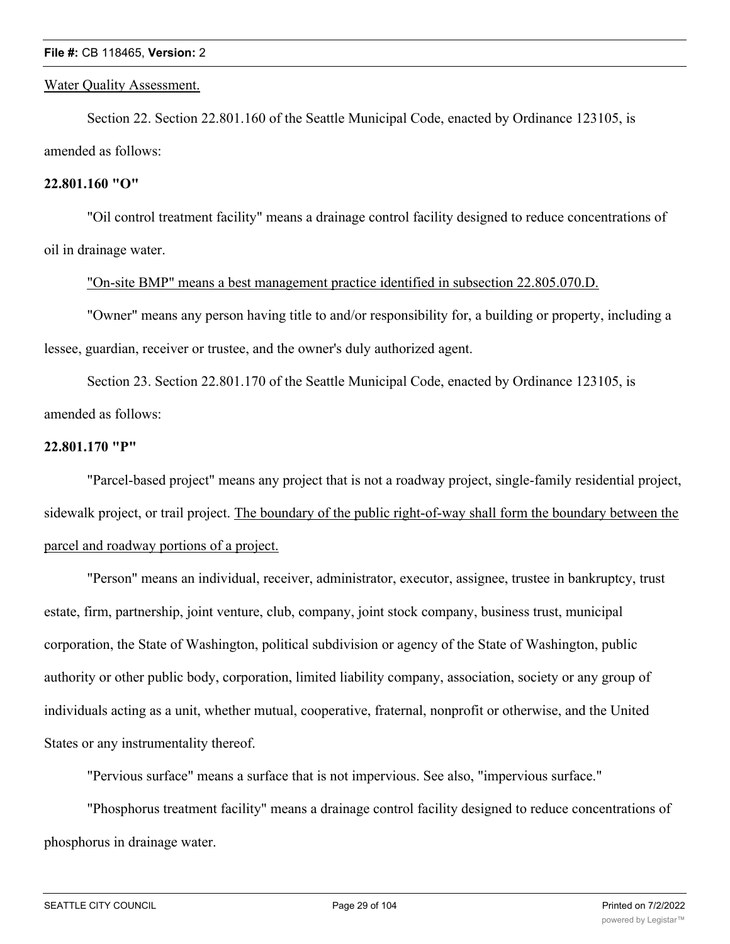#### Water Quality Assessment.

Section 22. Section 22.801.160 of the Seattle Municipal Code, enacted by Ordinance 123105, is amended as follows:

### **22.801.160 "O"**

"Oil control treatment facility" means a drainage control facility designed to reduce concentrations of oil in drainage water.

# "On-site BMP" means a best management practice identified in subsection 22.805.070.D.

"Owner" means any person having title to and/or responsibility for, a building or property, including a lessee, guardian, receiver or trustee, and the owner's duly authorized agent.

Section 23. Section 22.801.170 of the Seattle Municipal Code, enacted by Ordinance 123105, is amended as follows:

# **22.801.170 "P"**

"Parcel-based project" means any project that is not a roadway project, single-family residential project, sidewalk project, or trail project. The boundary of the public right-of-way shall form the boundary between the parcel and roadway portions of a project.

"Person" means an individual, receiver, administrator, executor, assignee, trustee in bankruptcy, trust estate, firm, partnership, joint venture, club, company, joint stock company, business trust, municipal corporation, the State of Washington, political subdivision or agency of the State of Washington, public authority or other public body, corporation, limited liability company, association, society or any group of individuals acting as a unit, whether mutual, cooperative, fraternal, nonprofit or otherwise, and the United States or any instrumentality thereof.

"Pervious surface" means a surface that is not impervious. See also, "impervious surface."

"Phosphorus treatment facility" means a drainage control facility designed to reduce concentrations of phosphorus in drainage water.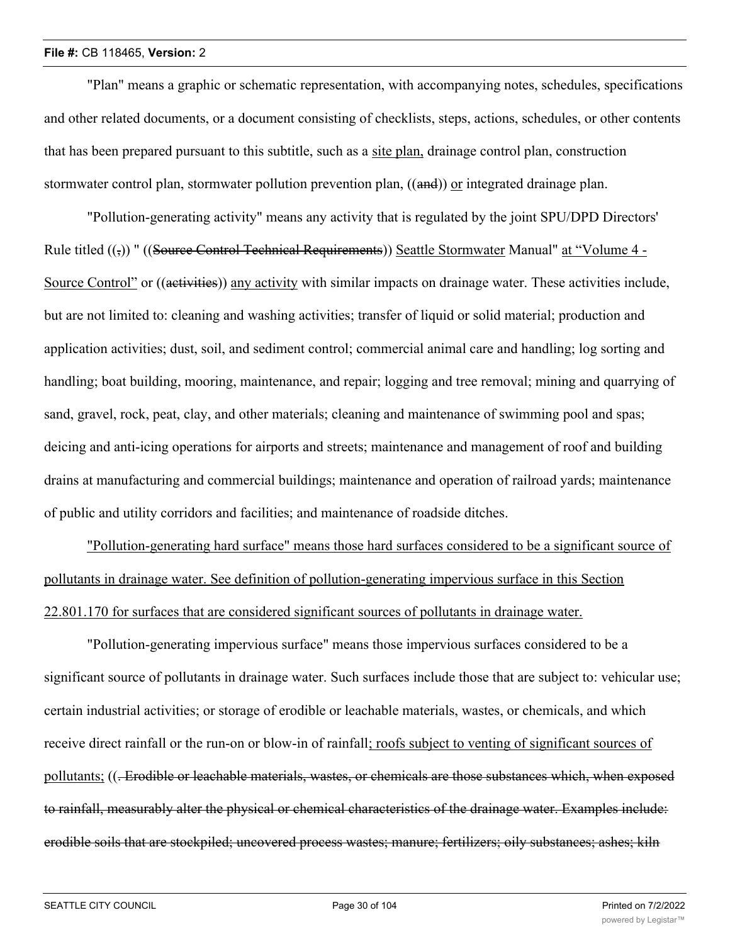"Plan" means a graphic or schematic representation, with accompanying notes, schedules, specifications and other related documents, or a document consisting of checklists, steps, actions, schedules, or other contents that has been prepared pursuant to this subtitle, such as a site plan, drainage control plan, construction stormwater control plan, stormwater pollution prevention plan, ((and)) or integrated drainage plan.

"Pollution-generating activity" means any activity that is regulated by the joint SPU/DPD Directors' Rule titled (( $\overline{z}$ )) " ((Source Control Technical Requirements)) Seattle Stormwater Manual" at "Volume 4 -Source Control" or ((activities)) any activity with similar impacts on drainage water. These activities include, but are not limited to: cleaning and washing activities; transfer of liquid or solid material; production and application activities; dust, soil, and sediment control; commercial animal care and handling; log sorting and handling; boat building, mooring, maintenance, and repair; logging and tree removal; mining and quarrying of sand, gravel, rock, peat, clay, and other materials; cleaning and maintenance of swimming pool and spas; deicing and anti-icing operations for airports and streets; maintenance and management of roof and building drains at manufacturing and commercial buildings; maintenance and operation of railroad yards; maintenance of public and utility corridors and facilities; and maintenance of roadside ditches.

"Pollution-generating hard surface" means those hard surfaces considered to be a significant source of pollutants in drainage water. See definition of pollution-generating impervious surface in this Section 22.801.170 for surfaces that are considered significant sources of pollutants in drainage water.

"Pollution-generating impervious surface" means those impervious surfaces considered to be a significant source of pollutants in drainage water. Such surfaces include those that are subject to: vehicular use; certain industrial activities; or storage of erodible or leachable materials, wastes, or chemicals, and which receive direct rainfall or the run-on or blow-in of rainfall; roofs subject to venting of significant sources of pollutants; ((. Erodible or leachable materials, wastes, or chemicals are those substances which, when exposed to rainfall, measurably alter the physical or chemical characteristics of the drainage water. Examples include: erodible soils that are stockpiled; uncovered process wastes; manure; fertilizers; oily substances; ashes; kiln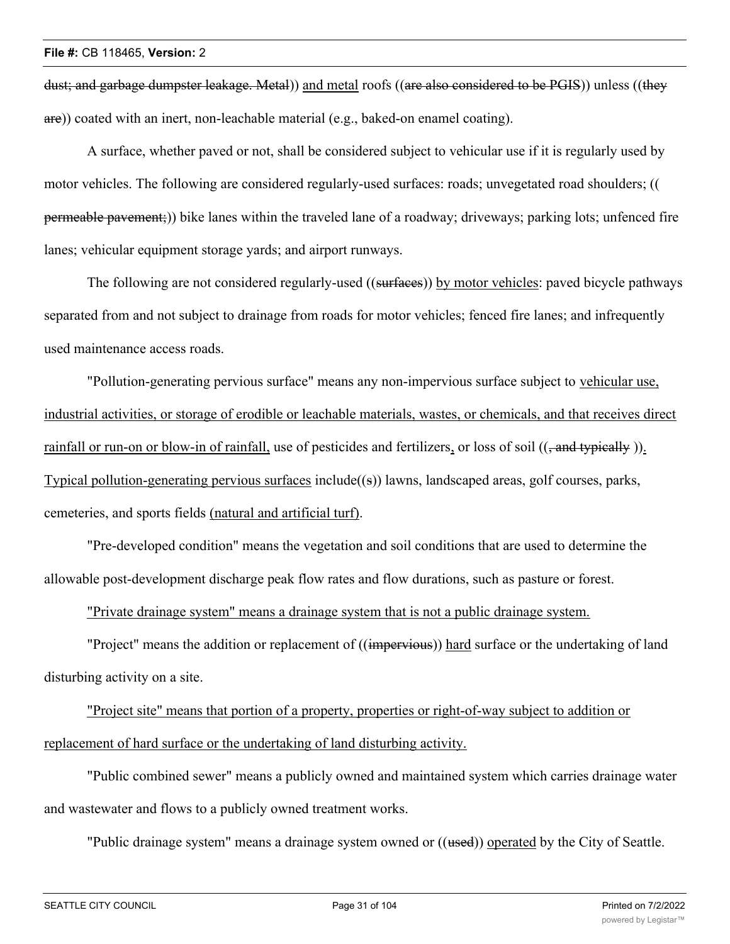dust; and garbage dumpster leakage. Metal)) and metal roofs ((are also considered to be PGIS)) unless ((they are)) coated with an inert, non-leachable material (e.g., baked-on enamel coating).

A surface, whether paved or not, shall be considered subject to vehicular use if it is regularly used by motor vehicles. The following are considered regularly-used surfaces: roads; unvegetated road shoulders; (( permeable pavement;)) bike lanes within the traveled lane of a roadway; driveways; parking lots; unfenced fire lanes; vehicular equipment storage yards; and airport runways.

The following are not considered regularly-used ((surfaces)) by motor vehicles: paved bicycle pathways separated from and not subject to drainage from roads for motor vehicles; fenced fire lanes; and infrequently used maintenance access roads.

"Pollution-generating pervious surface" means any non-impervious surface subject to vehicular use, industrial activities, or storage of erodible or leachable materials, wastes, or chemicals, and that receives direct rainfall or run-on or blow-in of rainfall, use of pesticides and fertilizers, or loss of soil  $((, and typically))$ . Typical pollution-generating pervious surfaces include $((s))$  lawns, landscaped areas, golf courses, parks, cemeteries, and sports fields (natural and artificial turf).

"Pre-developed condition" means the vegetation and soil conditions that are used to determine the allowable post-development discharge peak flow rates and flow durations, such as pasture or forest.

"Private drainage system" means a drainage system that is not a public drainage system.

"Project" means the addition or replacement of ((impervious)) hard surface or the undertaking of land disturbing activity on a site.

"Project site" means that portion of a property, properties or right-of-way subject to addition or replacement of hard surface or the undertaking of land disturbing activity.

"Public combined sewer" means a publicly owned and maintained system which carries drainage water and wastewater and flows to a publicly owned treatment works.

"Public drainage system" means a drainage system owned or ((used)) operated by the City of Seattle.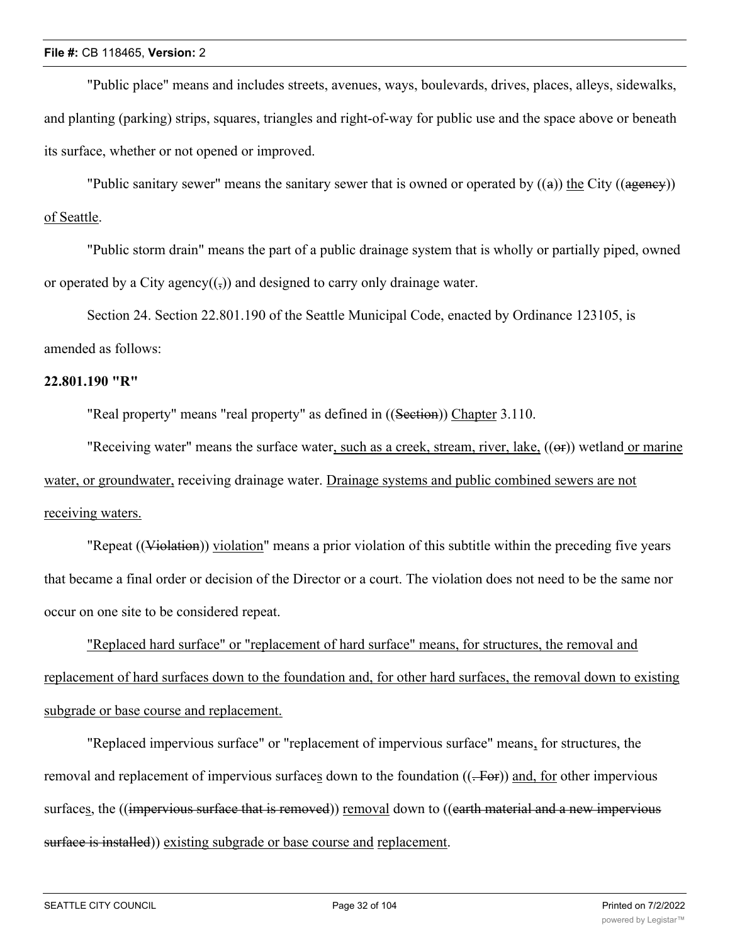"Public place" means and includes streets, avenues, ways, boulevards, drives, places, alleys, sidewalks, and planting (parking) strips, squares, triangles and right-of-way for public use and the space above or beneath its surface, whether or not opened or improved.

"Public sanitary sewer" means the sanitary sewer that is owned or operated by  $((a))$  the City  $((ageney))$ of Seattle.

"Public storm drain" means the part of a public drainage system that is wholly or partially piped, owned or operated by a City agency( $(\cdot)$ ) and designed to carry only drainage water.

Section 24. Section 22.801.190 of the Seattle Municipal Code, enacted by Ordinance 123105, is amended as follows:

#### **22.801.190 "R"**

"Real property" means "real property" as defined in ((Section)) Chapter 3.110.

"Receiving water" means the surface water, such as a creek, stream, river, lake, ((or)) wetland or marine water, or groundwater, receiving drainage water. Drainage systems and public combined sewers are not receiving waters.

"Repeat ((Violation)) violation" means a prior violation of this subtitle within the preceding five years that became a final order or decision of the Director or a court. The violation does not need to be the same nor occur on one site to be considered repeat.

"Replaced hard surface" or "replacement of hard surface" means, for structures, the removal and replacement of hard surfaces down to the foundation and, for other hard surfaces, the removal down to existing subgrade or base course and replacement.

"Replaced impervious surface" or "replacement of impervious surface" means, for structures, the removal and replacement of impervious surfaces down to the foundation  $((\text{-}For))$  and, for other impervious surfaces, the ((impervious surface that is removed)) removal down to ((earth material and a new impervious surface is installed)) existing subgrade or base course and replacement.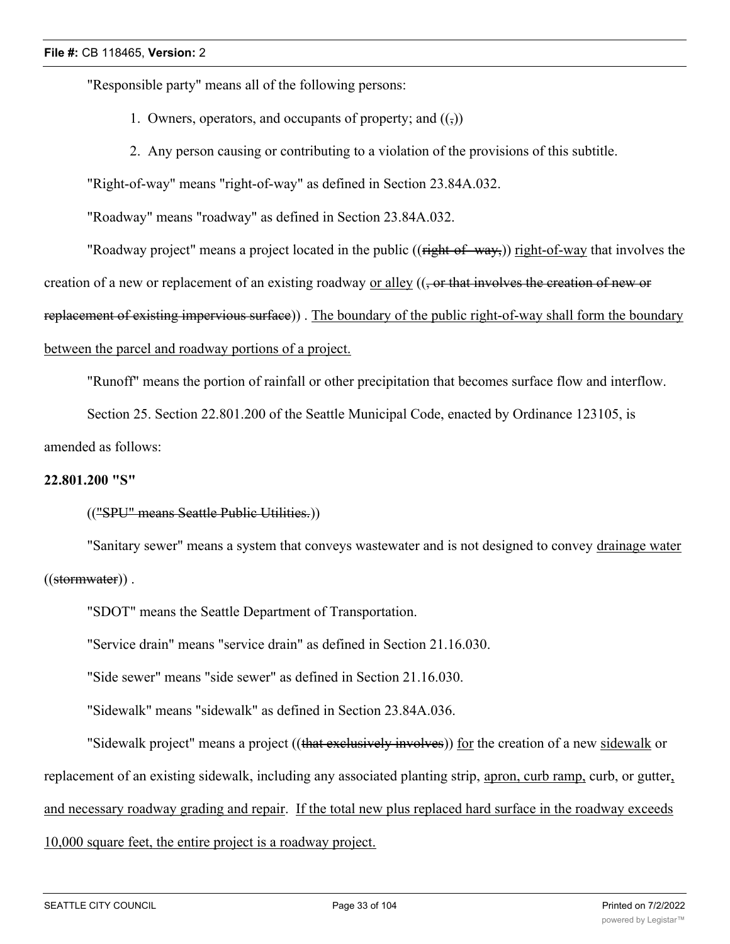"Responsible party" means all of the following persons:

- 1. Owners, operators, and occupants of property; and  $((\tau))$
- 2. Any person causing or contributing to a violation of the provisions of this subtitle.

"Right-of-way" means "right-of-way" as defined in Section 23.84A.032.

"Roadway" means "roadway" as defined in Section 23.84A.032.

"Roadway project" means a project located in the public ((right-of-way,)) right-of-way that involves the

creation of a new or replacement of an existing roadway or alley  $((\frac{\pi}{2})$  or that involves the creation of new or

replacement of existing impervious surface)). The boundary of the public right-of-way shall form the boundary

# between the parcel and roadway portions of a project.

"Runoff" means the portion of rainfall or other precipitation that becomes surface flow and interflow.

Section 25. Section 22.801.200 of the Seattle Municipal Code, enacted by Ordinance 123105, is

#### amended as follows:

#### **22.801.200 "S"**

#### (("SPU" means Seattle Public Utilities.))

"Sanitary sewer" means a system that conveys wastewater and is not designed to convey drainage water ((stormwater)) .

"SDOT" means the Seattle Department of Transportation.

"Service drain" means "service drain" as defined in Section 21.16.030.

"Side sewer" means "side sewer" as defined in Section 21.16.030.

"Sidewalk" means "sidewalk" as defined in Section 23.84A.036.

"Sidewalk project" means a project ((that exclusively involves)) for the creation of a new sidewalk or replacement of an existing sidewalk, including any associated planting strip, apron, curb ramp, curb, or gutter, and necessary roadway grading and repair. If the total new plus replaced hard surface in the roadway exceeds 10,000 square feet, the entire project is a roadway project.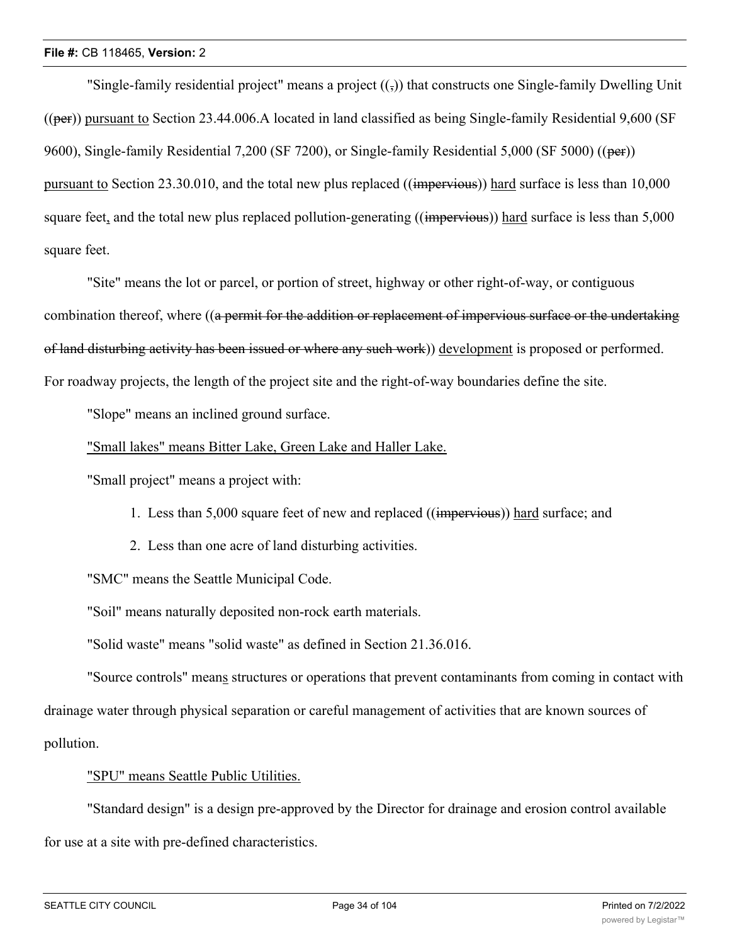"Single-family residential project" means a project  $((\tau))$  that constructs one Single-family Dwelling Unit  $((per))$  pursuant to Section 23.44.006.A located in land classified as being Single-family Residential 9,600 (SF) 9600), Single-family Residential 7,200 (SF 7200), or Single-family Residential 5,000 (SF 5000) ((per)) pursuant to Section 23.30.010, and the total new plus replaced ((impervious)) hard surface is less than 10,000 square feet, and the total new plus replaced pollution-generating ((impervious)) hard surface is less than 5,000 square feet.

"Site" means the lot or parcel, or portion of street, highway or other right-of-way, or contiguous combination thereof, where ((a permit for the addition or replacement of impervious surface or the undertaking of land disturbing activity has been issued or where any such work)) development is proposed or performed. For roadway projects, the length of the project site and the right-of-way boundaries define the site.

"Slope" means an inclined ground surface.

"Small lakes" means Bitter Lake, Green Lake and Haller Lake.

"Small project" means a project with:

- 1. Less than 5,000 square feet of new and replaced ((impervious)) hard surface; and
- 2. Less than one acre of land disturbing activities.

"SMC" means the Seattle Municipal Code.

"Soil" means naturally deposited non-rock earth materials.

"Solid waste" means "solid waste" as defined in Section 21.36.016.

"Source controls" means structures or operations that prevent contaminants from coming in contact with drainage water through physical separation or careful management of activities that are known sources of pollution.

# "SPU" means Seattle Public Utilities.

"Standard design" is a design pre-approved by the Director for drainage and erosion control available for use at a site with pre-defined characteristics.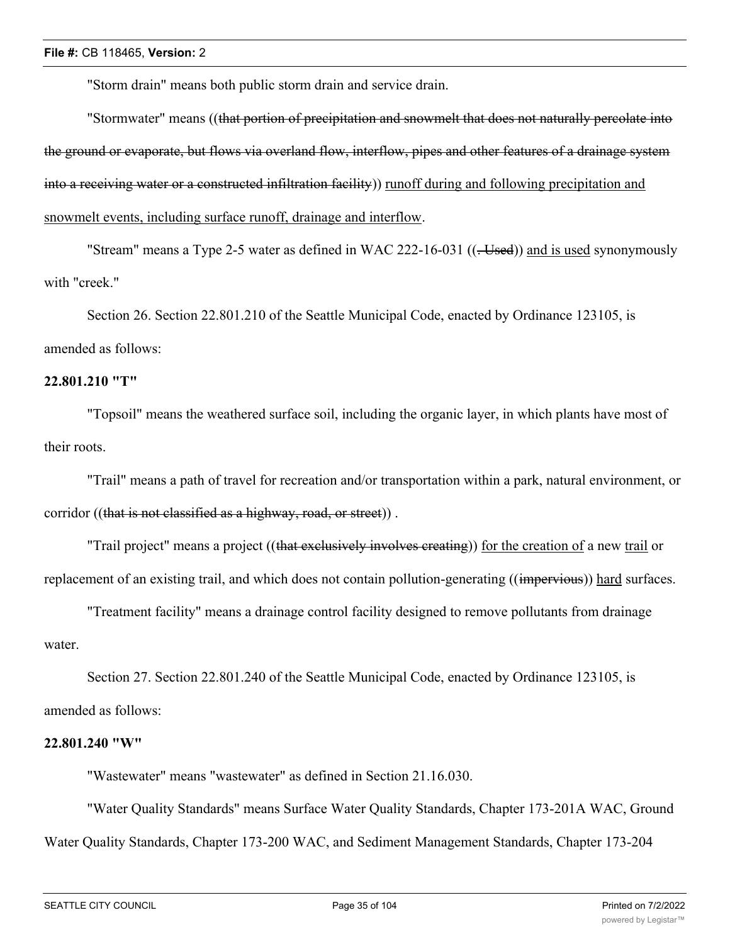"Storm drain" means both public storm drain and service drain.

"Stormwater" means ((that portion of precipitation and snowmelt that does not naturally percolate into the ground or evaporate, but flows via overland flow, interflow, pipes and other features of a drainage system into a receiving water or a constructed infiltration facility)) runoff during and following precipitation and snowmelt events, including surface runoff, drainage and interflow.

"Stream" means a Type 2-5 water as defined in WAC 222-16-031 ((-Used)) and is used synonymously with "creek."

Section 26. Section 22.801.210 of the Seattle Municipal Code, enacted by Ordinance 123105, is amended as follows:

#### **22.801.210 "T"**

"Topsoil" means the weathered surface soil, including the organic layer, in which plants have most of their roots.

"Trail" means a path of travel for recreation and/or transportation within a park, natural environment, or corridor ((that is not classified as a highway, road, or street)).

"Trail project" means a project ((that exclusively involves creating)) for the creation of a new trail or replacement of an existing trail, and which does not contain pollution-generating ((impervious)) hard surfaces.

"Treatment facility" means a drainage control facility designed to remove pollutants from drainage water.

Section 27. Section 22.801.240 of the Seattle Municipal Code, enacted by Ordinance 123105, is amended as follows:

#### **22.801.240 "W"**

"Wastewater" means "wastewater" as defined in Section 21.16.030.

"Water Quality Standards" means Surface Water Quality Standards, Chapter 173-201A WAC, Ground Water Quality Standards, Chapter 173-200 WAC, and Sediment Management Standards, Chapter 173-204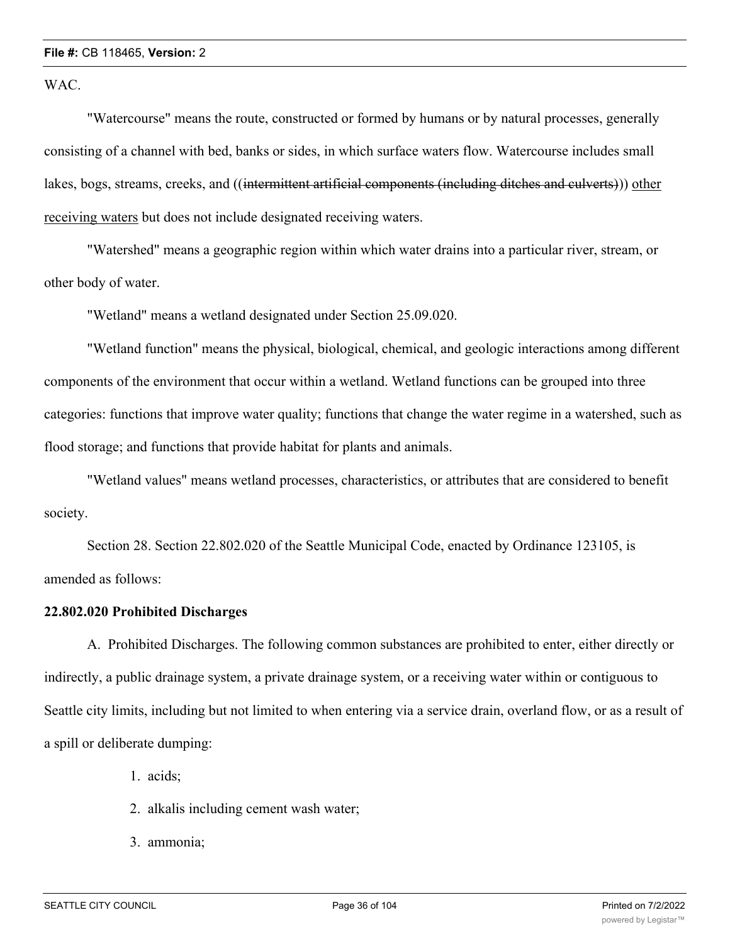WAC.

"Watercourse" means the route, constructed or formed by humans or by natural processes, generally consisting of a channel with bed, banks or sides, in which surface waters flow. Watercourse includes small lakes, bogs, streams, creeks, and ((intermittent artificial components (including ditches and culverts))) other receiving waters but does not include designated receiving waters.

"Watershed" means a geographic region within which water drains into a particular river, stream, or other body of water.

"Wetland" means a wetland designated under Section 25.09.020.

"Wetland function" means the physical, biological, chemical, and geologic interactions among different components of the environment that occur within a wetland. Wetland functions can be grouped into three categories: functions that improve water quality; functions that change the water regime in a watershed, such as flood storage; and functions that provide habitat for plants and animals.

"Wetland values" means wetland processes, characteristics, or attributes that are considered to benefit society.

Section 28. Section 22.802.020 of the Seattle Municipal Code, enacted by Ordinance 123105, is amended as follows:

#### **22.802.020 Prohibited Discharges**

A. Prohibited Discharges. The following common substances are prohibited to enter, either directly or indirectly, a public drainage system, a private drainage system, or a receiving water within or contiguous to Seattle city limits, including but not limited to when entering via a service drain, overland flow, or as a result of a spill or deliberate dumping:

- 1. acids;
- 2. alkalis including cement wash water;
- 3. ammonia;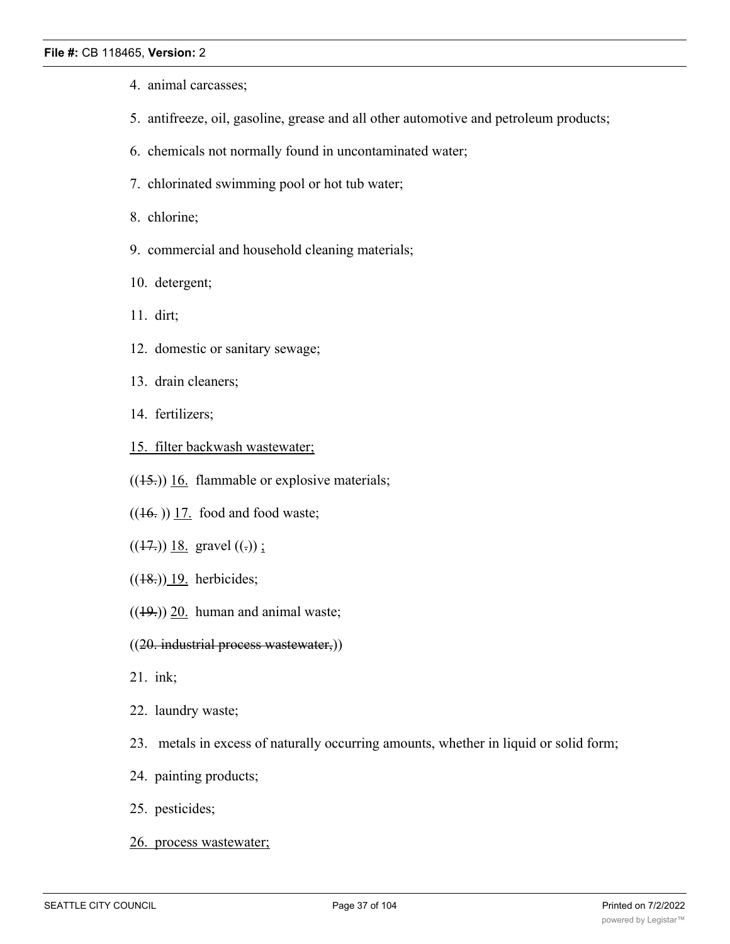- 4. animal carcasses;
- 5. antifreeze, oil, gasoline, grease and all other automotive and petroleum products;
- 6. chemicals not normally found in uncontaminated water;
- 7. chlorinated swimming pool or hot tub water;
- 8. chlorine;
- 9. commercial and household cleaning materials;
- 10. detergent;
- 11. dirt;
- 12. domestic or sanitary sewage;
- 13. drain cleaners;
- 14. fertilizers;
- 15. filter backwash wastewater;
- $((15))$  16. flammable or explosive materials;
- $((16.))$  17. food and food waste;
- $((17.))$  18. gravel  $((.))$ ;
- $((18.))$  19. herbicides;
- $((19))$  20. human and animal waste;
- ((20. industrial process wastewater,))
- 21. ink;
- 22. laundry waste;
- 23. metals in excess of naturally occurring amounts, whether in liquid or solid form;
- 24. painting products;
- 25. pesticides;
- 26. process wastewater;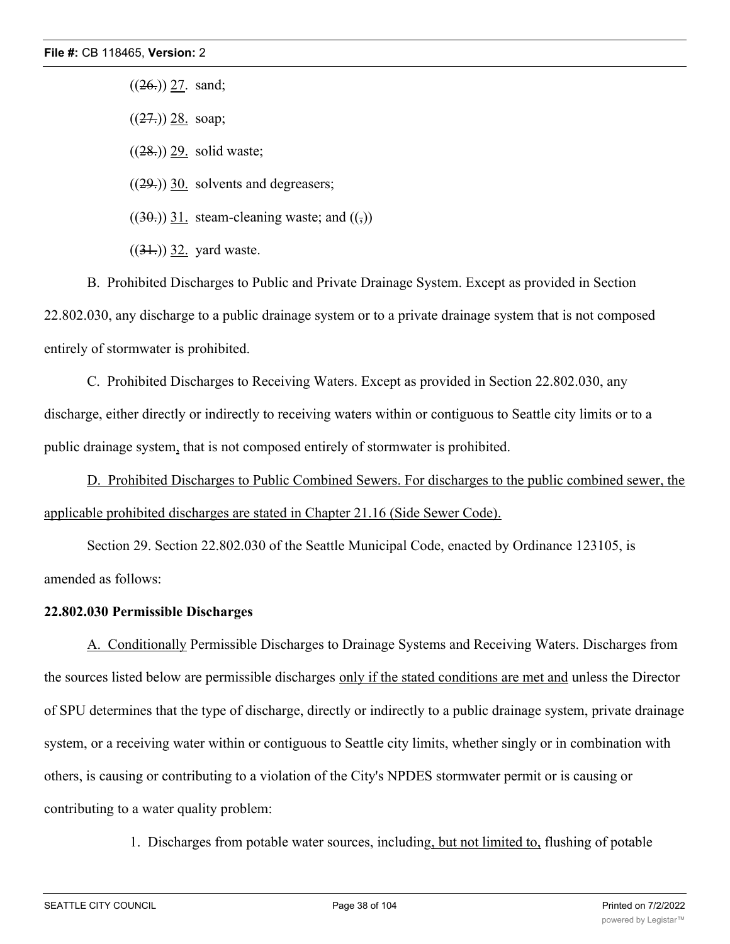$((26.))$  27. sand;

 $((27.))$  28. soap;

 $((28.))$  29. solid waste;

 $((29))$  30. solvents and degreasers;

 $((30))$  31. steam-cleaning waste; and  $((\tau))$ 

 $((31))$  32. yard waste.

B. Prohibited Discharges to Public and Private Drainage System. Except as provided in Section 22.802.030, any discharge to a public drainage system or to a private drainage system that is not composed entirely of stormwater is prohibited.

C. Prohibited Discharges to Receiving Waters. Except as provided in Section 22.802.030, any discharge, either directly or indirectly to receiving waters within or contiguous to Seattle city limits or to a public drainage system, that is not composed entirely of stormwater is prohibited.

D. Prohibited Discharges to Public Combined Sewers. For discharges to the public combined sewer, the applicable prohibited discharges are stated in Chapter 21.16 (Side Sewer Code).

Section 29. Section 22.802.030 of the Seattle Municipal Code, enacted by Ordinance 123105, is amended as follows:

### **22.802.030 Permissible Discharges**

A. Conditionally Permissible Discharges to Drainage Systems and Receiving Waters. Discharges from the sources listed below are permissible discharges only if the stated conditions are met and unless the Director of SPU determines that the type of discharge, directly or indirectly to a public drainage system, private drainage system, or a receiving water within or contiguous to Seattle city limits, whether singly or in combination with others, is causing or contributing to a violation of the City's NPDES stormwater permit or is causing or contributing to a water quality problem:

1. Discharges from potable water sources, including, but not limited to, flushing of potable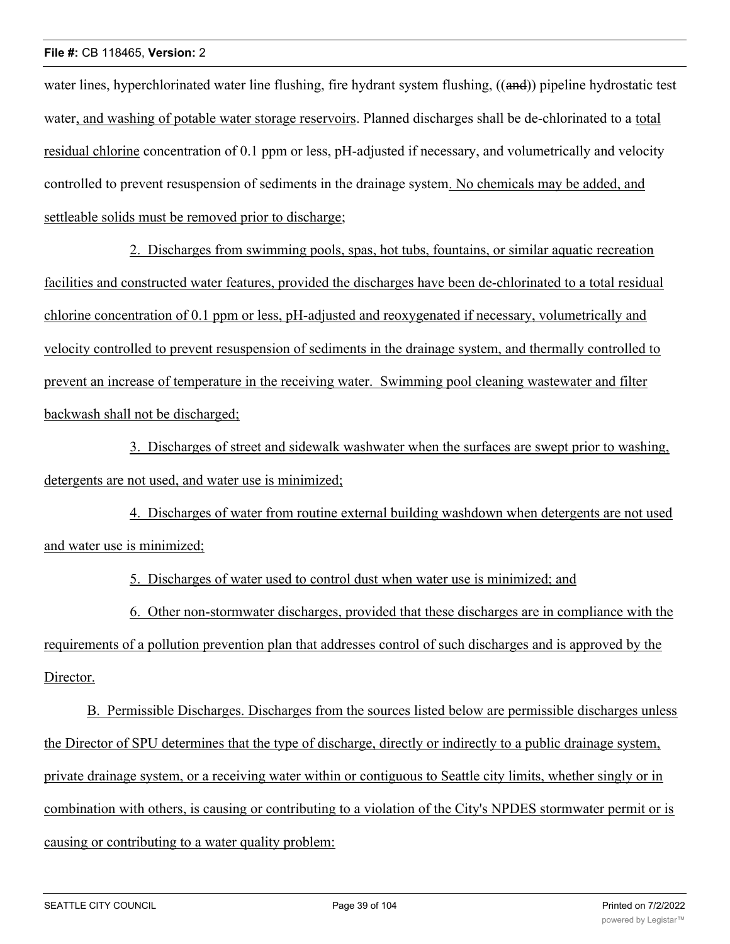water lines, hyperchlorinated water line flushing, fire hydrant system flushing, ((and)) pipeline hydrostatic test water, and washing of potable water storage reservoirs. Planned discharges shall be de-chlorinated to a total residual chlorine concentration of 0.1 ppm or less, pH-adjusted if necessary, and volumetrically and velocity controlled to prevent resuspension of sediments in the drainage system. No chemicals may be added, and settleable solids must be removed prior to discharge;

2. Discharges from swimming pools, spas, hot tubs, fountains, or similar aquatic recreation facilities and constructed water features, provided the discharges have been de-chlorinated to a total residual chlorine concentration of 0.1 ppm or less, pH-adjusted and reoxygenated if necessary, volumetrically and velocity controlled to prevent resuspension of sediments in the drainage system, and thermally controlled to prevent an increase of temperature in the receiving water. Swimming pool cleaning wastewater and filter backwash shall not be discharged;

3. Discharges of street and sidewalk washwater when the surfaces are swept prior to washing, detergents are not used, and water use is minimized;

4. Discharges of water from routine external building washdown when detergents are not used and water use is minimized;

5. Discharges of water used to control dust when water use is minimized; and

6. Other non-stormwater discharges, provided that these discharges are in compliance with the requirements of a pollution prevention plan that addresses control of such discharges and is approved by the Director.

B. Permissible Discharges. Discharges from the sources listed below are permissible discharges unless the Director of SPU determines that the type of discharge, directly or indirectly to a public drainage system, private drainage system, or a receiving water within or contiguous to Seattle city limits, whether singly or in combination with others, is causing or contributing to a violation of the City's NPDES stormwater permit or is causing or contributing to a water quality problem: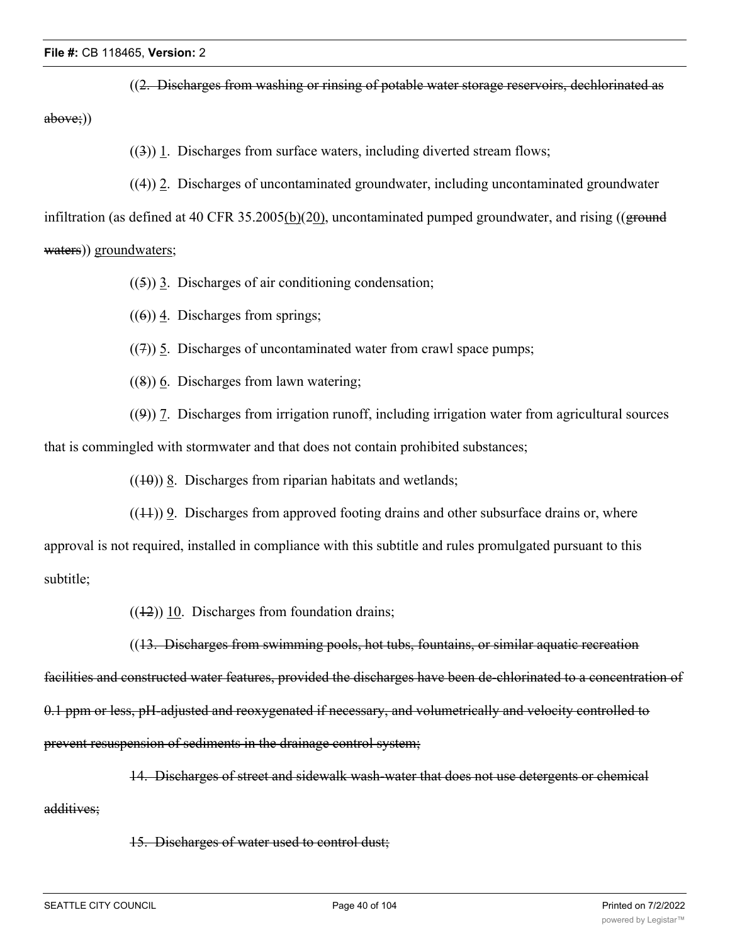((2. Discharges from washing or rinsing of potable water storage reservoirs, dechlorinated as above;))

((3)) 1. Discharges from surface waters, including diverted stream flows;

((4)) 2. Discharges of uncontaminated groundwater, including uncontaminated groundwater

infiltration (as defined at 40 CFR 35.2005(b)(20), uncontaminated pumped groundwater, and rising ((ground waters)) groundwaters;

 $((5))$  3. Discharges of air conditioning condensation;

 $((6))$  4. Discharges from springs;

 $((7))$  5. Discharges of uncontaminated water from crawl space pumps;

 $((8))$  6. Discharges from lawn watering;

((9)) 7. Discharges from irrigation runoff, including irrigation water from agricultural sources that is commingled with stormwater and that does not contain prohibited substances;

 $((10))$  8. Discharges from riparian habitats and wetlands;

 $((1+1))$  9. Discharges from approved footing drains and other subsurface drains or, where approval is not required, installed in compliance with this subtitle and rules promulgated pursuant to this subtitle;

 $((12))$  10. Discharges from foundation drains;

((13. Discharges from swimming pools, hot tubs, fountains, or similar aquatic recreation

facilities and constructed water features, provided the discharges have been de-chlorinated to a concentration of 0.1 ppm or less, pH-adjusted and reoxygenated if necessary, and volumetrically and velocity controlled to prevent resuspension of sediments in the drainage control system;

14. Discharges of street and sidewalk wash-water that does not use detergents or chemical

additives;

15. Discharges of water used to control dust;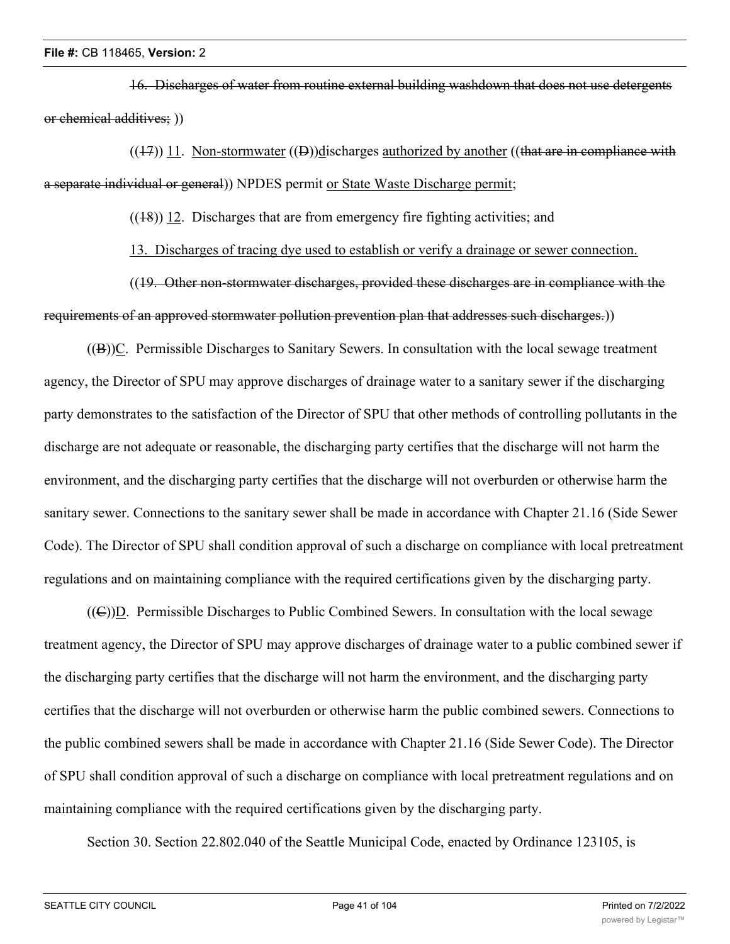16. Discharges of water from routine external building washdown that does not use detergents or chemical additives; ))

 $((17))$  11. Non-stormwater  $((D))$ discharges authorized by another ((that are in compliance with a separate individual or general)) NPDES permit or State Waste Discharge permit;

 $((18))$  12. Discharges that are from emergency fire fighting activities; and

13. Discharges of tracing dye used to establish or verify a drainage or sewer connection.

((19. Other non-stormwater discharges, provided these discharges are in compliance with the requirements of an approved stormwater pollution prevention plan that addresses such discharges.))

((B))C. Permissible Discharges to Sanitary Sewers. In consultation with the local sewage treatment agency, the Director of SPU may approve discharges of drainage water to a sanitary sewer if the discharging party demonstrates to the satisfaction of the Director of SPU that other methods of controlling pollutants in the discharge are not adequate or reasonable, the discharging party certifies that the discharge will not harm the environment, and the discharging party certifies that the discharge will not overburden or otherwise harm the sanitary sewer. Connections to the sanitary sewer shall be made in accordance with Chapter 21.16 (Side Sewer Code). The Director of SPU shall condition approval of such a discharge on compliance with local pretreatment regulations and on maintaining compliance with the required certifications given by the discharging party.

((C))D. Permissible Discharges to Public Combined Sewers. In consultation with the local sewage treatment agency, the Director of SPU may approve discharges of drainage water to a public combined sewer if the discharging party certifies that the discharge will not harm the environment, and the discharging party certifies that the discharge will not overburden or otherwise harm the public combined sewers. Connections to the public combined sewers shall be made in accordance with Chapter 21.16 (Side Sewer Code). The Director of SPU shall condition approval of such a discharge on compliance with local pretreatment regulations and on maintaining compliance with the required certifications given by the discharging party.

Section 30. Section 22.802.040 of the Seattle Municipal Code, enacted by Ordinance 123105, is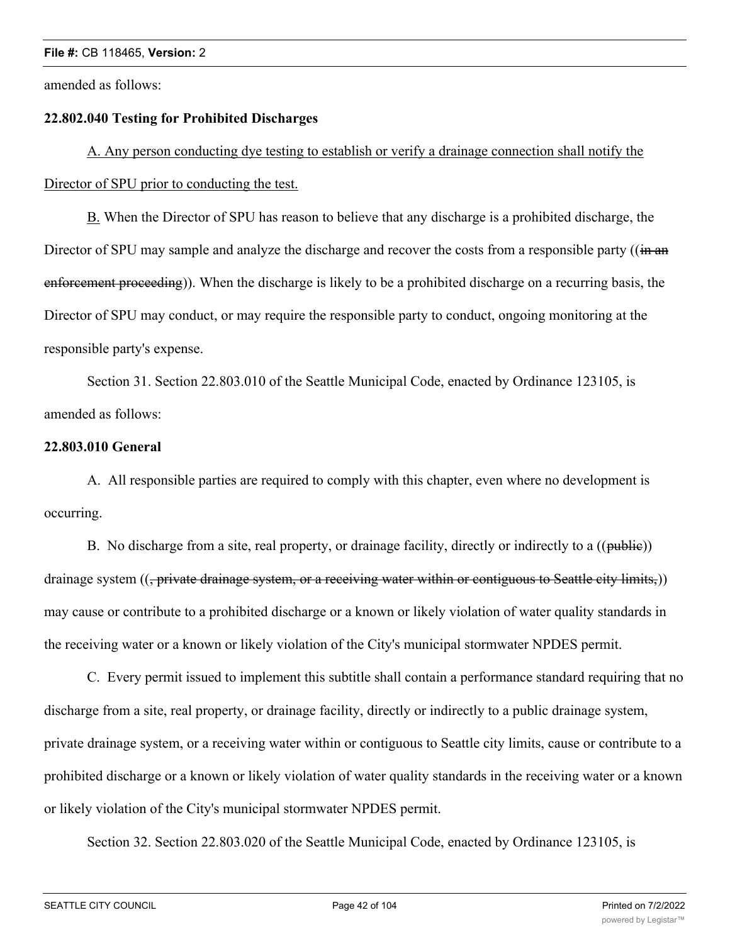amended as follows:

#### **22.802.040 Testing for Prohibited Discharges**

A. Any person conducting dye testing to establish or verify a drainage connection shall notify the Director of SPU prior to conducting the test.

B. When the Director of SPU has reason to believe that any discharge is a prohibited discharge, the Director of SPU may sample and analyze the discharge and recover the costs from a responsible party ((in an enforcement proceeding)). When the discharge is likely to be a prohibited discharge on a recurring basis, the Director of SPU may conduct, or may require the responsible party to conduct, ongoing monitoring at the responsible party's expense.

Section 31. Section 22.803.010 of the Seattle Municipal Code, enacted by Ordinance 123105, is amended as follows:

#### **22.803.010 General**

A. All responsible parties are required to comply with this chapter, even where no development is occurring.

B. No discharge from a site, real property, or drainage facility, directly or indirectly to a ((public)) drainage system ((<del>, private drainage system, or a receiving water within or contiguous to Seattle city limits,</del>)) may cause or contribute to a prohibited discharge or a known or likely violation of water quality standards in the receiving water or a known or likely violation of the City's municipal stormwater NPDES permit.

C. Every permit issued to implement this subtitle shall contain a performance standard requiring that no discharge from a site, real property, or drainage facility, directly or indirectly to a public drainage system, private drainage system, or a receiving water within or contiguous to Seattle city limits, cause or contribute to a prohibited discharge or a known or likely violation of water quality standards in the receiving water or a known or likely violation of the City's municipal stormwater NPDES permit.

Section 32. Section 22.803.020 of the Seattle Municipal Code, enacted by Ordinance 123105, is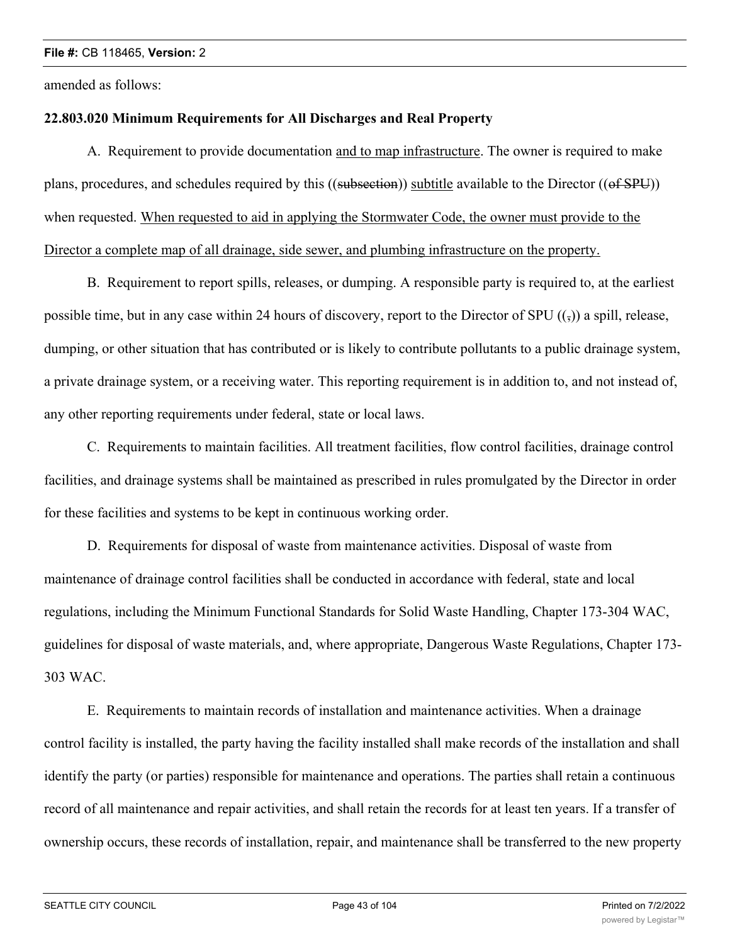amended as follows:

## **22.803.020 Minimum Requirements for All Discharges and Real Property**

A. Requirement to provide documentation and to map infrastructure. The owner is required to make plans, procedures, and schedules required by this ((subsection)) subtitle available to the Director ((of SPU)) when requested. When requested to aid in applying the Stormwater Code, the owner must provide to the Director a complete map of all drainage, side sewer, and plumbing infrastructure on the property.

B. Requirement to report spills, releases, or dumping. A responsible party is required to, at the earliest possible time, but in any case within 24 hours of discovery, report to the Director of SPU  $((\tau))$  a spill, release, dumping, or other situation that has contributed or is likely to contribute pollutants to a public drainage system, a private drainage system, or a receiving water. This reporting requirement is in addition to, and not instead of, any other reporting requirements under federal, state or local laws.

C. Requirements to maintain facilities. All treatment facilities, flow control facilities, drainage control facilities, and drainage systems shall be maintained as prescribed in rules promulgated by the Director in order for these facilities and systems to be kept in continuous working order.

D. Requirements for disposal of waste from maintenance activities. Disposal of waste from maintenance of drainage control facilities shall be conducted in accordance with federal, state and local regulations, including the Minimum Functional Standards for Solid Waste Handling, Chapter 173-304 WAC, guidelines for disposal of waste materials, and, where appropriate, Dangerous Waste Regulations, Chapter 173- 303 WAC.

E. Requirements to maintain records of installation and maintenance activities. When a drainage control facility is installed, the party having the facility installed shall make records of the installation and shall identify the party (or parties) responsible for maintenance and operations. The parties shall retain a continuous record of all maintenance and repair activities, and shall retain the records for at least ten years. If a transfer of ownership occurs, these records of installation, repair, and maintenance shall be transferred to the new property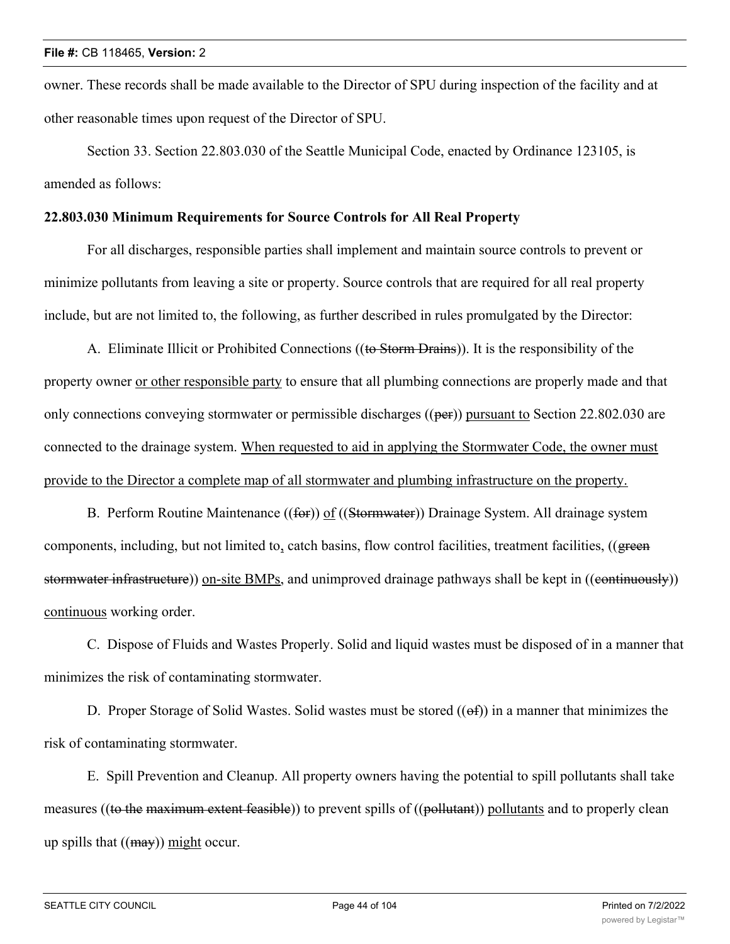owner. These records shall be made available to the Director of SPU during inspection of the facility and at other reasonable times upon request of the Director of SPU.

Section 33. Section 22.803.030 of the Seattle Municipal Code, enacted by Ordinance 123105, is amended as follows:

#### **22.803.030 Minimum Requirements for Source Controls for All Real Property**

For all discharges, responsible parties shall implement and maintain source controls to prevent or minimize pollutants from leaving a site or property. Source controls that are required for all real property include, but are not limited to, the following, as further described in rules promulgated by the Director:

A. Eliminate Illicit or Prohibited Connections ((to Storm Drains)). It is the responsibility of the property owner or other responsible party to ensure that all plumbing connections are properly made and that only connections conveying stormwater or permissible discharges ((per)) pursuant to Section 22.802.030 are connected to the drainage system. When requested to aid in applying the Stormwater Code, the owner must provide to the Director a complete map of all stormwater and plumbing infrastructure on the property.

B. Perform Routine Maintenance ((for)) of ((Stormwater)) Drainage System. All drainage system components, including, but not limited to, catch basins, flow control facilities, treatment facilities, ((green stormwater infrastructure)) on-site BMPs, and unimproved drainage pathways shall be kept in ((continuously)) continuous working order.

C. Dispose of Fluids and Wastes Properly. Solid and liquid wastes must be disposed of in a manner that minimizes the risk of contaminating stormwater.

D. Proper Storage of Solid Wastes. Solid wastes must be stored  $((ef))$  in a manner that minimizes the risk of contaminating stormwater.

E. Spill Prevention and Cleanup. All property owners having the potential to spill pollutants shall take measures ((to the maximum extent feasible)) to prevent spills of ((pollutant)) pollutants and to properly clean up spills that  $((\text{may})$  might occur.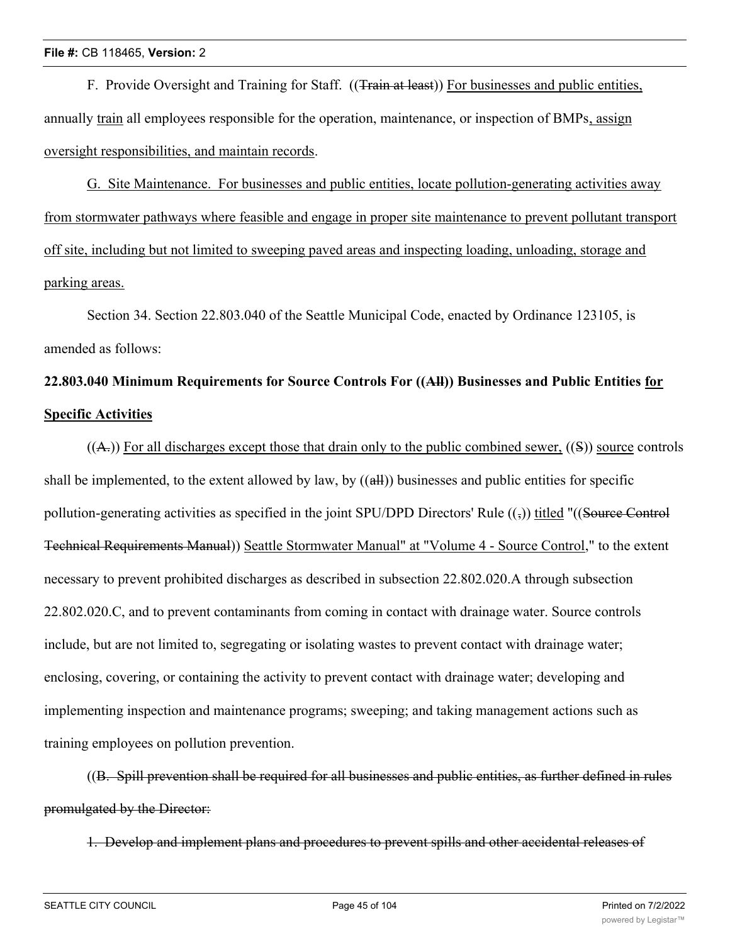F. Provide Oversight and Training for Staff. ((Train at least)) For businesses and public entities, annually train all employees responsible for the operation, maintenance, or inspection of BMPs, assign oversight responsibilities, and maintain records.

G. Site Maintenance. For businesses and public entities, locate pollution-generating activities away from stormwater pathways where feasible and engage in proper site maintenance to prevent pollutant transport off site, including but not limited to sweeping paved areas and inspecting loading, unloading, storage and parking areas.

Section 34. Section 22.803.040 of the Seattle Municipal Code, enacted by Ordinance 123105, is amended as follows:

# **22.803.040 Minimum Requirements for Source Controls For ((All)) Businesses and Public Entities for Specific Activities**

 $((A<sub>r</sub>))$  For all discharges except those that drain only to the public combined sewer,  $((S))$  source controls shall be implemented, to the extent allowed by law, by ((all)) businesses and public entities for specific pollution-generating activities as specified in the joint SPU/DPD Directors' Rule  $((\frac{1}{2}))$  titled "((Source Control Technical Requirements Manual)) Seattle Stormwater Manual" at "Volume 4 - Source Control," to the extent necessary to prevent prohibited discharges as described in subsection 22.802.020.A through subsection 22.802.020.C, and to prevent contaminants from coming in contact with drainage water. Source controls include, but are not limited to, segregating or isolating wastes to prevent contact with drainage water; enclosing, covering, or containing the activity to prevent contact with drainage water; developing and implementing inspection and maintenance programs; sweeping; and taking management actions such as training employees on pollution prevention.

((B. Spill prevention shall be required for all businesses and public entities, as further defined in rules promulgated by the Director:

1. Develop and implement plans and procedures to prevent spills and other accidental releases of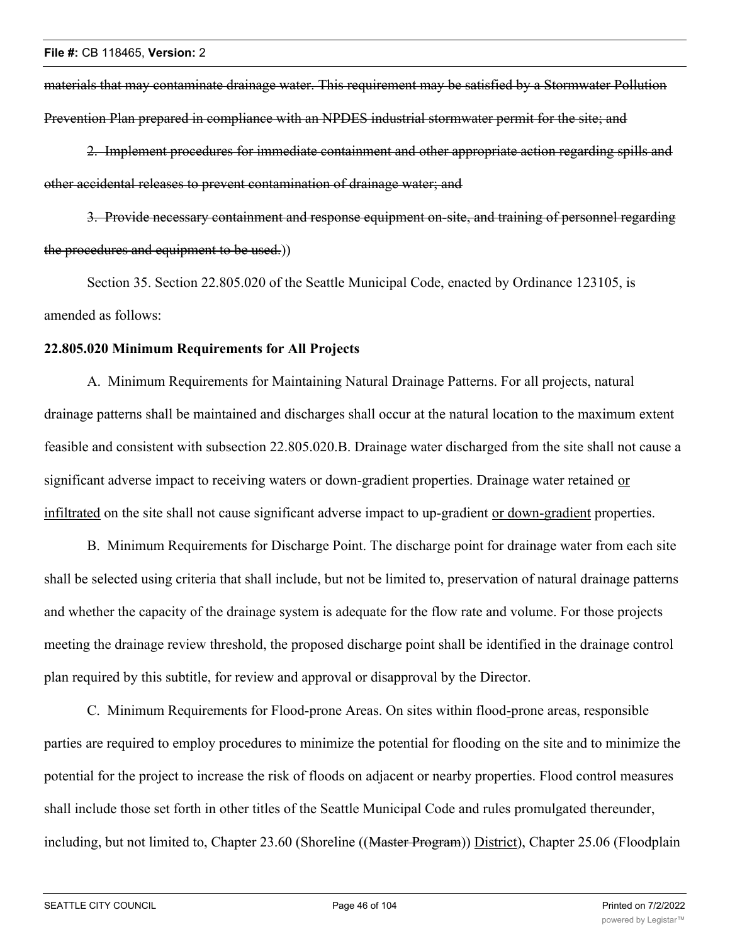materials that may contaminate drainage water. This requirement may be satisfied by a Stormwater Pollution Prevention Plan prepared in compliance with an NPDES industrial stormwater permit for the site; and

2. Implement procedures for immediate containment and other appropriate action regarding spills and other accidental releases to prevent contamination of drainage water; and

3. Provide necessary containment and response equipment on-site, and training of personnel regarding the procedures and equipment to be used.))

Section 35. Section 22.805.020 of the Seattle Municipal Code, enacted by Ordinance 123105, is amended as follows:

#### **22.805.020 Minimum Requirements for All Projects**

A. Minimum Requirements for Maintaining Natural Drainage Patterns. For all projects, natural drainage patterns shall be maintained and discharges shall occur at the natural location to the maximum extent feasible and consistent with subsection 22.805.020.B. Drainage water discharged from the site shall not cause a significant adverse impact to receiving waters or down-gradient properties. Drainage water retained or infiltrated on the site shall not cause significant adverse impact to up-gradient or down-gradient properties.

B. Minimum Requirements for Discharge Point. The discharge point for drainage water from each site shall be selected using criteria that shall include, but not be limited to, preservation of natural drainage patterns and whether the capacity of the drainage system is adequate for the flow rate and volume. For those projects meeting the drainage review threshold, the proposed discharge point shall be identified in the drainage control plan required by this subtitle, for review and approval or disapproval by the Director.

C. Minimum Requirements for Flood-prone Areas. On sites within flood-prone areas, responsible parties are required to employ procedures to minimize the potential for flooding on the site and to minimize the potential for the project to increase the risk of floods on adjacent or nearby properties. Flood control measures shall include those set forth in other titles of the Seattle Municipal Code and rules promulgated thereunder, including, but not limited to, Chapter 23.60 (Shoreline ((Master Program)) District), Chapter 25.06 (Floodplain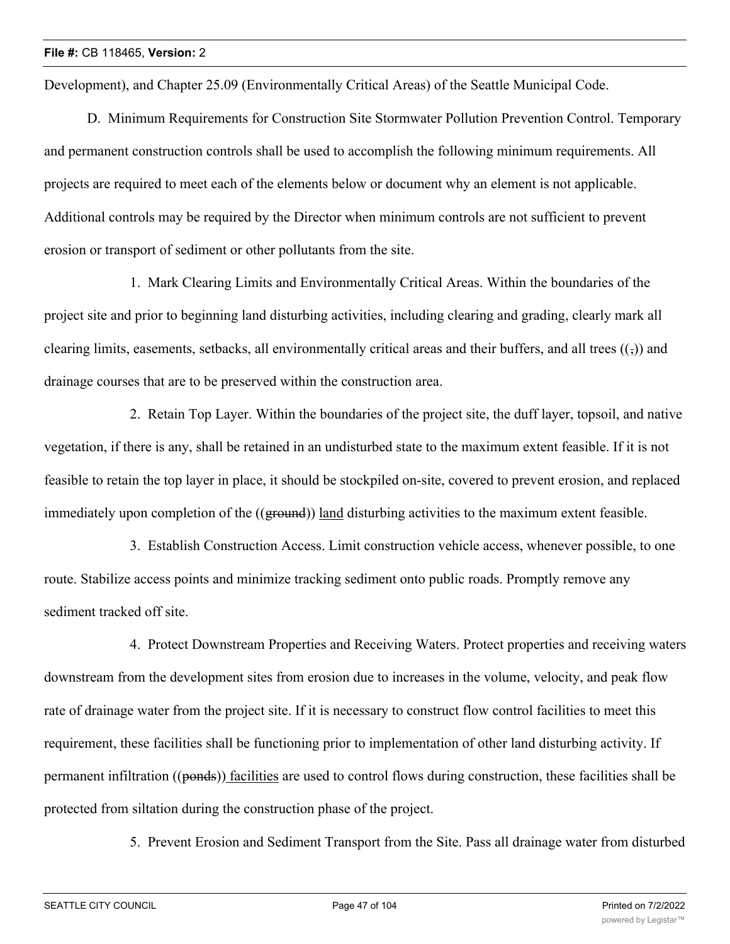Development), and Chapter 25.09 (Environmentally Critical Areas) of the Seattle Municipal Code.

D. Minimum Requirements for Construction Site Stormwater Pollution Prevention Control. Temporary and permanent construction controls shall be used to accomplish the following minimum requirements. All projects are required to meet each of the elements below or document why an element is not applicable. Additional controls may be required by the Director when minimum controls are not sufficient to prevent erosion or transport of sediment or other pollutants from the site.

1. Mark Clearing Limits and Environmentally Critical Areas. Within the boundaries of the project site and prior to beginning land disturbing activities, including clearing and grading, clearly mark all clearing limits, easements, setbacks, all environmentally critical areas and their buffers, and all trees  $(\frac{1}{2})$  and drainage courses that are to be preserved within the construction area.

2. Retain Top Layer. Within the boundaries of the project site, the duff layer, topsoil, and native vegetation, if there is any, shall be retained in an undisturbed state to the maximum extent feasible. If it is not feasible to retain the top layer in place, it should be stockpiled on-site, covered to prevent erosion, and replaced immediately upon completion of the ((ground)) land disturbing activities to the maximum extent feasible.

3. Establish Construction Access. Limit construction vehicle access, whenever possible, to one route. Stabilize access points and minimize tracking sediment onto public roads. Promptly remove any sediment tracked off site.

4. Protect Downstream Properties and Receiving Waters. Protect properties and receiving waters downstream from the development sites from erosion due to increases in the volume, velocity, and peak flow rate of drainage water from the project site. If it is necessary to construct flow control facilities to meet this requirement, these facilities shall be functioning prior to implementation of other land disturbing activity. If permanent infiltration ((ponds)) facilities are used to control flows during construction, these facilities shall be protected from siltation during the construction phase of the project.

5. Prevent Erosion and Sediment Transport from the Site. Pass all drainage water from disturbed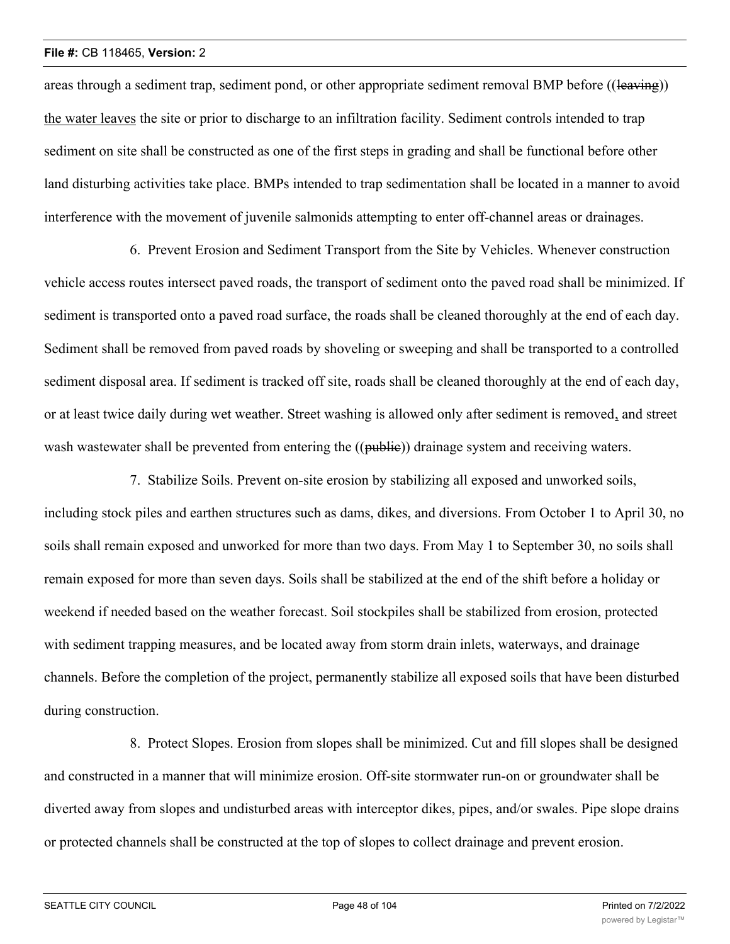areas through a sediment trap, sediment pond, or other appropriate sediment removal BMP before ((leaving)) the water leaves the site or prior to discharge to an infiltration facility. Sediment controls intended to trap sediment on site shall be constructed as one of the first steps in grading and shall be functional before other land disturbing activities take place. BMPs intended to trap sedimentation shall be located in a manner to avoid interference with the movement of juvenile salmonids attempting to enter off-channel areas or drainages.

6. Prevent Erosion and Sediment Transport from the Site by Vehicles. Whenever construction vehicle access routes intersect paved roads, the transport of sediment onto the paved road shall be minimized. If sediment is transported onto a paved road surface, the roads shall be cleaned thoroughly at the end of each day. Sediment shall be removed from paved roads by shoveling or sweeping and shall be transported to a controlled sediment disposal area. If sediment is tracked off site, roads shall be cleaned thoroughly at the end of each day, or at least twice daily during wet weather. Street washing is allowed only after sediment is removed, and street wash wastewater shall be prevented from entering the ((public)) drainage system and receiving waters.

7. Stabilize Soils. Prevent on-site erosion by stabilizing all exposed and unworked soils, including stock piles and earthen structures such as dams, dikes, and diversions. From October 1 to April 30, no soils shall remain exposed and unworked for more than two days. From May 1 to September 30, no soils shall remain exposed for more than seven days. Soils shall be stabilized at the end of the shift before a holiday or weekend if needed based on the weather forecast. Soil stockpiles shall be stabilized from erosion, protected with sediment trapping measures, and be located away from storm drain inlets, waterways, and drainage channels. Before the completion of the project, permanently stabilize all exposed soils that have been disturbed during construction.

8. Protect Slopes. Erosion from slopes shall be minimized. Cut and fill slopes shall be designed and constructed in a manner that will minimize erosion. Off-site stormwater run-on or groundwater shall be diverted away from slopes and undisturbed areas with interceptor dikes, pipes, and/or swales. Pipe slope drains or protected channels shall be constructed at the top of slopes to collect drainage and prevent erosion.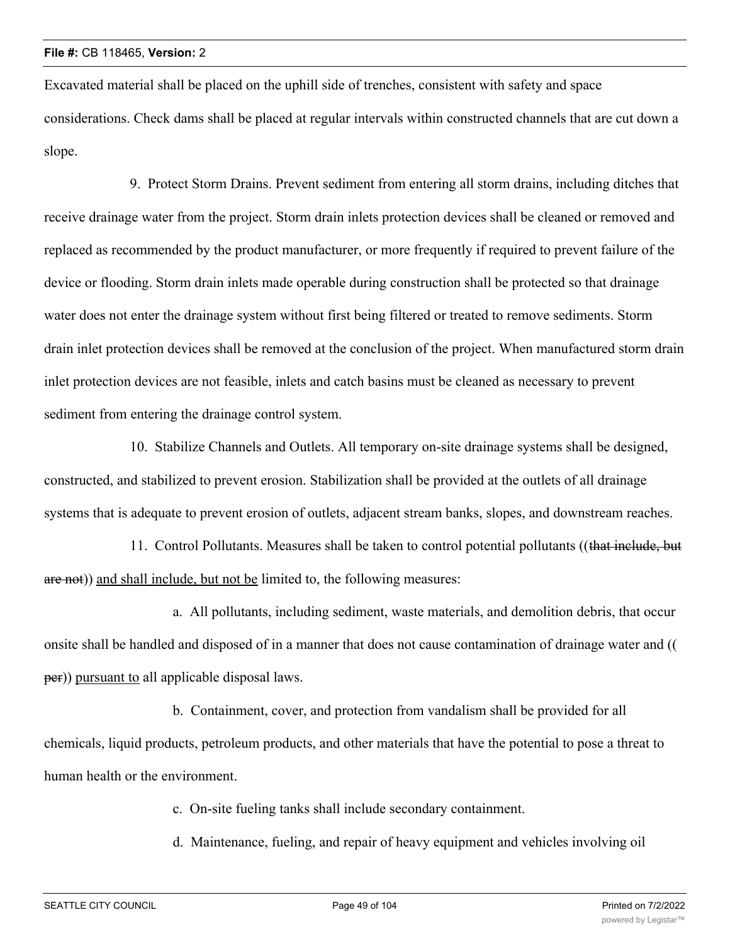Excavated material shall be placed on the uphill side of trenches, consistent with safety and space considerations. Check dams shall be placed at regular intervals within constructed channels that are cut down a slope.

9. Protect Storm Drains. Prevent sediment from entering all storm drains, including ditches that receive drainage water from the project. Storm drain inlets protection devices shall be cleaned or removed and replaced as recommended by the product manufacturer, or more frequently if required to prevent failure of the device or flooding. Storm drain inlets made operable during construction shall be protected so that drainage water does not enter the drainage system without first being filtered or treated to remove sediments. Storm drain inlet protection devices shall be removed at the conclusion of the project. When manufactured storm drain inlet protection devices are not feasible, inlets and catch basins must be cleaned as necessary to prevent sediment from entering the drainage control system.

10. Stabilize Channels and Outlets. All temporary on-site drainage systems shall be designed, constructed, and stabilized to prevent erosion. Stabilization shall be provided at the outlets of all drainage systems that is adequate to prevent erosion of outlets, adjacent stream banks, slopes, and downstream reaches.

11. Control Pollutants. Measures shall be taken to control potential pollutants ((that include, but are not)) and shall include, but not be limited to, the following measures:

a. All pollutants, including sediment, waste materials, and demolition debris, that occur onsite shall be handled and disposed of in a manner that does not cause contamination of drainage water and (( per)) pursuant to all applicable disposal laws.

b. Containment, cover, and protection from vandalism shall be provided for all chemicals, liquid products, petroleum products, and other materials that have the potential to pose a threat to human health or the environment.

c. On-site fueling tanks shall include secondary containment.

d. Maintenance, fueling, and repair of heavy equipment and vehicles involving oil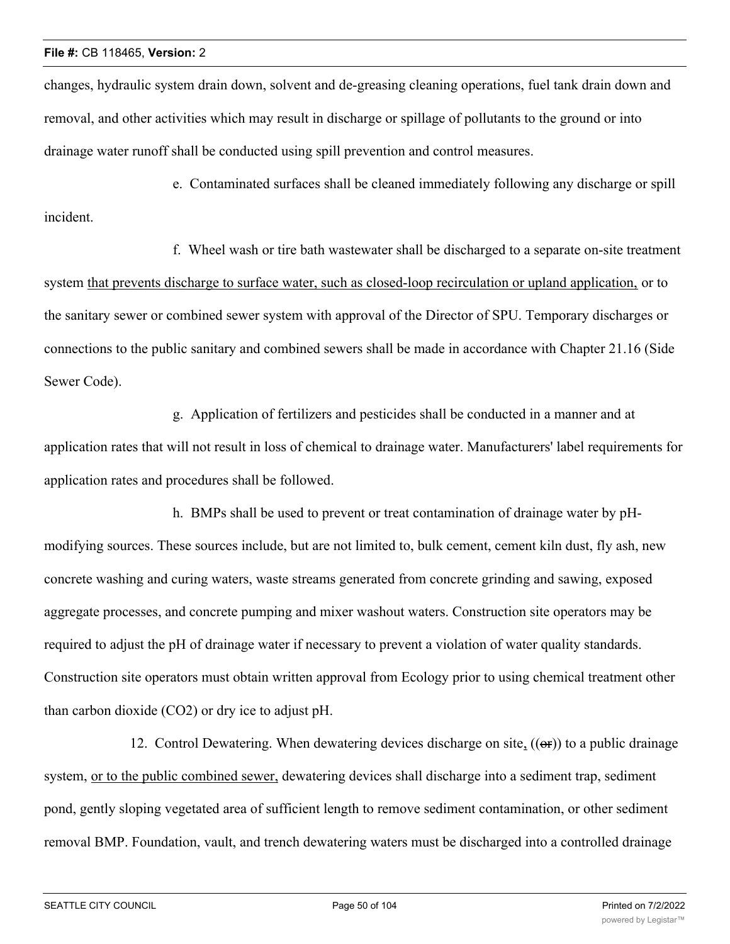incident.

changes, hydraulic system drain down, solvent and de-greasing cleaning operations, fuel tank drain down and removal, and other activities which may result in discharge or spillage of pollutants to the ground or into drainage water runoff shall be conducted using spill prevention and control measures.

e. Contaminated surfaces shall be cleaned immediately following any discharge or spill

f. Wheel wash or tire bath wastewater shall be discharged to a separate on-site treatment system that prevents discharge to surface water, such as closed-loop recirculation or upland application, or to the sanitary sewer or combined sewer system with approval of the Director of SPU. Temporary discharges or connections to the public sanitary and combined sewers shall be made in accordance with Chapter 21.16 (Side Sewer Code).

g. Application of fertilizers and pesticides shall be conducted in a manner and at application rates that will not result in loss of chemical to drainage water. Manufacturers' label requirements for application rates and procedures shall be followed.

h. BMPs shall be used to prevent or treat contamination of drainage water by pHmodifying sources. These sources include, but are not limited to, bulk cement, cement kiln dust, fly ash, new concrete washing and curing waters, waste streams generated from concrete grinding and sawing, exposed aggregate processes, and concrete pumping and mixer washout waters. Construction site operators may be required to adjust the pH of drainage water if necessary to prevent a violation of water quality standards. Construction site operators must obtain written approval from Ecology prior to using chemical treatment other than carbon dioxide (CO2) or dry ice to adjust pH.

12. Control Dewatering. When dewatering devices discharge on site,  $((\Theta F))$  to a public drainage system, or to the public combined sewer, dewatering devices shall discharge into a sediment trap, sediment pond, gently sloping vegetated area of sufficient length to remove sediment contamination, or other sediment removal BMP. Foundation, vault, and trench dewatering waters must be discharged into a controlled drainage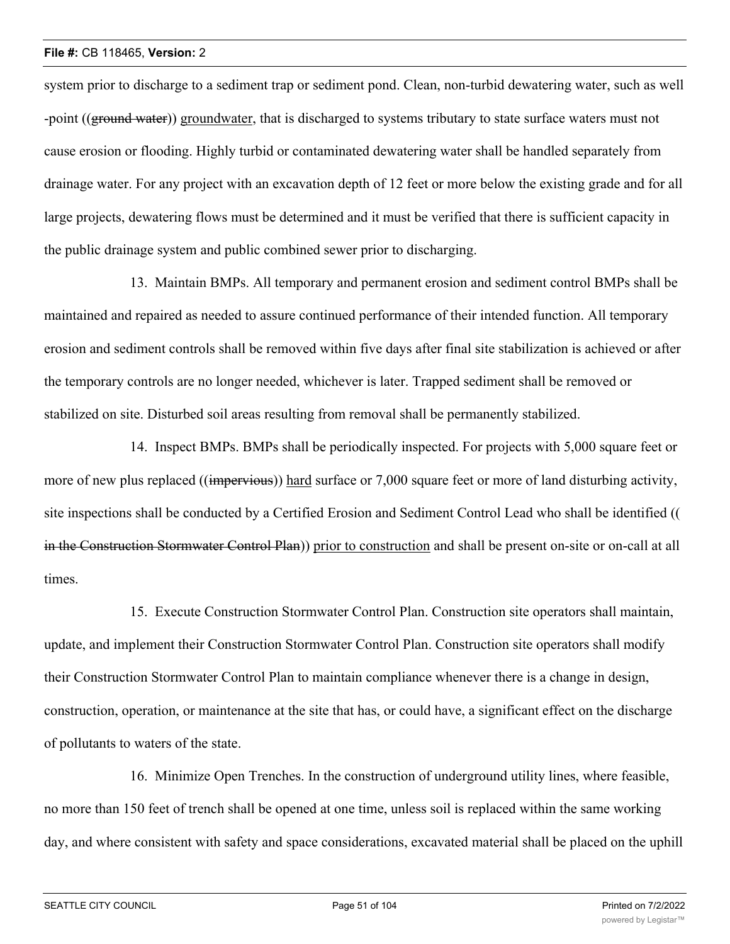system prior to discharge to a sediment trap or sediment pond. Clean, non-turbid dewatering water, such as well -point ((ground water)) groundwater, that is discharged to systems tributary to state surface waters must not cause erosion or flooding. Highly turbid or contaminated dewatering water shall be handled separately from drainage water. For any project with an excavation depth of 12 feet or more below the existing grade and for all large projects, dewatering flows must be determined and it must be verified that there is sufficient capacity in the public drainage system and public combined sewer prior to discharging.

13. Maintain BMPs. All temporary and permanent erosion and sediment control BMPs shall be maintained and repaired as needed to assure continued performance of their intended function. All temporary erosion and sediment controls shall be removed within five days after final site stabilization is achieved or after the temporary controls are no longer needed, whichever is later. Trapped sediment shall be removed or stabilized on site. Disturbed soil areas resulting from removal shall be permanently stabilized.

14. Inspect BMPs. BMPs shall be periodically inspected. For projects with 5,000 square feet or more of new plus replaced ((impervious)) hard surface or 7,000 square feet or more of land disturbing activity, site inspections shall be conducted by a Certified Erosion and Sediment Control Lead who shall be identified (( in the Construction Stormwater Control Plan)) prior to construction and shall be present on-site or on-call at all times.

15. Execute Construction Stormwater Control Plan. Construction site operators shall maintain, update, and implement their Construction Stormwater Control Plan. Construction site operators shall modify their Construction Stormwater Control Plan to maintain compliance whenever there is a change in design, construction, operation, or maintenance at the site that has, or could have, a significant effect on the discharge of pollutants to waters of the state.

16. Minimize Open Trenches. In the construction of underground utility lines, where feasible, no more than 150 feet of trench shall be opened at one time, unless soil is replaced within the same working day, and where consistent with safety and space considerations, excavated material shall be placed on the uphill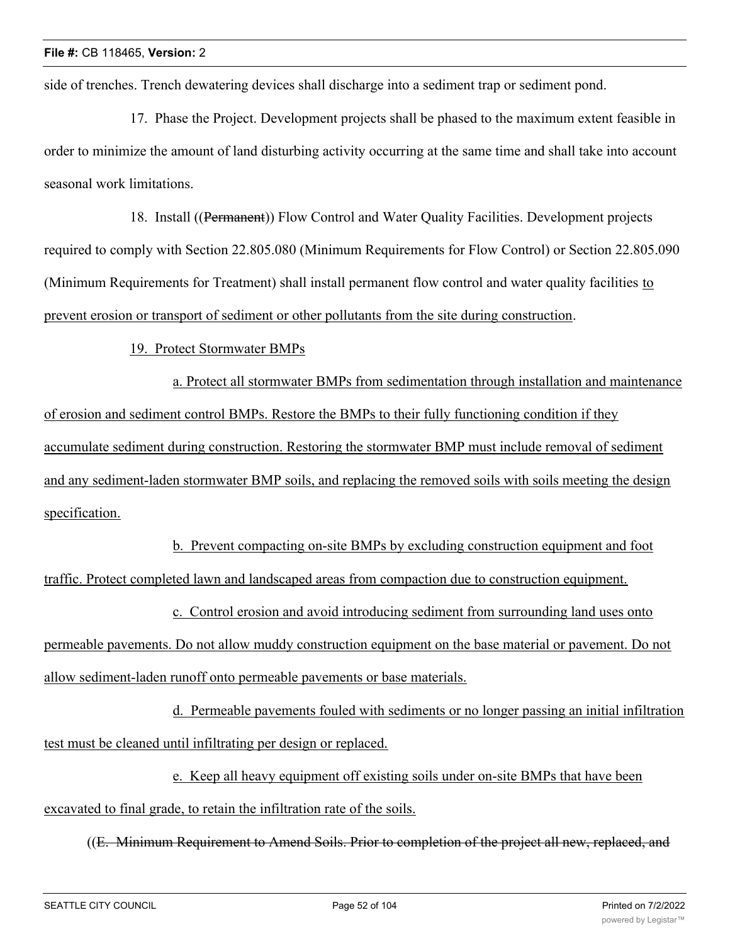side of trenches. Trench dewatering devices shall discharge into a sediment trap or sediment pond.

17. Phase the Project. Development projects shall be phased to the maximum extent feasible in order to minimize the amount of land disturbing activity occurring at the same time and shall take into account seasonal work limitations.

18. Install ((Permanent)) Flow Control and Water Quality Facilities. Development projects required to comply with Section 22.805.080 (Minimum Requirements for Flow Control) or Section 22.805.090 (Minimum Requirements for Treatment) shall install permanent flow control and water quality facilities to prevent erosion or transport of sediment or other pollutants from the site during construction.

19. Protect Stormwater BMPs

a. Protect all stormwater BMPs from sedimentation through installation and maintenance of erosion and sediment control BMPs. Restore the BMPs to their fully functioning condition if they accumulate sediment during construction. Restoring the stormwater BMP must include removal of sediment and any sediment-laden stormwater BMP soils, and replacing the removed soils with soils meeting the design specification.

b. Prevent compacting on-site BMPs by excluding construction equipment and foot traffic. Protect completed lawn and landscaped areas from compaction due to construction equipment.

c. Control erosion and avoid introducing sediment from surrounding land uses onto permeable pavements. Do not allow muddy construction equipment on the base material or pavement. Do not allow sediment-laden runoff onto permeable pavements or base materials.

d. Permeable pavements fouled with sediments or no longer passing an initial infiltration test must be cleaned until infiltrating per design or replaced.

e. Keep all heavy equipment off existing soils under on-site BMPs that have been

excavated to final grade, to retain the infiltration rate of the soils.

((E. Minimum Requirement to Amend Soils. Prior to completion of the project all new, replaced, and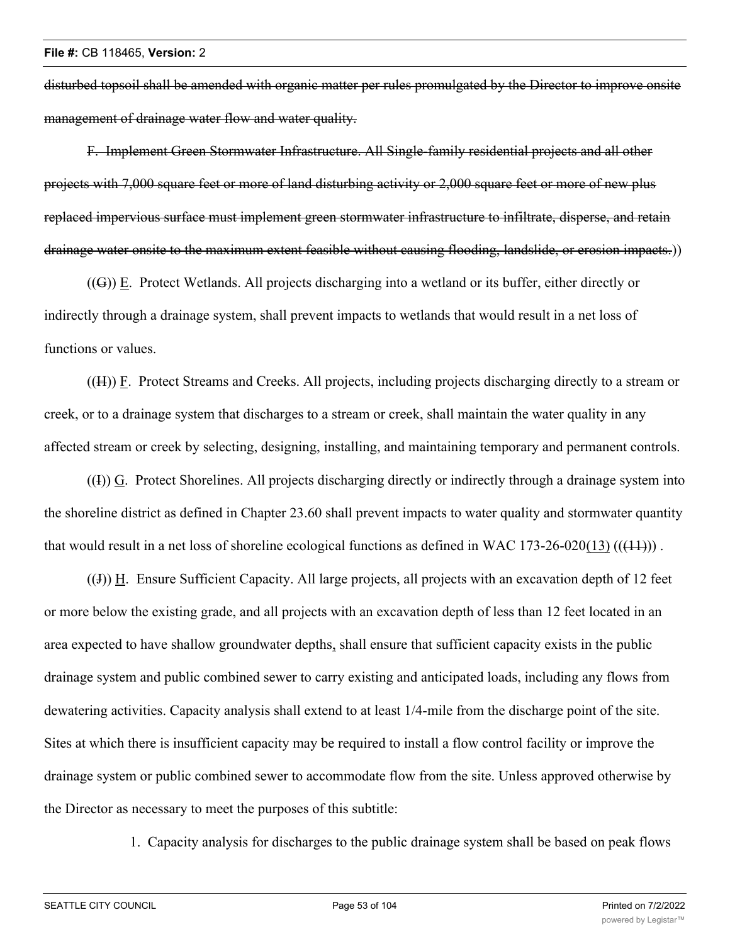disturbed topsoil shall be amended with organic matter per rules promulgated by the Director to improve onsite management of drainage water flow and water quality.

F. Implement Green Stormwater Infrastructure. All Single-family residential projects and all other projects with 7,000 square feet or more of land disturbing activity or 2,000 square feet or more of new plus replaced impervious surface must implement green stormwater infrastructure to infiltrate, disperse, and retain drainage water onsite to the maximum extent feasible without causing flooding, landslide, or erosion impacts.))

((G)) E. Protect Wetlands. All projects discharging into a wetland or its buffer, either directly or indirectly through a drainage system, shall prevent impacts to wetlands that would result in a net loss of functions or values.

 $((H))$  F. Protect Streams and Creeks. All projects, including projects discharging directly to a stream or creek, or to a drainage system that discharges to a stream or creek, shall maintain the water quality in any affected stream or creek by selecting, designing, installing, and maintaining temporary and permanent controls.

((I)) G. Protect Shorelines. All projects discharging directly or indirectly through a drainage system into the shoreline district as defined in Chapter 23.60 shall prevent impacts to water quality and stormwater quantity that would result in a net loss of shoreline ecological functions as defined in WAC 173-26-020(13)  $((+1))$ .

((J)) H. Ensure Sufficient Capacity. All large projects, all projects with an excavation depth of 12 feet or more below the existing grade, and all projects with an excavation depth of less than 12 feet located in an area expected to have shallow groundwater depths, shall ensure that sufficient capacity exists in the public drainage system and public combined sewer to carry existing and anticipated loads, including any flows from dewatering activities. Capacity analysis shall extend to at least 1/4-mile from the discharge point of the site. Sites at which there is insufficient capacity may be required to install a flow control facility or improve the drainage system or public combined sewer to accommodate flow from the site. Unless approved otherwise by the Director as necessary to meet the purposes of this subtitle:

1. Capacity analysis for discharges to the public drainage system shall be based on peak flows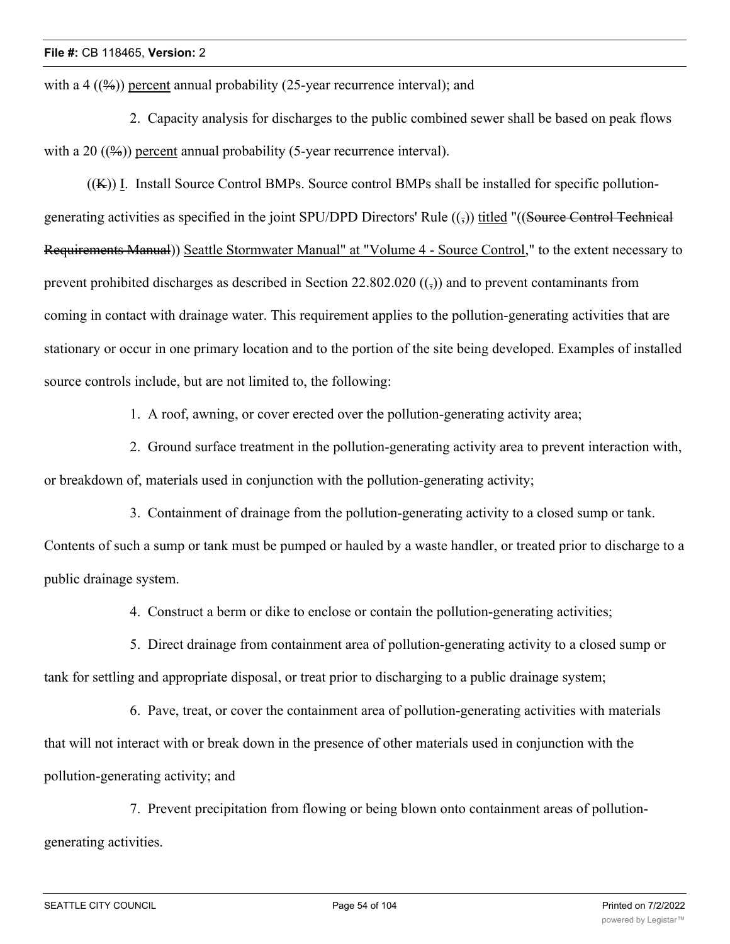with a 4  $((\frac{9}{6}))$  percent annual probability (25-year recurrence interval); and

2. Capacity analysis for discharges to the public combined sewer shall be based on peak flows with a 20  $((\frac{9}{9})$  percent annual probability (5-year recurrence interval).

 $((K))$  I. Install Source Control BMPs. Source control BMPs shall be installed for specific pollutiongenerating activities as specified in the joint SPU/DPD Directors' Rule  $((\xi))$  titled "((Source Control Technical Requirements Manual)) Seattle Stormwater Manual" at "Volume 4 - Source Control," to the extent necessary to prevent prohibited discharges as described in Section 22.802.020  $((\tau))$  and to prevent contaminants from coming in contact with drainage water. This requirement applies to the pollution-generating activities that are stationary or occur in one primary location and to the portion of the site being developed. Examples of installed source controls include, but are not limited to, the following:

1. A roof, awning, or cover erected over the pollution-generating activity area;

2. Ground surface treatment in the pollution-generating activity area to prevent interaction with, or breakdown of, materials used in conjunction with the pollution-generating activity;

3. Containment of drainage from the pollution-generating activity to a closed sump or tank. Contents of such a sump or tank must be pumped or hauled by a waste handler, or treated prior to discharge to a public drainage system.

4. Construct a berm or dike to enclose or contain the pollution-generating activities;

5. Direct drainage from containment area of pollution-generating activity to a closed sump or tank for settling and appropriate disposal, or treat prior to discharging to a public drainage system;

6. Pave, treat, or cover the containment area of pollution-generating activities with materials that will not interact with or break down in the presence of other materials used in conjunction with the pollution-generating activity; and

7. Prevent precipitation from flowing or being blown onto containment areas of pollutiongenerating activities.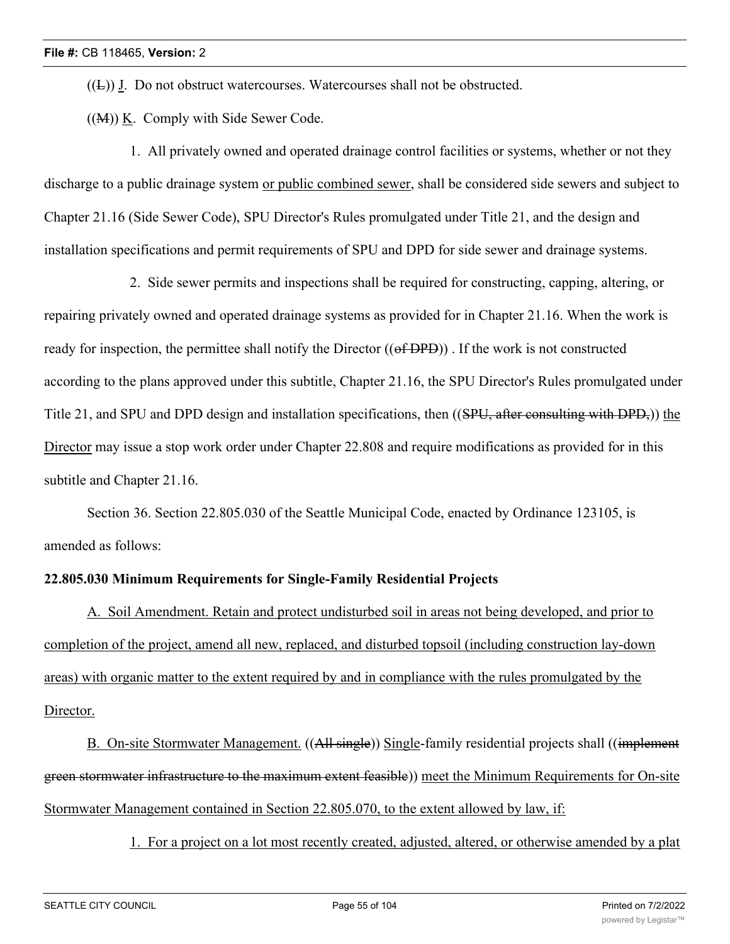$((E))$  J. Do not obstruct watercourses. Watercourses shall not be obstructed.

((M)) K. Comply with Side Sewer Code.

1. All privately owned and operated drainage control facilities or systems, whether or not they discharge to a public drainage system or public combined sewer, shall be considered side sewers and subject to Chapter 21.16 (Side Sewer Code), SPU Director's Rules promulgated under Title 21, and the design and installation specifications and permit requirements of SPU and DPD for side sewer and drainage systems.

2. Side sewer permits and inspections shall be required for constructing, capping, altering, or repairing privately owned and operated drainage systems as provided for in Chapter 21.16. When the work is ready for inspection, the permittee shall notify the Director ((of DPD)). If the work is not constructed according to the plans approved under this subtitle, Chapter 21.16, the SPU Director's Rules promulgated under Title 21, and SPU and DPD design and installation specifications, then ((SPU, after consulting with DPD,)) the Director may issue a stop work order under Chapter 22.808 and require modifications as provided for in this subtitle and Chapter 21.16.

Section 36. Section 22.805.030 of the Seattle Municipal Code, enacted by Ordinance 123105, is amended as follows:

#### **22.805.030 Minimum Requirements for Single-Family Residential Projects**

A. Soil Amendment. Retain and protect undisturbed soil in areas not being developed, and prior to completion of the project, amend all new, replaced, and disturbed topsoil (including construction lay-down areas) with organic matter to the extent required by and in compliance with the rules promulgated by the Director.

B. On-site Stormwater Management. ((All single)) Single-family residential projects shall ((implement green stormwater infrastructure to the maximum extent feasible)) meet the Minimum Requirements for On-site Stormwater Management contained in Section 22.805.070, to the extent allowed by law, if:

1. For a project on a lot most recently created, adjusted, altered, or otherwise amended by a plat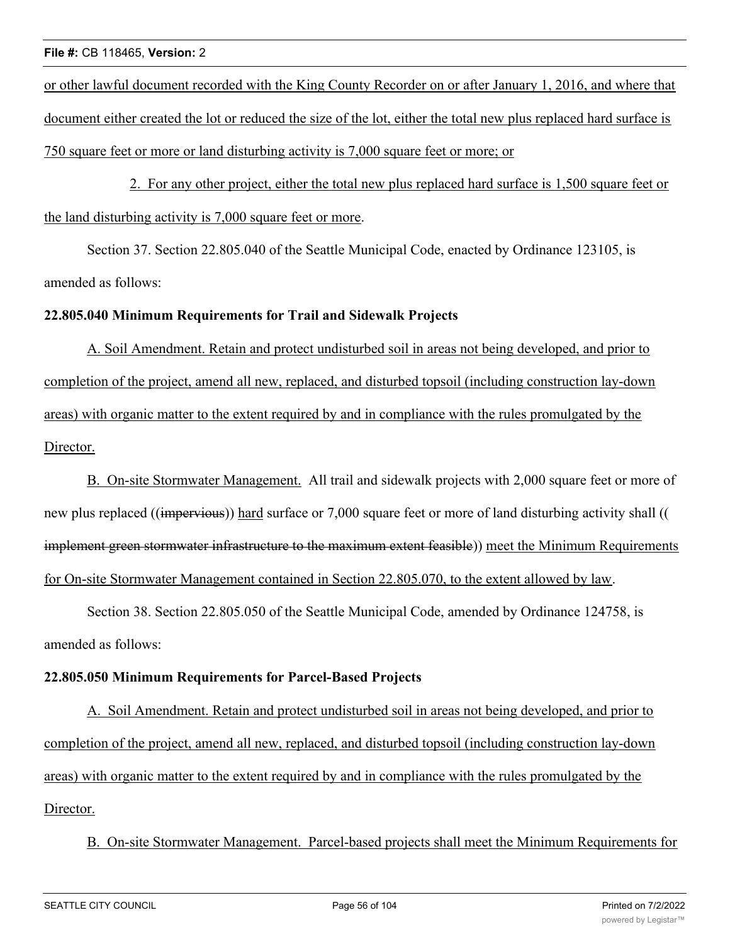or other lawful document recorded with the King County Recorder on or after January 1, 2016, and where that document either created the lot or reduced the size of the lot, either the total new plus replaced hard surface is 750 square feet or more or land disturbing activity is 7,000 square feet or more; or

2. For any other project, either the total new plus replaced hard surface is 1,500 square feet or the land disturbing activity is 7,000 square feet or more.

Section 37. Section 22.805.040 of the Seattle Municipal Code, enacted by Ordinance 123105, is amended as follows:

## **22.805.040 Minimum Requirements for Trail and Sidewalk Projects**

A. Soil Amendment. Retain and protect undisturbed soil in areas not being developed, and prior to completion of the project, amend all new, replaced, and disturbed topsoil (including construction lay-down areas) with organic matter to the extent required by and in compliance with the rules promulgated by the Director.

B. On-site Stormwater Management. All trail and sidewalk projects with 2,000 square feet or more of new plus replaced ((impervious)) hard surface or 7,000 square feet or more of land disturbing activity shall (( implement green stormwater infrastructure to the maximum extent feasible)) meet the Minimum Requirements for On-site Stormwater Management contained in Section 22.805.070, to the extent allowed by law.

Section 38. Section 22.805.050 of the Seattle Municipal Code, amended by Ordinance 124758, is amended as follows:

### **22.805.050 Minimum Requirements for Parcel-Based Projects**

A. Soil Amendment. Retain and protect undisturbed soil in areas not being developed, and prior to completion of the project, amend all new, replaced, and disturbed topsoil (including construction lay-down areas) with organic matter to the extent required by and in compliance with the rules promulgated by the Director.

B. On-site Stormwater Management. Parcel-based projects shall meet the Minimum Requirements for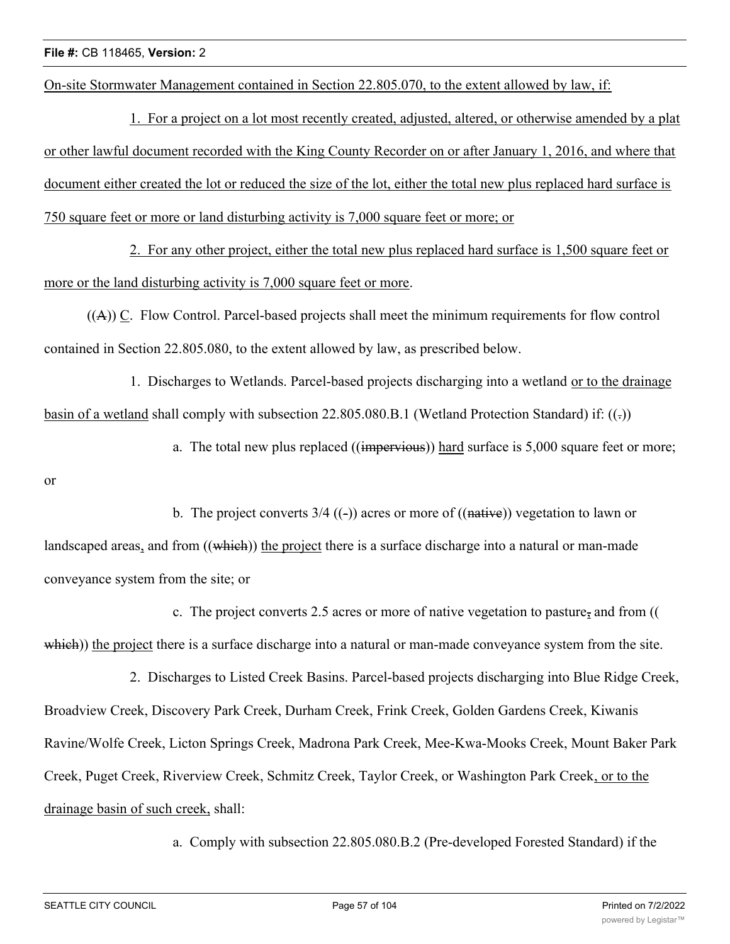On-site Stormwater Management contained in Section 22.805.070, to the extent allowed by law, if:

1. For a project on a lot most recently created, adjusted, altered, or otherwise amended by a plat or other lawful document recorded with the King County Recorder on or after January 1, 2016, and where that document either created the lot or reduced the size of the lot, either the total new plus replaced hard surface is 750 square feet or more or land disturbing activity is 7,000 square feet or more; or

2. For any other project, either the total new plus replaced hard surface is 1,500 square feet or more or the land disturbing activity is 7,000 square feet or more.

((A)) C. Flow Control. Parcel-based projects shall meet the minimum requirements for flow control contained in Section 22.805.080, to the extent allowed by law, as prescribed below.

1. Discharges to Wetlands. Parcel-based projects discharging into a wetland or to the drainage basin of a wetland shall comply with subsection 22.805.080.B.1 (Wetland Protection Standard) if:  $((.)$ 

a. The total new plus replaced ((impervious)) hard surface is 5,000 square feet or more;

or

b. The project converts  $3/4$  ((-)) acres or more of ((native)) vegetation to lawn or landscaped areas, and from ((which)) the project there is a surface discharge into a natural or man-made conveyance system from the site; or

c. The project converts 2.5 acres or more of native vegetation to pasture, and from (( which)) the project there is a surface discharge into a natural or man-made conveyance system from the site.

2. Discharges to Listed Creek Basins. Parcel-based projects discharging into Blue Ridge Creek, Broadview Creek, Discovery Park Creek, Durham Creek, Frink Creek, Golden Gardens Creek, Kiwanis Ravine/Wolfe Creek, Licton Springs Creek, Madrona Park Creek, Mee-Kwa-Mooks Creek, Mount Baker Park Creek, Puget Creek, Riverview Creek, Schmitz Creek, Taylor Creek, or Washington Park Creek, or to the drainage basin of such creek, shall:

a. Comply with subsection 22.805.080.B.2 (Pre-developed Forested Standard) if the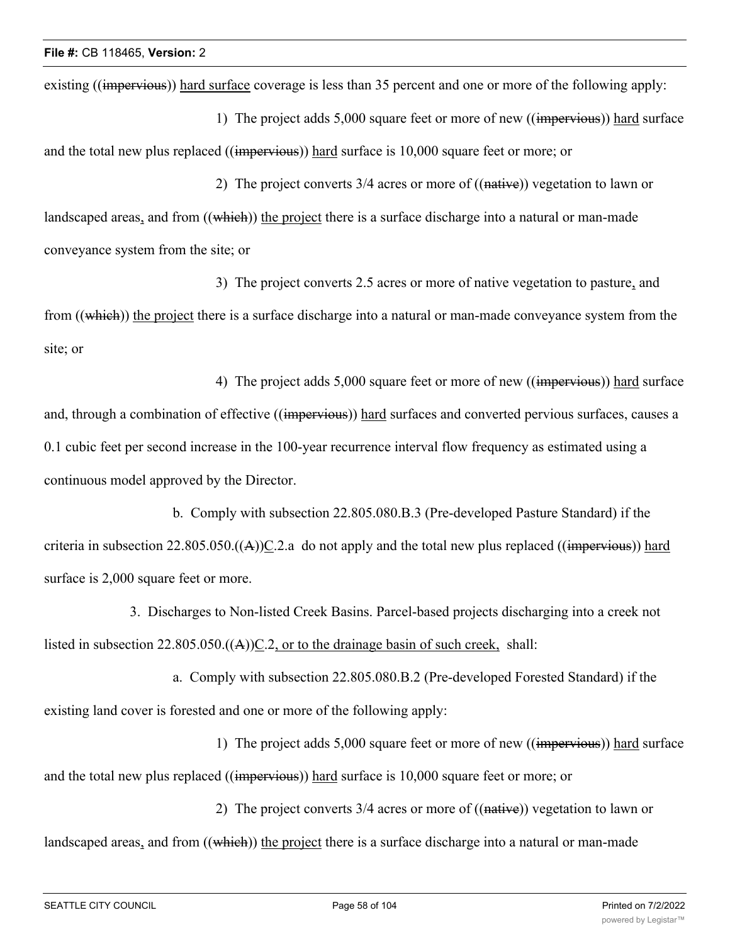existing ((impervious)) hard surface coverage is less than 35 percent and one or more of the following apply:

1) The project adds 5,000 square feet or more of new ((impervious)) hard surface and the total new plus replaced ((impervious)) hard surface is 10,000 square feet or more; or

2) The project converts 3/4 acres or more of ((native)) vegetation to lawn or landscaped areas, and from ((which)) the project there is a surface discharge into a natural or man-made conveyance system from the site; or

3) The project converts 2.5 acres or more of native vegetation to pasture, and from ((which)) the project there is a surface discharge into a natural or man-made conveyance system from the site; or

4) The project adds 5,000 square feet or more of new ((impervious)) hard surface and, through a combination of effective ((impervious)) hard surfaces and converted pervious surfaces, causes a 0.1 cubic feet per second increase in the 100-year recurrence interval flow frequency as estimated using a continuous model approved by the Director.

b. Comply with subsection 22.805.080.B.3 (Pre-developed Pasture Standard) if the criteria in subsection  $22.805.050\text{((A))}C.2$  a do not apply and the total new plus replaced ((impervious)) hard surface is 2,000 square feet or more.

3. Discharges to Non-listed Creek Basins. Parcel-based projects discharging into a creek not listed in subsection  $22.805.050\left(\frac{A}{C}\right)C.2$ , or to the drainage basin of such creek, shall:

a. Comply with subsection 22.805.080.B.2 (Pre-developed Forested Standard) if the existing land cover is forested and one or more of the following apply:

1) The project adds 5,000 square feet or more of new ((impervious)) hard surface and the total new plus replaced ((impervious)) hard surface is 10,000 square feet or more; or

2) The project converts  $3/4$  acres or more of  $((\text{native}))$  vegetation to lawn or landscaped areas, and from ((which)) the project there is a surface discharge into a natural or man-made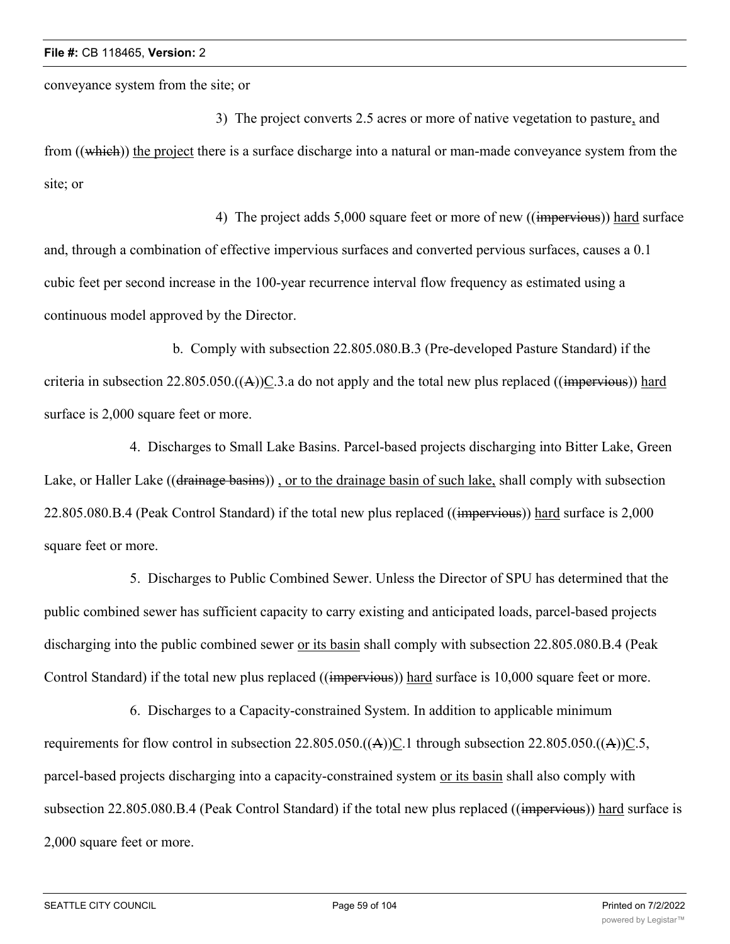conveyance system from the site; or

3) The project converts 2.5 acres or more of native vegetation to pasture, and from ((which)) the project there is a surface discharge into a natural or man-made conveyance system from the site; or

4) The project adds 5,000 square feet or more of new ((impervious)) hard surface and, through a combination of effective impervious surfaces and converted pervious surfaces, causes a 0.1 cubic feet per second increase in the 100-year recurrence interval flow frequency as estimated using a continuous model approved by the Director.

b. Comply with subsection 22.805.080.B.3 (Pre-developed Pasture Standard) if the criteria in subsection 22.805.050. $((A))\subseteq$ .3.a do not apply and the total new plus replaced  $((\text{impervious}))$  hard surface is 2,000 square feet or more.

4. Discharges to Small Lake Basins. Parcel-based projects discharging into Bitter Lake, Green Lake, or Haller Lake ((drainage basins)), or to the drainage basin of such lake, shall comply with subsection 22.805.080.B.4 (Peak Control Standard) if the total new plus replaced ((impervious)) hard surface is 2,000 square feet or more.

5. Discharges to Public Combined Sewer. Unless the Director of SPU has determined that the public combined sewer has sufficient capacity to carry existing and anticipated loads, parcel-based projects discharging into the public combined sewer or its basin shall comply with subsection 22.805.080.B.4 (Peak Control Standard) if the total new plus replaced ((impervious)) hard surface is 10,000 square feet or more.

6. Discharges to a Capacity-constrained System. In addition to applicable minimum requirements for flow control in subsection  $22.805.050\cdot((A))C.1$  through subsection  $22.805.050\cdot((A))C.5$ , parcel-based projects discharging into a capacity-constrained system or its basin shall also comply with subsection 22.805.080.B.4 (Peak Control Standard) if the total new plus replaced ((impervious)) hard surface is 2,000 square feet or more.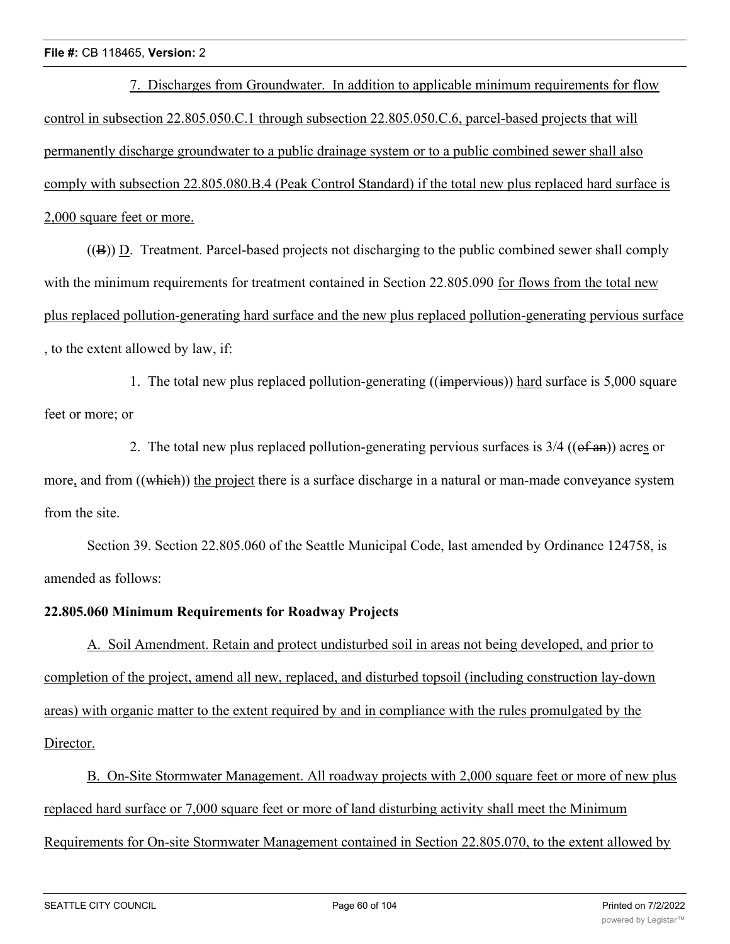7. Discharges from Groundwater. In addition to applicable minimum requirements for flow control in subsection 22.805.050.C.1 through subsection 22.805.050.C.6, parcel-based projects that will permanently discharge groundwater to a public drainage system or to a public combined sewer shall also comply with subsection 22.805.080.B.4 (Peak Control Standard) if the total new plus replaced hard surface is 2,000 square feet or more.

((B)) D. Treatment. Parcel-based projects not discharging to the public combined sewer shall comply with the minimum requirements for treatment contained in Section 22.805.090 for flows from the total new plus replaced pollution-generating hard surface and the new plus replaced pollution-generating pervious surface , to the extent allowed by law, if:

1. The total new plus replaced pollution-generating ((impervious)) hard surface is 5,000 square feet or more; or

2. The total new plus replaced pollution-generating pervious surfaces is  $3/4$  (( $\theta$ f an)) acres or more, and from ((which)) the project there is a surface discharge in a natural or man-made conveyance system from the site.

Section 39. Section 22.805.060 of the Seattle Municipal Code, last amended by Ordinance 124758, is amended as follows:

## **22.805.060 Minimum Requirements for Roadway Projects**

A. Soil Amendment. Retain and protect undisturbed soil in areas not being developed, and prior to completion of the project, amend all new, replaced, and disturbed topsoil (including construction lay-down areas) with organic matter to the extent required by and in compliance with the rules promulgated by the Director.

B. On-Site Stormwater Management. All roadway projects with 2,000 square feet or more of new plus replaced hard surface or 7,000 square feet or more of land disturbing activity shall meet the Minimum Requirements for On-site Stormwater Management contained in Section 22.805.070, to the extent allowed by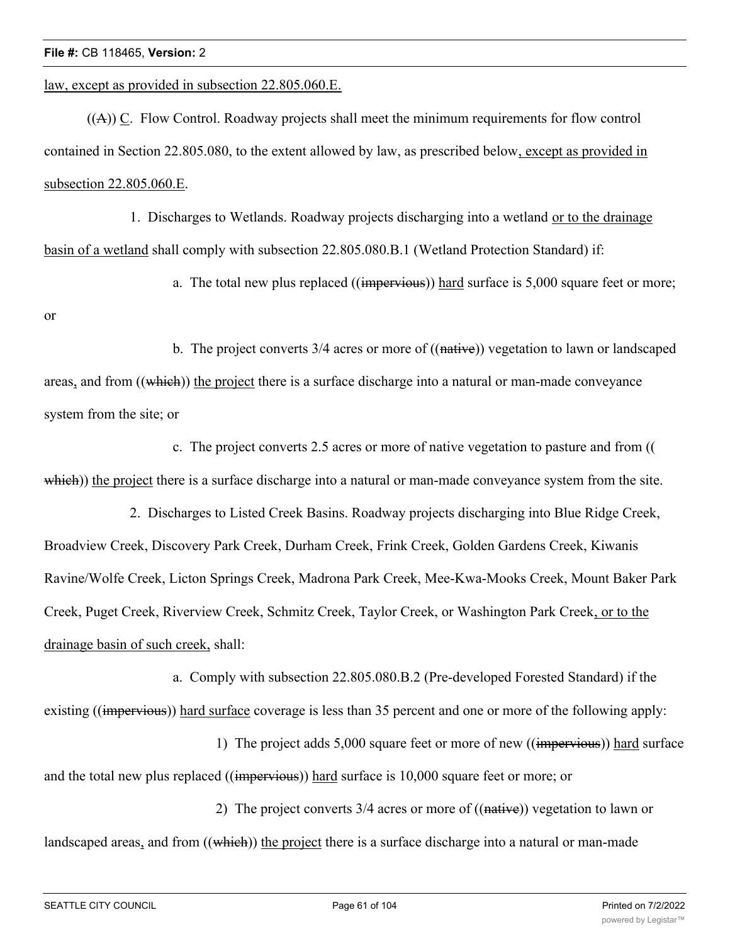law, except as provided in subsection 22.805.060.E.

((A)) C. Flow Control. Roadway projects shall meet the minimum requirements for flow control contained in Section 22.805.080, to the extent allowed by law, as prescribed below, except as provided in subsection 22.805.060.E.

1. Discharges to Wetlands. Roadway projects discharging into a wetland or to the drainage basin of a wetland shall comply with subsection 22.805.080.B.1 (Wetland Protection Standard) if:

a. The total new plus replaced ((impervious)) hard surface is 5,000 square feet or more;

or

b. The project converts  $3/4$  acres or more of  $((\text{native}))$  vegetation to lawn or landscaped areas, and from ((which)) the project there is a surface discharge into a natural or man-made conveyance system from the site; or

c. The project converts 2.5 acres or more of native vegetation to pasture and from (( which)) the project there is a surface discharge into a natural or man-made conveyance system from the site.

2. Discharges to Listed Creek Basins. Roadway projects discharging into Blue Ridge Creek, Broadview Creek, Discovery Park Creek, Durham Creek, Frink Creek, Golden Gardens Creek, Kiwanis Ravine/Wolfe Creek, Licton Springs Creek, Madrona Park Creek, Mee-Kwa-Mooks Creek, Mount Baker Park Creek, Puget Creek, Riverview Creek, Schmitz Creek, Taylor Creek, or Washington Park Creek, or to the drainage basin of such creek, shall:

a. Comply with subsection 22.805.080.B.2 (Pre-developed Forested Standard) if the existing ((impervious)) hard surface coverage is less than 35 percent and one or more of the following apply:

1) The project adds 5,000 square feet or more of new ((impervious)) hard surface and the total new plus replaced ((impervious)) hard surface is 10,000 square feet or more; or

2) The project converts  $3/4$  acres or more of  $((\text{native}))$  vegetation to lawn or landscaped areas, and from ((which)) the project there is a surface discharge into a natural or man-made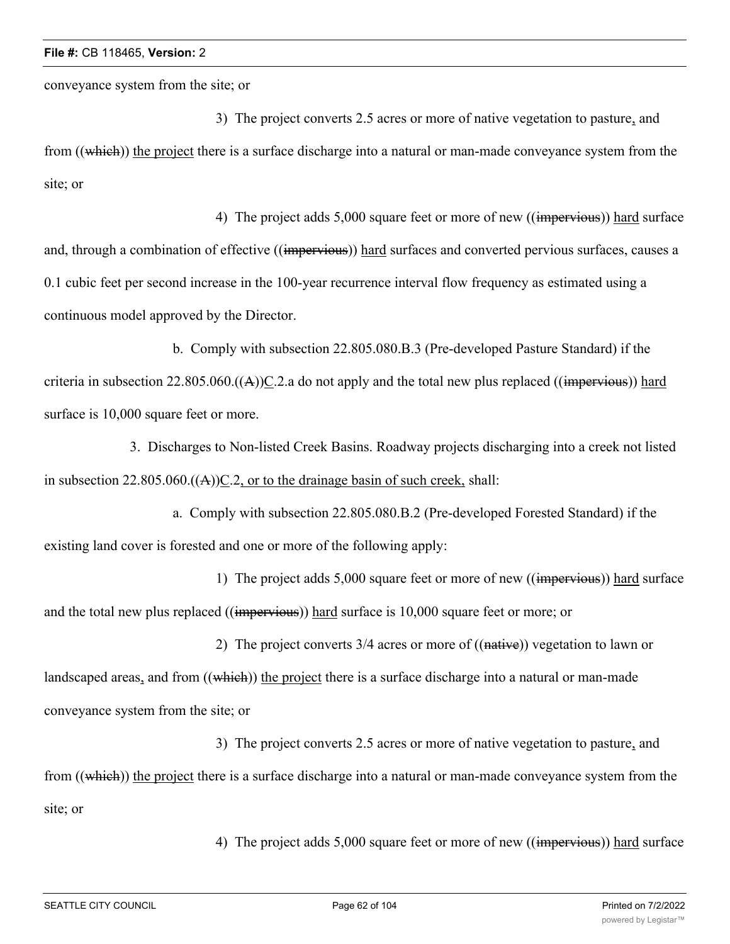conveyance system from the site; or

3) The project converts 2.5 acres or more of native vegetation to pasture, and from ((which)) the project there is a surface discharge into a natural or man-made conveyance system from the site; or

4) The project adds 5,000 square feet or more of new ((impervious)) hard surface and, through a combination of effective ((impervious)) hard surfaces and converted pervious surfaces, causes a 0.1 cubic feet per second increase in the 100-year recurrence interval flow frequency as estimated using a continuous model approved by the Director.

b. Comply with subsection 22.805.080.B.3 (Pre-developed Pasture Standard) if the criteria in subsection  $22.805.060\left((A)\right)C.2$  a do not apply and the total new plus replaced ((impervious)) hard surface is  $10,000$  square feet or more.

3. Discharges to Non-listed Creek Basins. Roadway projects discharging into a creek not listed in subsection  $22.805.060\text{+(A)}$  C.2, or to the drainage basin of such creek, shall:

a. Comply with subsection 22.805.080.B.2 (Pre-developed Forested Standard) if the existing land cover is forested and one or more of the following apply:

1) The project adds 5,000 square feet or more of new ((impervious)) hard surface and the total new plus replaced ((impervious)) hard surface is 10,000 square feet or more; or

2) The project converts  $3/4$  acres or more of  $((\text{native}))$  vegetation to lawn or landscaped areas, and from ((which)) the project there is a surface discharge into a natural or man-made conveyance system from the site; or

3) The project converts 2.5 acres or more of native vegetation to pasture, and from ((which)) the project there is a surface discharge into a natural or man-made conveyance system from the site; or

4) The project adds 5,000 square feet or more of new ((impervious)) hard surface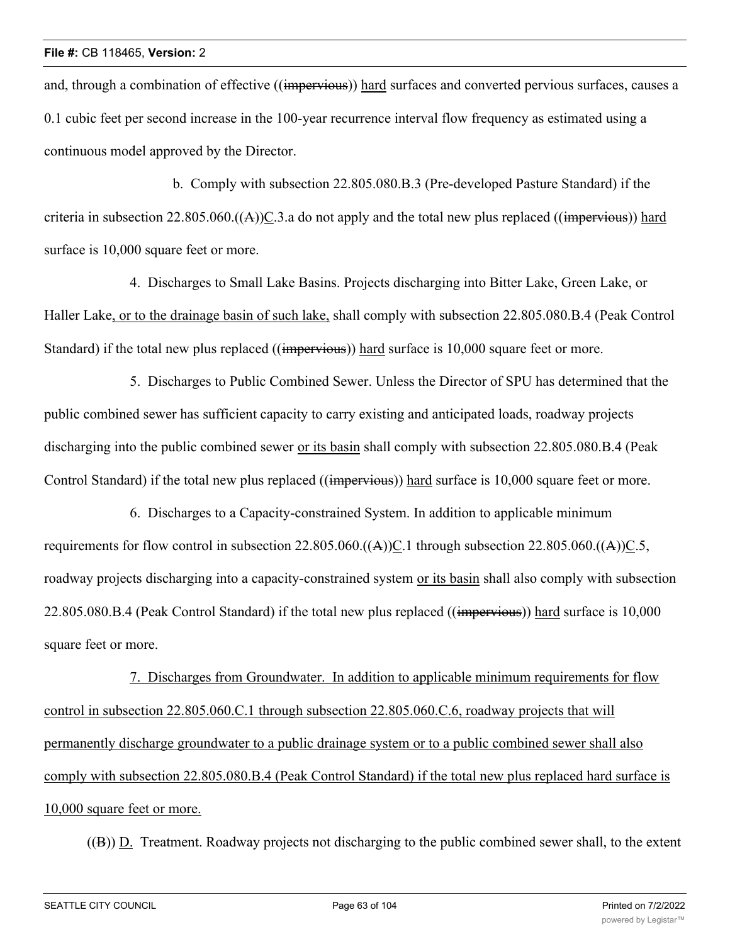and, through a combination of effective ((impervious)) hard surfaces and converted pervious surfaces, causes a 0.1 cubic feet per second increase in the 100-year recurrence interval flow frequency as estimated using a continuous model approved by the Director.

b. Comply with subsection 22.805.080.B.3 (Pre-developed Pasture Standard) if the criteria in subsection 22.805.060. $((A))C.3$  a do not apply and the total new plus replaced  $((\overline{\text{impervious}}))$  hard surface is  $10,000$  square feet or more.

4. Discharges to Small Lake Basins. Projects discharging into Bitter Lake, Green Lake, or Haller Lake, or to the drainage basin of such lake, shall comply with subsection 22.805.080.B.4 (Peak Control Standard) if the total new plus replaced ((impervious)) hard surface is 10,000 square feet or more.

5. Discharges to Public Combined Sewer. Unless the Director of SPU has determined that the public combined sewer has sufficient capacity to carry existing and anticipated loads, roadway projects discharging into the public combined sewer or its basin shall comply with subsection 22.805.080.B.4 (Peak Control Standard) if the total new plus replaced ((impervious)) hard surface is 10,000 square feet or more.

6. Discharges to a Capacity-constrained System. In addition to applicable minimum requirements for flow control in subsection  $22.805.060\cdot((A))C.1$  through subsection  $22.805.060\cdot((A))C.5$ , roadway projects discharging into a capacity-constrained system or its basin shall also comply with subsection 22.805.080.B.4 (Peak Control Standard) if the total new plus replaced ((impervious)) hard surface is 10,000 square feet or more.

7. Discharges from Groundwater. In addition to applicable minimum requirements for flow control in subsection 22.805.060.C.1 through subsection 22.805.060.C.6, roadway projects that will permanently discharge groundwater to a public drainage system or to a public combined sewer shall also comply with subsection 22.805.080.B.4 (Peak Control Standard) if the total new plus replaced hard surface is 10,000 square feet or more.

((B)) D. Treatment. Roadway projects not discharging to the public combined sewer shall, to the extent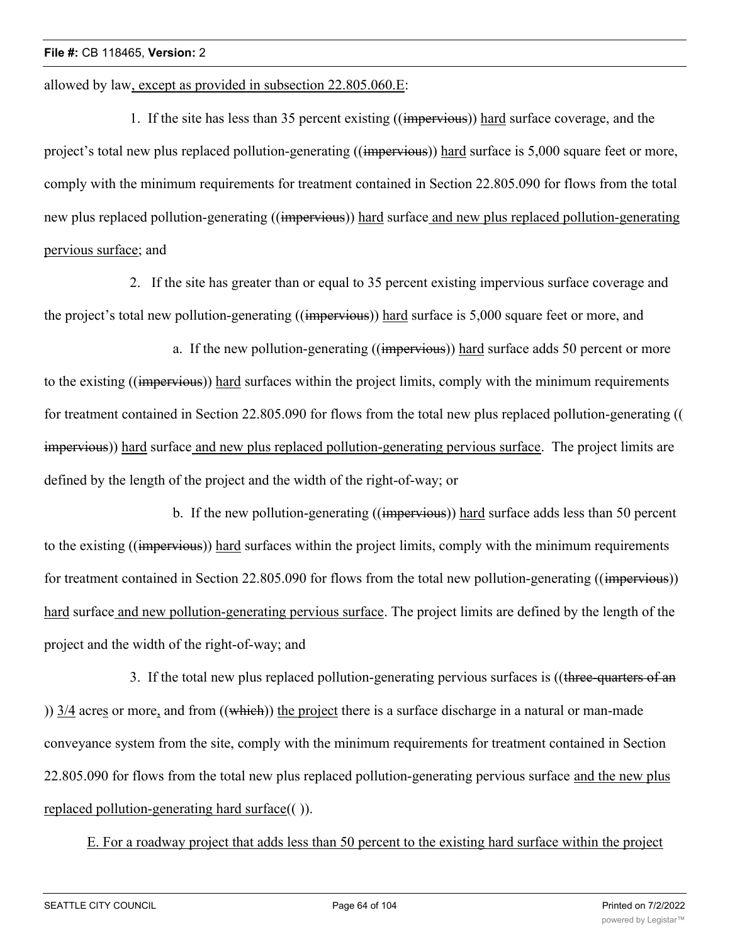allowed by law, except as provided in subsection 22.805.060.E:

1. If the site has less than 35 percent existing ((impervious)) hard surface coverage, and the project's total new plus replaced pollution-generating ((impervious)) hard surface is 5,000 square feet or more, comply with the minimum requirements for treatment contained in Section 22.805.090 for flows from the total new plus replaced pollution-generating ((impervious)) hard surface and new plus replaced pollution-generating pervious surface; and

2. If the site has greater than or equal to 35 percent existing impervious surface coverage and the project's total new pollution-generating ((impervious)) hard surface is 5,000 square feet or more, and

a. If the new pollution-generating ((impervious)) hard surface adds 50 percent or more to the existing ((impervious)) hard surfaces within the project limits, comply with the minimum requirements for treatment contained in Section 22.805.090 for flows from the total new plus replaced pollution-generating (( impervious)) hard surface and new plus replaced pollution-generating pervious surface. The project limits are defined by the length of the project and the width of the right-of-way; or

b. If the new pollution-generating ((impervious)) hard surface adds less than 50 percent to the existing ((impervious)) hard surfaces within the project limits, comply with the minimum requirements for treatment contained in Section 22.805.090 for flows from the total new pollution-generating ((impervious)) hard surface and new pollution-generating pervious surface. The project limits are defined by the length of the project and the width of the right-of-way; and

3. If the total new plus replaced pollution-generating pervious surfaces is ((three-quarters of an ))  $3/4$  acres or more, and from  $((\overline{\text{which}}))$  the project there is a surface discharge in a natural or man-made conveyance system from the site, comply with the minimum requirements for treatment contained in Section 22.805.090 for flows from the total new plus replaced pollution-generating pervious surface and the new plus replaced pollution-generating hard surface(( )).

E. For a roadway project that adds less than 50 percent to the existing hard surface within the project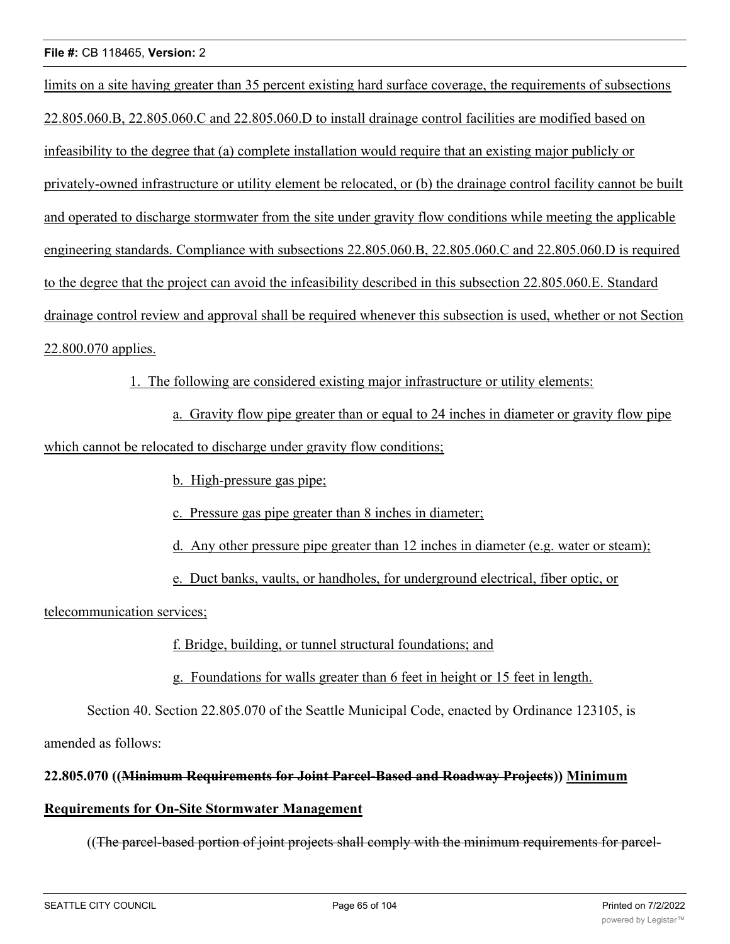limits on a site having greater than 35 percent existing hard surface coverage, the requirements of subsections 22.805.060.B, 22.805.060.C and 22.805.060.D to install drainage control facilities are modified based on infeasibility to the degree that (a) complete installation would require that an existing major publicly or privately-owned infrastructure or utility element be relocated, or (b) the drainage control facility cannot be built and operated to discharge stormwater from the site under gravity flow conditions while meeting the applicable engineering standards. Compliance with subsections 22.805.060.B, 22.805.060.C and 22.805.060.D is required to the degree that the project can avoid the infeasibility described in this subsection 22.805.060.E. Standard drainage control review and approval shall be required whenever this subsection is used, whether or not Section 22.800.070 applies.

1. The following are considered existing major infrastructure or utility elements:

a. Gravity flow pipe greater than or equal to 24 inches in diameter or gravity flow pipe which cannot be relocated to discharge under gravity flow conditions;

b. High-pressure gas pipe;

c. Pressure gas pipe greater than 8 inches in diameter;

d. Any other pressure pipe greater than 12 inches in diameter (e.g. water or steam);

e. Duct banks, vaults, or handholes, for underground electrical, fiber optic, or

telecommunication services;

f. Bridge, building, or tunnel structural foundations; and

g. Foundations for walls greater than 6 feet in height or 15 feet in length.

Section 40. Section 22.805.070 of the Seattle Municipal Code, enacted by Ordinance 123105, is

amended as follows:

## **22.805.070 ((Minimum Requirements for Joint Parcel-Based and Roadway Projects)) Minimum**

## **Requirements for On-Site Stormwater Management**

((The parcel-based portion of joint projects shall comply with the minimum requirements for parcel-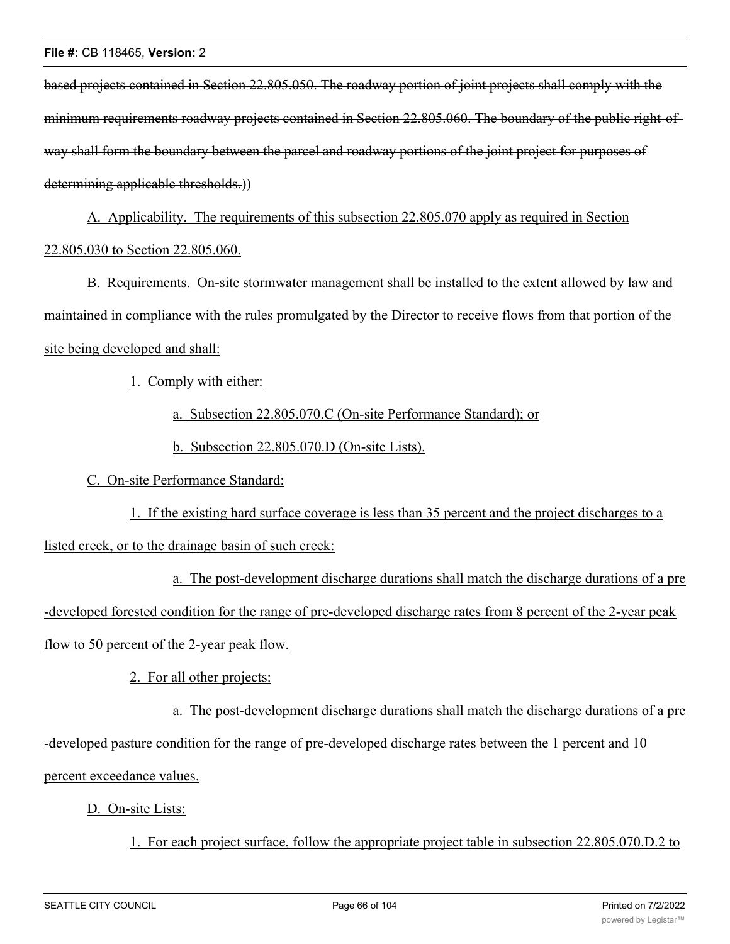based projects contained in Section 22.805.050. The roadway portion of joint projects shall comply with the minimum requirements roadway projects contained in Section 22.805.060. The boundary of the public right-ofway shall form the boundary between the parcel and roadway portions of the joint project for purposes of determining applicable thresholds.)

A. Applicability. The requirements of this subsection 22.805.070 apply as required in Section 22.805.030 to Section 22.805.060.

B. Requirements. On-site stormwater management shall be installed to the extent allowed by law and maintained in compliance with the rules promulgated by the Director to receive flows from that portion of the site being developed and shall:

1. Comply with either:

a. Subsection 22.805.070.C (On-site Performance Standard); or

b. Subsection 22.805.070.D (On-site Lists).

C. On-site Performance Standard:

1. If the existing hard surface coverage is less than 35 percent and the project discharges to a

listed creek, or to the drainage basin of such creek:

a. The post-development discharge durations shall match the discharge durations of a pre -developed forested condition for the range of pre-developed discharge rates from 8 percent of the 2-year peak flow to 50 percent of the 2-year peak flow.

2. For all other projects:

a. The post-development discharge durations shall match the discharge durations of a pre -developed pasture condition for the range of pre-developed discharge rates between the 1 percent and 10 percent exceedance values.

D. On-site Lists:

1. For each project surface, follow the appropriate project table in subsection 22.805.070.D.2 to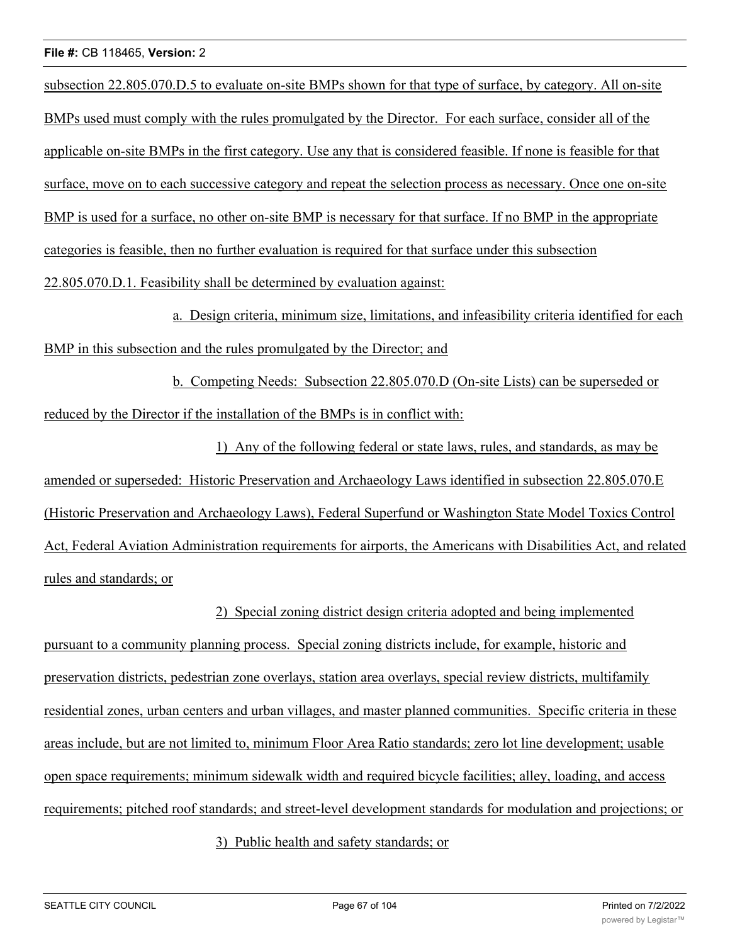subsection 22.805.070.D.5 to evaluate on-site BMPs shown for that type of surface, by category. All on-site BMPs used must comply with the rules promulgated by the Director. For each surface, consider all of the applicable on-site BMPs in the first category. Use any that is considered feasible. If none is feasible for that surface, move on to each successive category and repeat the selection process as necessary. Once one on-site BMP is used for a surface, no other on-site BMP is necessary for that surface. If no BMP in the appropriate categories is feasible, then no further evaluation is required for that surface under this subsection 22.805.070.D.1. Feasibility shall be determined by evaluation against:

a. Design criteria, minimum size, limitations, and infeasibility criteria identified for each BMP in this subsection and the rules promulgated by the Director; and

b. Competing Needs: Subsection 22.805.070.D (On-site Lists) can be superseded or reduced by the Director if the installation of the BMPs is in conflict with:

1) Any of the following federal or state laws, rules, and standards, as may be amended or superseded: Historic Preservation and Archaeology Laws identified in subsection 22.805.070.E (Historic Preservation and Archaeology Laws), Federal Superfund or Washington State Model Toxics Control Act, Federal Aviation Administration requirements for airports, the Americans with Disabilities Act, and related rules and standards; or

2) Special zoning district design criteria adopted and being implemented pursuant to a community planning process. Special zoning districts include, for example, historic and preservation districts, pedestrian zone overlays, station area overlays, special review districts, multifamily residential zones, urban centers and urban villages, and master planned communities. Specific criteria in these areas include, but are not limited to, minimum Floor Area Ratio standards; zero lot line development; usable open space requirements; minimum sidewalk width and required bicycle facilities; alley, loading, and access requirements; pitched roof standards; and street-level development standards for modulation and projections; or

3) Public health and safety standards; or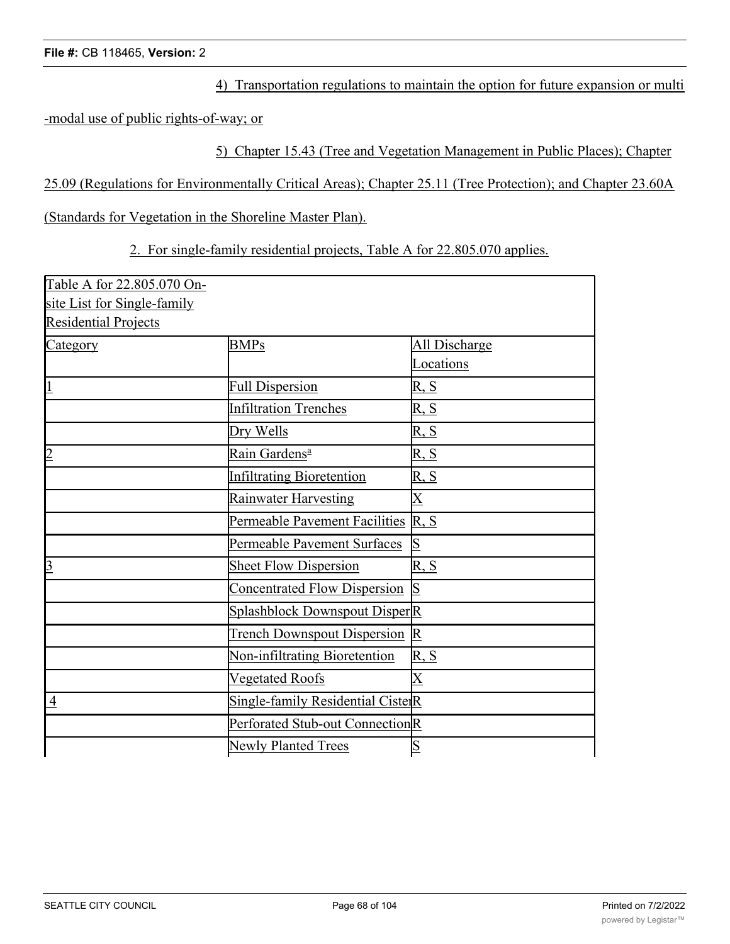4) Transportation regulations to maintain the option for future expansion or multi

-modal use of public rights-of-way; or

5) Chapter 15.43 (Tree and Vegetation Management in Public Places); Chapter

25.09 (Regulations for Environmentally Critical Areas); Chapter 25.11 (Tree Protection); and Chapter 23.60A

(Standards for Vegetation in the Shoreline Master Plan).

2. For single-family residential projects, Table A for 22.805.070 applies.

| Table A for 22.805.070 On-  |                                      |                              |
|-----------------------------|--------------------------------------|------------------------------|
| site List for Single-family |                                      |                              |
| <b>Residential Projects</b> |                                      |                              |
| Category                    | <b>BMPs</b>                          | All Discharge                |
|                             |                                      | Locations                    |
| $\overline{1}$              | <b>Full Dispersion</b>               | $\overline{R}, \overline{S}$ |
|                             | <b>Infiltration Trenches</b>         | R, S                         |
|                             | Dry Wells                            | R, S                         |
| $\overline{2}$              | Rain Gardens <sup>a</sup>            | R, S                         |
|                             | <b>Infiltrating Bioretention</b>     | R, S                         |
|                             | Rainwater Harvesting                 | $\mathbf X$                  |
|                             | Permeable Pavement Facilities        | R, S                         |
|                             | Permeable Pavement Surfaces          | S                            |
| $\overline{3}$              | <b>Sheet Flow Dispersion</b>         | R, S                         |
|                             | <b>Concentrated Flow Dispersion</b>  | S                            |
|                             | <b>Splashblock Downspout DisperR</b> |                              |
|                             | <b>Trench Downspout Dispersion</b>   | $\overline{\mathrm{R}}$      |
|                             | Non-infiltrating Bioretention        | R, S                         |
|                             | <b>Vegetated Roofs</b>               | $\overline{\mathrm{X}}$      |
| $\overline{4}$              | Single-family Residential CisterR    |                              |
|                             | Perforated Stub-out ConnectionR      |                              |
|                             | <b>Newly Planted Trees</b>           | S                            |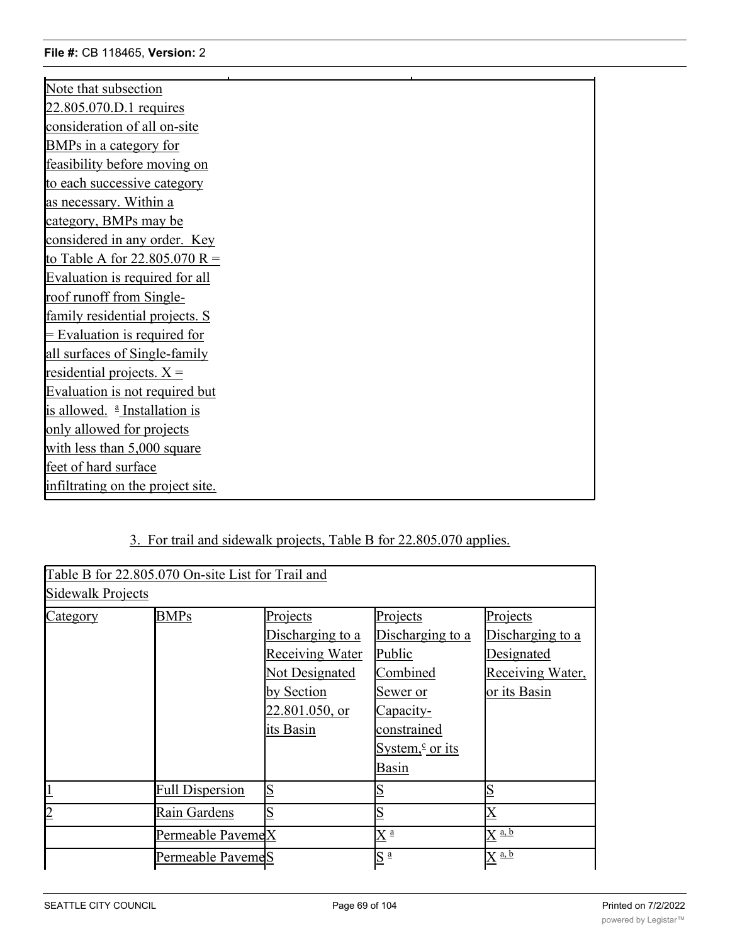| Note that subsection                     |
|------------------------------------------|
| 22.805.070.D.1 requires                  |
| consideration of all on-site             |
| BMPs in a category for                   |
| feasibility before moving on             |
| to each successive category              |
| as necessary. Within a                   |
| category, BMPs may be                    |
| considered in any order. Key             |
| to Table A for 22.805.070 R =            |
| Evaluation is required for all           |
| roof runoff from Single-                 |
| family residential projects. S           |
| $=$ Evaluation is required for           |
| all surfaces of Single-family            |
| residential projects. $X =$              |
| Evaluation is not required but           |
| is allowed. <sup>a</sup> Installation is |
| only allowed for projects                |
| with less than 5,000 square              |
| feet of hard surface                     |
| infiltrating on the project site.        |
|                                          |

## 3. For trail and sidewalk projects, Table B for 22.805.070 applies.

Perforated Stub-out ConnectionsR Newly Planted Trees S

|                   | Table B for 22.805.070 On-site List for Trail and |                         |                           |                      |
|-------------------|---------------------------------------------------|-------------------------|---------------------------|----------------------|
| Sidewalk Projects |                                                   |                         |                           |                      |
| Category          | <b>BMPs</b>                                       | Projects                | Projects                  | Projects             |
|                   |                                                   | Discharging to a        | Discharging to a          | Discharging to a     |
|                   |                                                   | <b>Receiving Water</b>  | Public                    | Designated           |
|                   |                                                   | Not Designated          | Combined                  | Receiving Water,     |
|                   |                                                   | by Section              | Sewer or                  | or its Basin         |
|                   |                                                   | 22.801.050, or          | Capacity-                 |                      |
|                   |                                                   | its Basin               | constrained               |                      |
|                   |                                                   |                         | System, $\epsilon$ or its |                      |
|                   |                                                   |                         | Basin                     |                      |
|                   | <b>Full Dispersion</b>                            | $\overline{\mathbb{S}}$ |                           | S                    |
| $\overline{2}$    | Rain Gardens                                      | S                       |                           |                      |
|                   | Permeable PavemeX                                 |                         | $X^{\frac{a}{-}}$         | $X^{\overline{a,b}}$ |
|                   | Permeable PavemeS                                 |                         | $S^{\underline{a}}$       | $\mathrm{X}$ a, b    |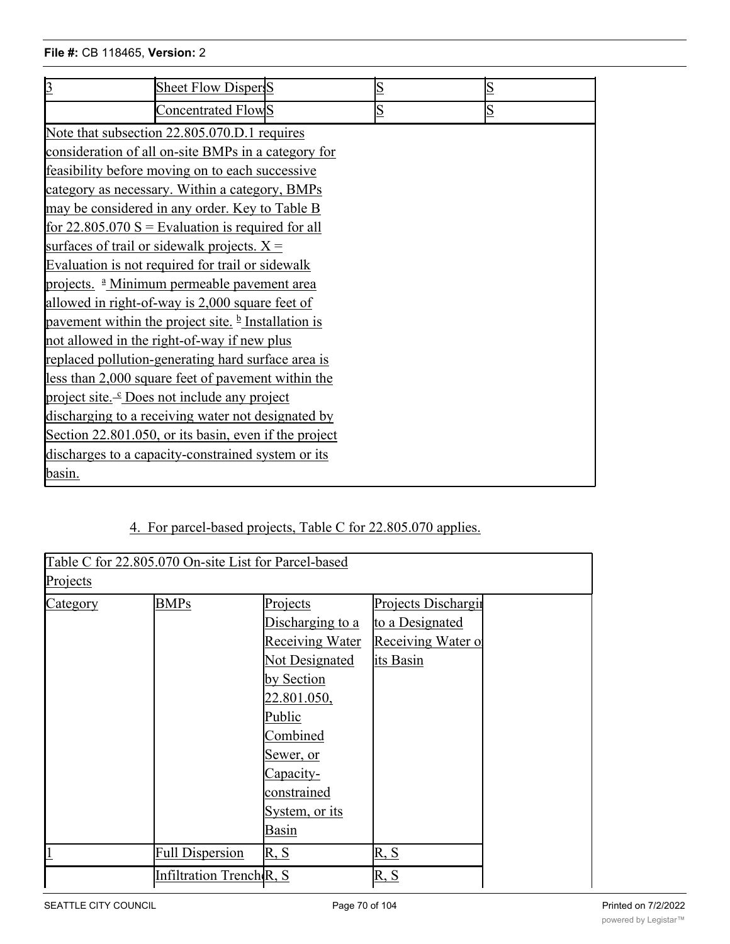| $\overline{3}$                                          | Sheet Flow Dispers                                              |  |   | ß |  |
|---------------------------------------------------------|-----------------------------------------------------------------|--|---|---|--|
|                                                         | Concentrated FlowS                                              |  | S | S |  |
|                                                         | Note that subsection 22.805.070.D.1 requires                    |  |   |   |  |
|                                                         | consideration of all on-site BMPs in a category for             |  |   |   |  |
|                                                         | feasibility before moving on to each successive                 |  |   |   |  |
|                                                         | category as necessary. Within a category, BMPs                  |  |   |   |  |
|                                                         | may be considered in any order. Key to Table B                  |  |   |   |  |
|                                                         | for $22.805.070 S =$ Evaluation is required for all             |  |   |   |  |
|                                                         | surfaces of trail or sidewalk projects. $X =$                   |  |   |   |  |
|                                                         | Evaluation is not required for trail or sidewalk                |  |   |   |  |
| projects. <sup>a</sup> Minimum permeable pavement area  |                                                                 |  |   |   |  |
| allowed in right-of-way is 2,000 square feet of         |                                                                 |  |   |   |  |
|                                                         | pavement within the project site. $\frac{b}{c}$ Installation is |  |   |   |  |
| not allowed in the right-of-way if new plus             |                                                                 |  |   |   |  |
| replaced pollution-generating hard surface area is      |                                                                 |  |   |   |  |
| less than 2,000 square feet of pavement within the      |                                                                 |  |   |   |  |
| project site. <sup>1</sup> Does not include any project |                                                                 |  |   |   |  |
| discharging to a receiving water not designated by      |                                                                 |  |   |   |  |
| Section 22.801.050, or its basin, even if the project   |                                                                 |  |   |   |  |
| discharges to a capacity-constrained system or its      |                                                                 |  |   |   |  |
| <u>basin.</u>                                           |                                                                 |  |   |   |  |

## 4. For parcel-based projects, Table C for 22.805.070 applies.

| Table C for 22.805.070 On-site List for Parcel-based |                                      |                        |                     |  |  |
|------------------------------------------------------|--------------------------------------|------------------------|---------------------|--|--|
| Projects                                             |                                      |                        |                     |  |  |
| Category                                             | <b>BMPs</b>                          | Projects               | Projects Dischargii |  |  |
|                                                      |                                      | Discharging to a       | to a Designated     |  |  |
|                                                      |                                      | <b>Receiving Water</b> | Receiving Water of  |  |  |
|                                                      |                                      | Not Designated         | its Basin           |  |  |
|                                                      |                                      | by Section             |                     |  |  |
|                                                      |                                      | 22.801.050,            |                     |  |  |
|                                                      |                                      | Public                 |                     |  |  |
|                                                      |                                      | Combined               |                     |  |  |
|                                                      |                                      | <u>Sewer, or</u>       |                     |  |  |
|                                                      |                                      | Capacity-              |                     |  |  |
|                                                      |                                      | constrained            |                     |  |  |
|                                                      |                                      | System, or its         |                     |  |  |
|                                                      |                                      | Basin                  |                     |  |  |
|                                                      | <b>Full Dispersion</b>               | R, S                   | R, S                |  |  |
|                                                      | Infiltration Trench <sub>(R, S</sub> |                        | R, S                |  |  |
|                                                      |                                      |                        |                     |  |  |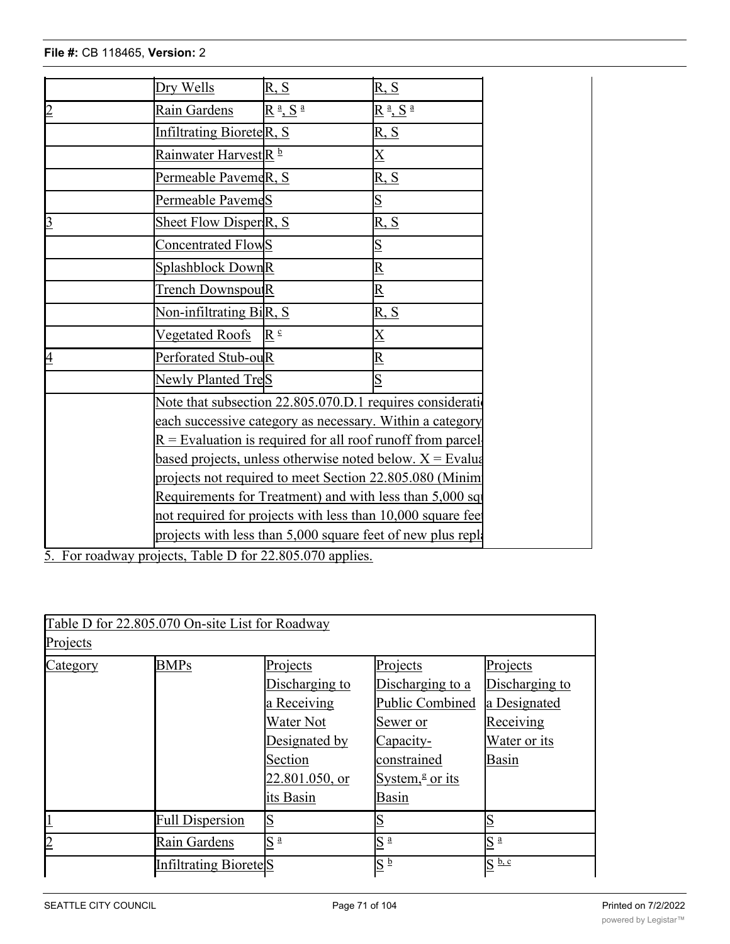|                | Dry Wells                         | R, S                                                         | R, S                                                                                                                  |  |
|----------------|-----------------------------------|--------------------------------------------------------------|-----------------------------------------------------------------------------------------------------------------------|--|
| $\overline{2}$ | Rain Gardens                      | $R^{\underline{a}}$ , S $^{\underline{a}}$                   | $\underline{R}$ <sup>a</sup> , $\underline{S}$ <sup>a</sup>                                                           |  |
|                | Infiltrating BioreteR, S          |                                                              | <u>R, S</u>                                                                                                           |  |
|                | Rainwater Harvest <sup>R</sup> b  |                                                              | $\overline{\text{X}}$                                                                                                 |  |
|                | Permeable PavemeR, S              |                                                              | <u>R, S</u>                                                                                                           |  |
|                | Permeable PavemeS                 |                                                              |                                                                                                                       |  |
| $\overline{3}$ | Sheet Flow Disper <sub>R, S</sub> |                                                              | R, S                                                                                                                  |  |
|                | Concentrated FlowS                |                                                              |                                                                                                                       |  |
|                | Splashblock DownR                 |                                                              |                                                                                                                       |  |
|                | Trench Downspou <sub>R</sub>      |                                                              |                                                                                                                       |  |
|                | Non-infiltrating BiR, S           |                                                              | <u>R, S</u>                                                                                                           |  |
|                | <b>Vegetated Roofs</b>            | $\mathbb{R}^{\circ}$                                         |                                                                                                                       |  |
| $\overline{4}$ | Perforated Stub-ouR               |                                                              |                                                                                                                       |  |
|                | Newly Planted TreS                |                                                              |                                                                                                                       |  |
|                |                                   |                                                              | Note that subsection 22.805.070.D.1 requires consideration                                                            |  |
|                |                                   |                                                              | each successive category as necessary. Within a category                                                              |  |
|                |                                   | $R =$ Evaluation is required for all roof runoff from parcel |                                                                                                                       |  |
|                |                                   |                                                              | based projects, unless otherwise noted below. $X$ = Evalua<br>projects not required to meet Section 22.805.080 (Minim |  |
|                |                                   |                                                              | Requirements for Treatment) and with less than 5,000 sql                                                              |  |
|                |                                   |                                                              | not required for projects with less than 10,000 square fee                                                            |  |
|                |                                   |                                                              | projects with less than 5,000 square feet of new plus repla                                                           |  |
|                |                                   |                                                              |                                                                                                                       |  |

5. For roadway projects, Table D for 22.805.070 applies.

| Table D for 22.805.070 On-site List for Roadway |                                   |                   |                              |                     |  |
|-------------------------------------------------|-----------------------------------|-------------------|------------------------------|---------------------|--|
| Projects                                        |                                   |                   |                              |                     |  |
| Category                                        | <b>BMPs</b>                       | Projects          | Projects                     | Projects            |  |
|                                                 |                                   | Discharging to    | Discharging to a             | Discharging to      |  |
|                                                 |                                   | a Receiving       | Public Combined              | a Designated        |  |
|                                                 |                                   | Water Not         | Sewer or                     | Receiving           |  |
|                                                 |                                   | Designated by     | Capacity-                    | Water or its        |  |
|                                                 |                                   | Section           | constrained                  | Basin               |  |
|                                                 |                                   | 22.801.050, or    | System, $\frac{g}{g}$ or its |                     |  |
|                                                 |                                   | its Basin         | Basin                        |                     |  |
|                                                 | <b>Full Dispersion</b>            | S                 |                              |                     |  |
|                                                 | Rain Gardens                      | S<br>$\mathbf{a}$ | $S^{\underline{a}}$          | $S^{\underline{a}}$ |  |
|                                                 | Infiltrating Biorete <sub>S</sub> |                   | $\mathrm{S}\ ^\mathrm{b}$    | S <sub>b,c</sub>    |  |

Permeable Pavement Facilities X <sup>d</sup> X e, f X c, e, f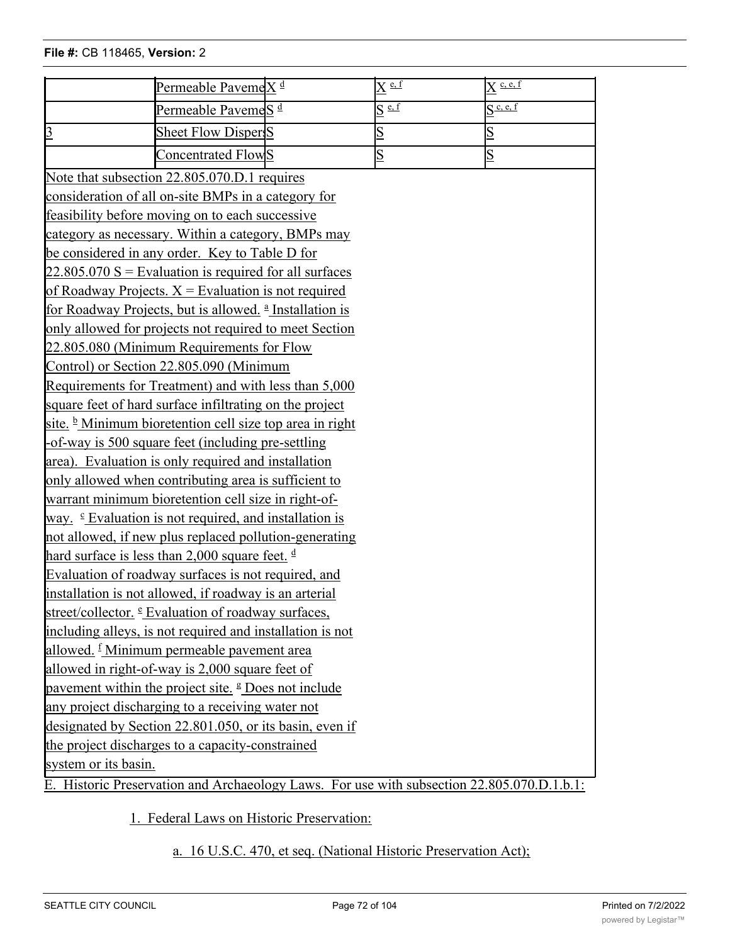|                                                                 | Permeable PavemeX <sup>d</sup>                                                             | $\overline{X}$ e, f     | $\overline{X}$ c, e, f  |  |  |
|-----------------------------------------------------------------|--------------------------------------------------------------------------------------------|-------------------------|-------------------------|--|--|
|                                                                 | Permeable Paveme <sub>S</sub> <sup>d</sup>                                                 | $S \stackrel{e, f}{=}$  | S <sup>c, e, f</sup>    |  |  |
| $\overline{3}$                                                  | <b>Sheet Flow Dispers</b>                                                                  | $\overline{\mathbf{S}}$ | $\overline{\mathsf{S}}$ |  |  |
|                                                                 | Concentrated FlowS                                                                         | $\overline{S}$          | $\overline{\mathbf{S}}$ |  |  |
|                                                                 | Note that subsection 22.805.070.D.1 requires                                               |                         |                         |  |  |
|                                                                 | consideration of all on-site BMPs in a category for                                        |                         |                         |  |  |
|                                                                 | feasibility before moving on to each successive                                            |                         |                         |  |  |
|                                                                 | category as necessary. Within a category, BMPs may                                         |                         |                         |  |  |
|                                                                 | be considered in any order. Key to Table D for                                             |                         |                         |  |  |
|                                                                 | $22.805.070$ S = Evaluation is required for all surfaces                                   |                         |                         |  |  |
|                                                                 | of Roadway Projects. $X =$ Evaluation is not required                                      |                         |                         |  |  |
|                                                                 | for Roadway Projects, but is allowed. <sup>a</sup> Installation is                         |                         |                         |  |  |
|                                                                 | only allowed for projects not required to meet Section                                     |                         |                         |  |  |
|                                                                 | 22.805.080 (Minimum Requirements for Flow                                                  |                         |                         |  |  |
|                                                                 | Control) or Section 22.805.090 (Minimum                                                    |                         |                         |  |  |
|                                                                 | Requirements for Treatment) and with less than 5,000                                       |                         |                         |  |  |
|                                                                 | square feet of hard surface infiltrating on the project                                    |                         |                         |  |  |
|                                                                 | site. <sup>b</sup> Minimum bioretention cell size top area in right                        |                         |                         |  |  |
|                                                                 | -of-way is 500 square feet (including pre-settling                                         |                         |                         |  |  |
|                                                                 | area). Evaluation is only required and installation                                        |                         |                         |  |  |
|                                                                 | only allowed when contributing area is sufficient to                                       |                         |                         |  |  |
|                                                                 | warrant minimum bioretention cell size in right-of-                                        |                         |                         |  |  |
|                                                                 | way. $\epsilon$ Evaluation is not required, and installation is                            |                         |                         |  |  |
|                                                                 | not allowed, if new plus replaced pollution-generating                                     |                         |                         |  |  |
|                                                                 | hard surface is less than 2,000 square feet. $\frac{d}{dx}$                                |                         |                         |  |  |
| Evaluation of roadway surfaces is not required, and             |                                                                                            |                         |                         |  |  |
| installation is not allowed, if roadway is an arterial          |                                                                                            |                         |                         |  |  |
| street/collector. <sup>e</sup> Evaluation of roadway surfaces,  |                                                                                            |                         |                         |  |  |
| including alleys, is not required and installation is not       |                                                                                            |                         |                         |  |  |
| allowed. <sup>f</sup> Minimum permeable pavement area           |                                                                                            |                         |                         |  |  |
| allowed in right-of-way is 2,000 square feet of                 |                                                                                            |                         |                         |  |  |
| pavement within the project site. <sup>g</sup> Does not include |                                                                                            |                         |                         |  |  |
| any project discharging to a receiving water not                |                                                                                            |                         |                         |  |  |
| designated by Section 22.801.050, or its basin, even if         |                                                                                            |                         |                         |  |  |
| the project discharges to a capacity-constrained                |                                                                                            |                         |                         |  |  |
| system or its basin.                                            |                                                                                            |                         |                         |  |  |
|                                                                 | E. Historic Preservation and Archaeology Laws. For use with subsection 22.805.070.D.1.b.1: |                         |                         |  |  |

1. Federal Laws on Historic Preservation:

a. 16 U.S.C. 470, et seq. (National Historic Preservation Act);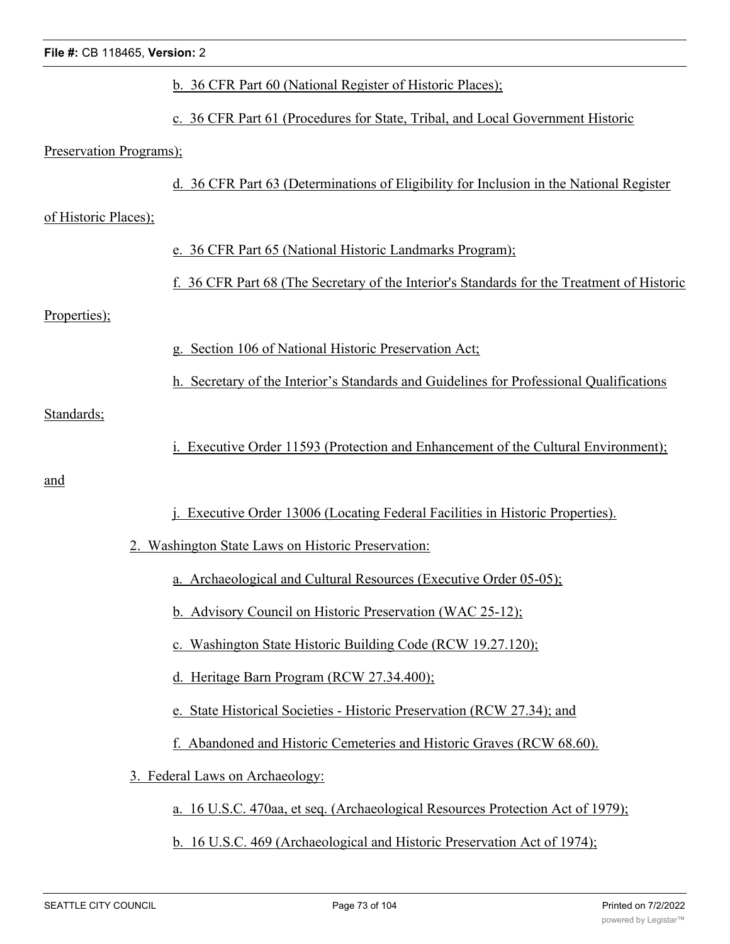| File #: CB 118465, Version: 2 |                                                                                            |
|-------------------------------|--------------------------------------------------------------------------------------------|
|                               | b. 36 CFR Part 60 (National Register of Historic Places);                                  |
|                               | c. 36 CFR Part 61 (Procedures for State, Tribal, and Local Government Historic             |
| Preservation Programs);       |                                                                                            |
|                               | d. 36 CFR Part 63 (Determinations of Eligibility for Inclusion in the National Register    |
| of Historic Places);          |                                                                                            |
|                               | e. 36 CFR Part 65 (National Historic Landmarks Program);                                   |
|                               | f. 36 CFR Part 68 (The Secretary of the Interior's Standards for the Treatment of Historic |
| Properties);                  |                                                                                            |
|                               | g. Section 106 of National Historic Preservation Act;                                      |
|                               | h. Secretary of the Interior's Standards and Guidelines for Professional Qualifications    |
| Standards;                    |                                                                                            |
|                               | Executive Order 11593 (Protection and Enhancement of the Cultural Environment);            |
| and                           |                                                                                            |
|                               | j. Executive Order 13006 (Locating Federal Facilities in Historic Properties).             |
|                               | 2. Washington State Laws on Historic Preservation:                                         |
|                               | a. Archaeological and Cultural Resources (Executive Order 05-05);                          |
|                               | b. Advisory Council on Historic Preservation (WAC 25-12);                                  |
|                               | c. Washington State Historic Building Code (RCW 19.27.120);                                |
|                               | d. Heritage Barn Program (RCW 27.34.400);                                                  |
|                               | e. State Historical Societies - Historic Preservation (RCW 27.34); and                     |
|                               | f. Abandoned and Historic Cemeteries and Historic Graves (RCW 68.60).                      |
|                               | 3. Federal Laws on Archaeology:                                                            |
|                               | a. 16 U.S.C. 470aa, et seq. (Archaeological Resources Protection Act of 1979);             |
|                               | b. 16 U.S.C. 469 (Archaeological and Historic Preservation Act of 1974);                   |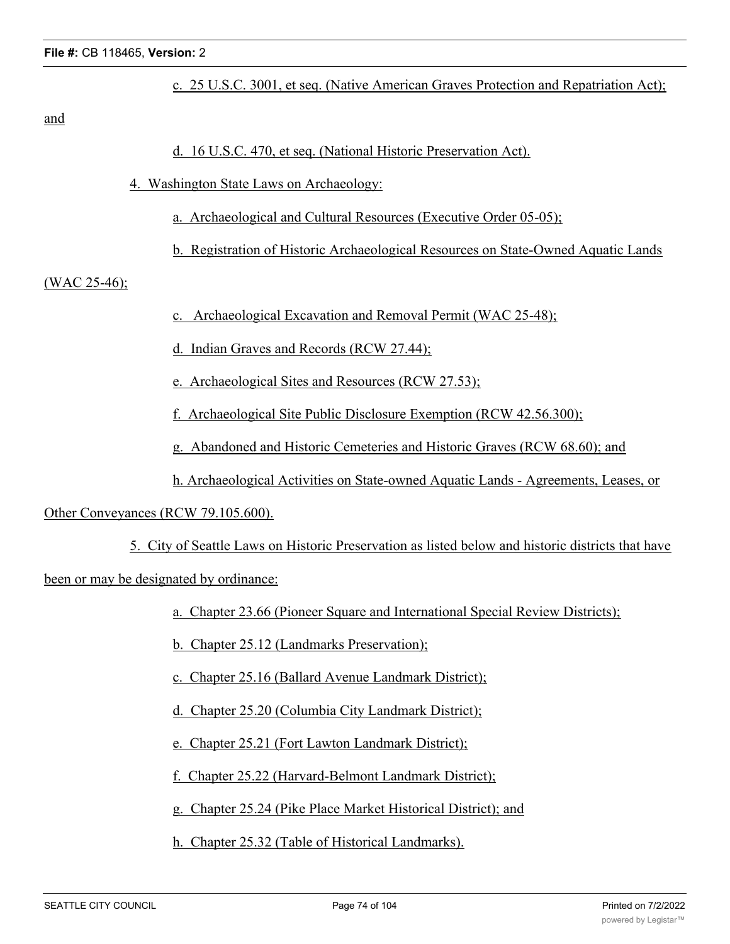c. 25 U.S.C. 3001, et seq. (Native American Graves Protection and Repatriation Act);

and

- d. 16 U.S.C. 470, et seq. (National Historic Preservation Act).
- 4. Washington State Laws on Archaeology:
	- a. Archaeological and Cultural Resources (Executive Order 05-05);
	- b. Registration of Historic Archaeological Resources on State-Owned Aquatic Lands

(WAC 25-46);

- c. Archaeological Excavation and Removal Permit (WAC 25-48);
- d. Indian Graves and Records (RCW 27.44);
- e. Archaeological Sites and Resources (RCW 27.53);
- f. Archaeological Site Public Disclosure Exemption (RCW 42.56.300);
- g. Abandoned and Historic Cemeteries and Historic Graves (RCW 68.60); and
- h. Archaeological Activities on State-owned Aquatic Lands Agreements, Leases, or

Other Conveyances (RCW 79.105.600).

5. City of Seattle Laws on Historic Preservation as listed below and historic districts that have

been or may be designated by ordinance:

- a. Chapter 23.66 (Pioneer Square and International Special Review Districts);
- b. Chapter 25.12 (Landmarks Preservation);
- c. Chapter 25.16 (Ballard Avenue Landmark District);
- d. Chapter 25.20 (Columbia City Landmark District);
- e. Chapter 25.21 (Fort Lawton Landmark District);
- f. Chapter 25.22 (Harvard-Belmont Landmark District);
- g. Chapter 25.24 (Pike Place Market Historical District); and
- h. Chapter 25.32 (Table of Historical Landmarks).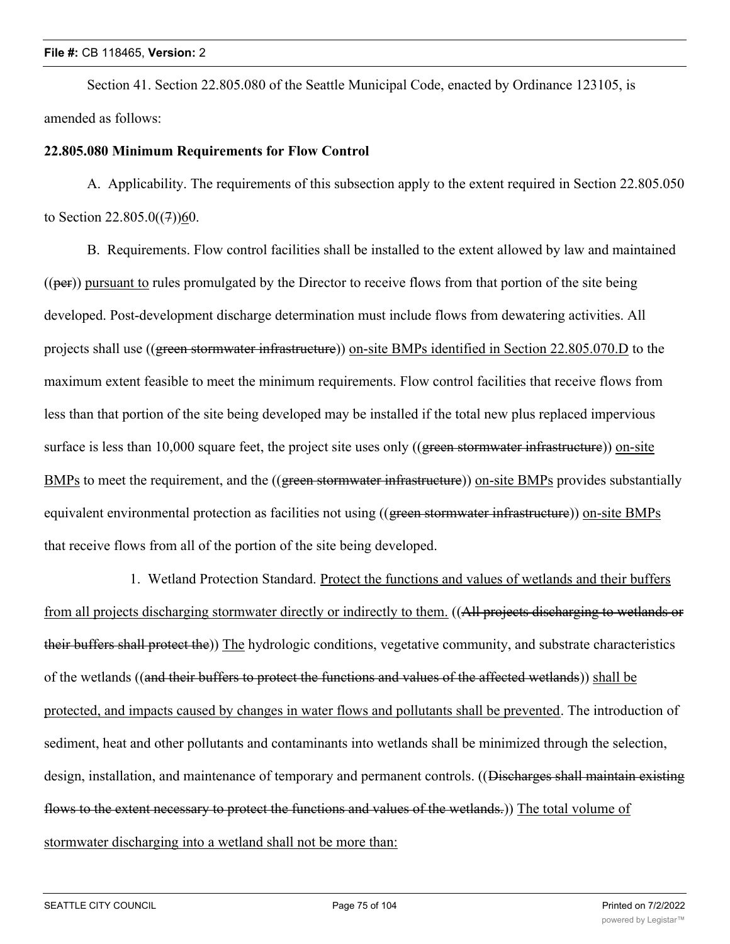Section 41. Section 22.805.080 of the Seattle Municipal Code, enacted by Ordinance 123105, is amended as follows:

## **22.805.080 Minimum Requirements for Flow Control**

A. Applicability. The requirements of this subsection apply to the extent required in Section 22.805.050 to Section  $22.805.0(7)$ )60.

B. Requirements. Flow control facilities shall be installed to the extent allowed by law and maintained  $((per))$  pursuant to rules promulgated by the Director to receive flows from that portion of the site being developed. Post-development discharge determination must include flows from dewatering activities. All projects shall use ((green stormwater infrastructure)) on-site BMPs identified in Section 22.805.070.D to the maximum extent feasible to meet the minimum requirements. Flow control facilities that receive flows from less than that portion of the site being developed may be installed if the total new plus replaced impervious surface is less than 10,000 square feet, the project site uses only ((green stormwater infrastructure)) on-site BMPs to meet the requirement, and the ((green stormwater infrastructure)) on-site BMPs provides substantially equivalent environmental protection as facilities not using ((green stormwater infrastructure)) on-site BMPs that receive flows from all of the portion of the site being developed.

1. Wetland Protection Standard. Protect the functions and values of wetlands and their buffers from all projects discharging stormwater directly or indirectly to them. ((All projects discharging to wetlands or their buffers shall protect the)) The hydrologic conditions, vegetative community, and substrate characteristics of the wetlands ((and their buffers to protect the functions and values of the affected wetlands)) shall be protected, and impacts caused by changes in water flows and pollutants shall be prevented. The introduction of sediment, heat and other pollutants and contaminants into wetlands shall be minimized through the selection, design, installation, and maintenance of temporary and permanent controls. ((Discharges shall maintain existing flows to the extent necessary to protect the functions and values of the wetlands.) The total volume of stormwater discharging into a wetland shall not be more than: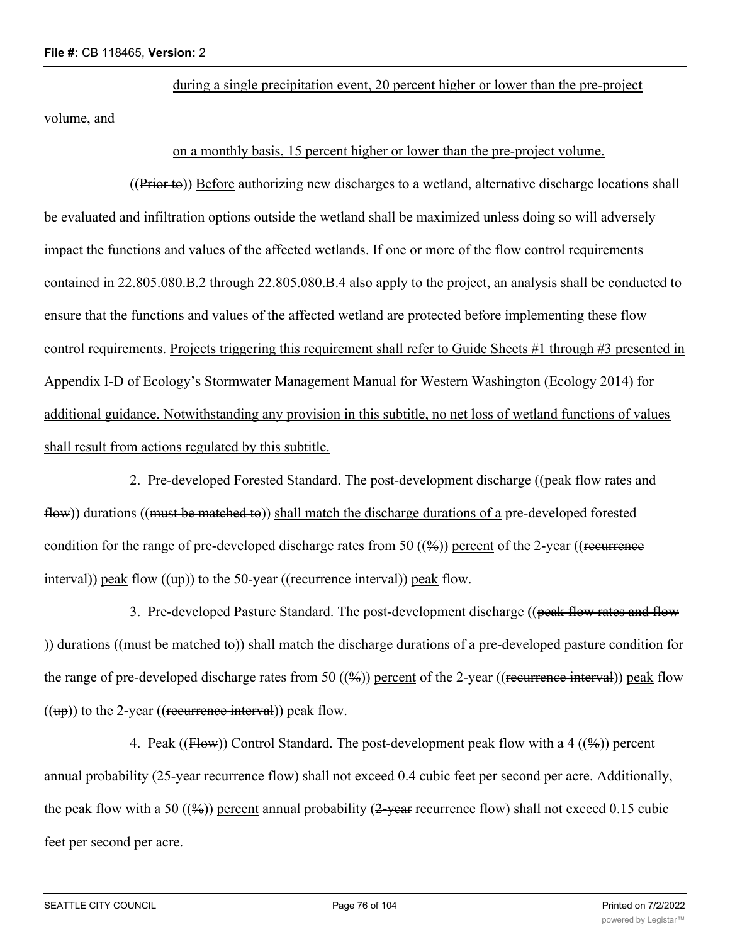during a single precipitation event, 20 percent higher or lower than the pre-project

volume, and

## on a monthly basis, 15 percent higher or lower than the pre-project volume.

((Prior to)) Before authorizing new discharges to a wetland, alternative discharge locations shall be evaluated and infiltration options outside the wetland shall be maximized unless doing so will adversely impact the functions and values of the affected wetlands. If one or more of the flow control requirements contained in 22.805.080.B.2 through 22.805.080.B.4 also apply to the project, an analysis shall be conducted to ensure that the functions and values of the affected wetland are protected before implementing these flow control requirements. Projects triggering this requirement shall refer to Guide Sheets #1 through #3 presented in Appendix I-D of Ecology's Stormwater Management Manual for Western Washington (Ecology 2014) for additional guidance. Notwithstanding any provision in this subtitle, no net loss of wetland functions of values shall result from actions regulated by this subtitle.

2. Pre-developed Forested Standard. The post-development discharge ((peak flow rates and flow)) durations ((must be matched to)) shall match the discharge durations of a pre-developed forested condition for the range of pre-developed discharge rates from 50  $((\frac{9}{6}))$  percent of the 2-year ((recurrence  $\frac{\text{interval}}{\text{interval}}$ ) peak flow  $((\text{up}))$  to the 50-year ((recurrence interval)) peak flow.

3. Pre-developed Pasture Standard. The post-development discharge ((peak flow rates and flow )) durations ((must be matched to)) shall match the discharge durations of a pre-developed pasture condition for the range of pre-developed discharge rates from 50  $((\%)$ ) percent of the 2-year ((recurrence interval)) peak flow  $((\text{up}))$  to the 2-year ((recurrence interval)) peak flow.

4. Peak ((Flow)) Control Standard. The post-development peak flow with a 4 (( $\frac{4}{9}$ ) percent annual probability (25-year recurrence flow) shall not exceed 0.4 cubic feet per second per acre. Additionally, the peak flow with a 50 ( $(\frac{96}{9})$ ) percent annual probability (2-year recurrence flow) shall not exceed 0.15 cubic feet per second per acre.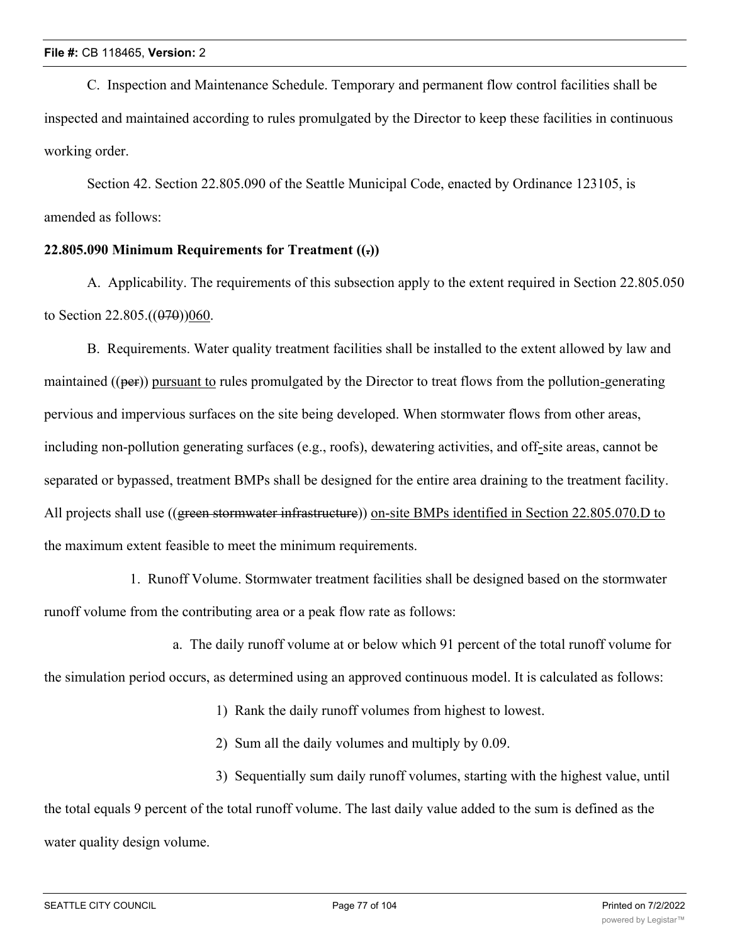C. Inspection and Maintenance Schedule. Temporary and permanent flow control facilities shall be inspected and maintained according to rules promulgated by the Director to keep these facilities in continuous working order.

Section 42. Section 22.805.090 of the Seattle Municipal Code, enacted by Ordinance 123105, is amended as follows:

# **22.805.090 Minimum Requirements for Treatment ((.))**

A. Applicability. The requirements of this subsection apply to the extent required in Section 22.805.050 to Section 22.805. $((070)(060)$ .

B. Requirements. Water quality treatment facilities shall be installed to the extent allowed by law and maintained  $((per))$  pursuant to rules promulgated by the Director to treat flows from the pollution-generating pervious and impervious surfaces on the site being developed. When stormwater flows from other areas, including non-pollution generating surfaces (e.g., roofs), dewatering activities, and off-site areas, cannot be separated or bypassed, treatment BMPs shall be designed for the entire area draining to the treatment facility. All projects shall use ((green stormwater infrastructure)) on-site BMPs identified in Section 22.805.070.D to the maximum extent feasible to meet the minimum requirements.

1. Runoff Volume. Stormwater treatment facilities shall be designed based on the stormwater runoff volume from the contributing area or a peak flow rate as follows:

a. The daily runoff volume at or below which 91 percent of the total runoff volume for

the simulation period occurs, as determined using an approved continuous model. It is calculated as follows:

1) Rank the daily runoff volumes from highest to lowest.

2) Sum all the daily volumes and multiply by 0.09.

3) Sequentially sum daily runoff volumes, starting with the highest value, until the total equals 9 percent of the total runoff volume. The last daily value added to the sum is defined as the water quality design volume.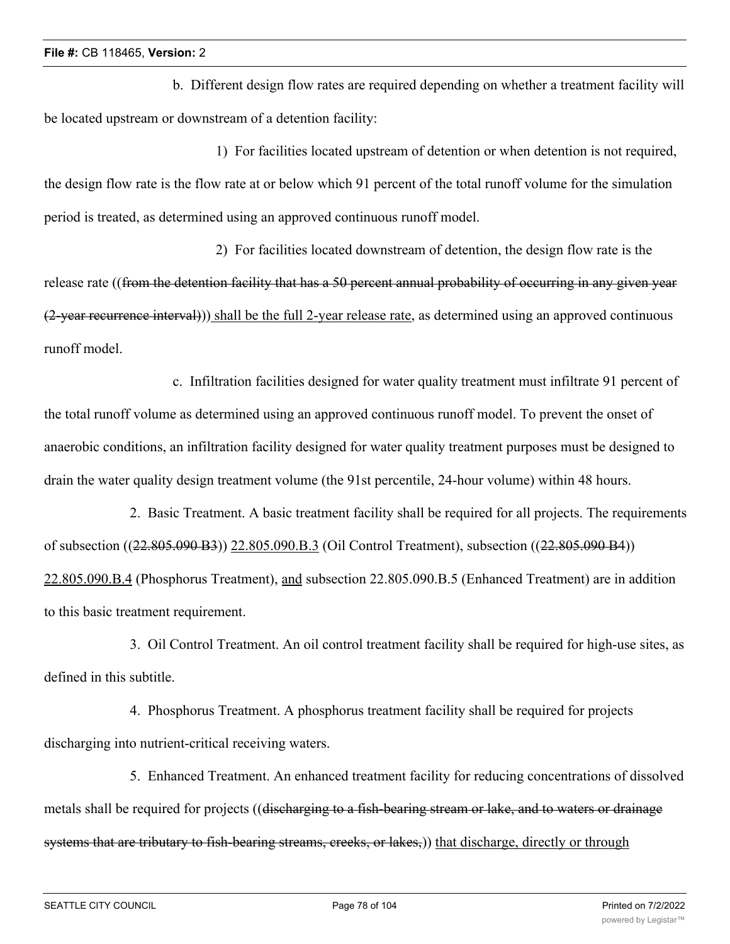b. Different design flow rates are required depending on whether a treatment facility will be located upstream or downstream of a detention facility:

1) For facilities located upstream of detention or when detention is not required, the design flow rate is the flow rate at or below which 91 percent of the total runoff volume for the simulation period is treated, as determined using an approved continuous runoff model.

2) For facilities located downstream of detention, the design flow rate is the release rate ((from the detention facility that has a 50 percent annual probability of occurring in any given year (2-year recurrence interval))) shall be the full 2-year release rate, as determined using an approved continuous runoff model.

c. Infiltration facilities designed for water quality treatment must infiltrate 91 percent of the total runoff volume as determined using an approved continuous runoff model. To prevent the onset of anaerobic conditions, an infiltration facility designed for water quality treatment purposes must be designed to drain the water quality design treatment volume (the 91st percentile, 24-hour volume) within 48 hours.

2. Basic Treatment. A basic treatment facility shall be required for all projects. The requirements of subsection ((22.805.090 B3)) 22.805.090.B.3 (Oil Control Treatment), subsection ((22.805.090 B4)) 22.805.090.B.4 (Phosphorus Treatment), and subsection 22.805.090.B.5 (Enhanced Treatment) are in addition to this basic treatment requirement.

3. Oil Control Treatment. An oil control treatment facility shall be required for high-use sites, as defined in this subtitle.

4. Phosphorus Treatment. A phosphorus treatment facility shall be required for projects discharging into nutrient-critical receiving waters.

5. Enhanced Treatment. An enhanced treatment facility for reducing concentrations of dissolved metals shall be required for projects ((discharging to a fish-bearing stream or lake, and to waters or drainage systems that are tributary to fish-bearing streams, creeks, or lakes,) that discharge, directly or through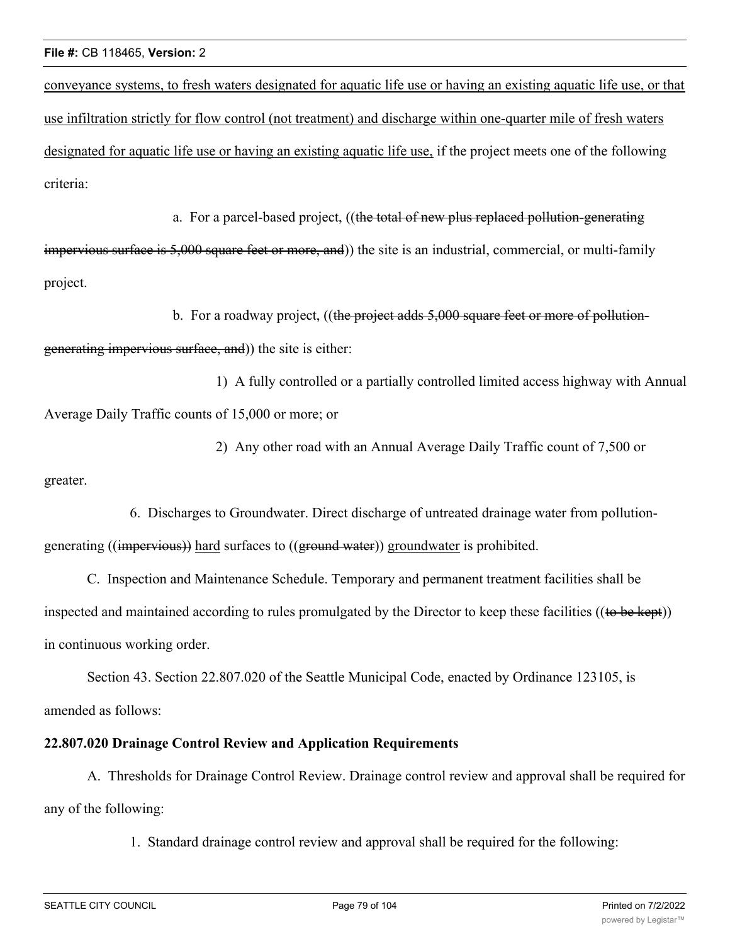conveyance systems, to fresh waters designated for aquatic life use or having an existing aquatic life use, or that use infiltration strictly for flow control (not treatment) and discharge within one-quarter mile of fresh waters designated for aquatic life use or having an existing aquatic life use, if the project meets one of the following criteria:

a. For a parcel-based project, ((the total of new plus replaced pollution-generating impervious surface is 5,000 square feet or more, and)) the site is an industrial, commercial, or multi-family project.

b. For a roadway project, ((the project adds 5,000 square feet or more of pollutiongenerating impervious surface, and)) the site is either:

1) A fully controlled or a partially controlled limited access highway with Annual Average Daily Traffic counts of 15,000 or more; or

2) Any other road with an Annual Average Daily Traffic count of 7,500 or greater.

6. Discharges to Groundwater. Direct discharge of untreated drainage water from pollutiongenerating ((impervious)) hard surfaces to ((ground water)) groundwater is prohibited.

C. Inspection and Maintenance Schedule. Temporary and permanent treatment facilities shall be inspected and maintained according to rules promulgated by the Director to keep these facilities ((to be kept)) in continuous working order.

Section 43. Section 22.807.020 of the Seattle Municipal Code, enacted by Ordinance 123105, is amended as follows:

# **22.807.020 Drainage Control Review and Application Requirements**

A. Thresholds for Drainage Control Review. Drainage control review and approval shall be required for any of the following:

1. Standard drainage control review and approval shall be required for the following: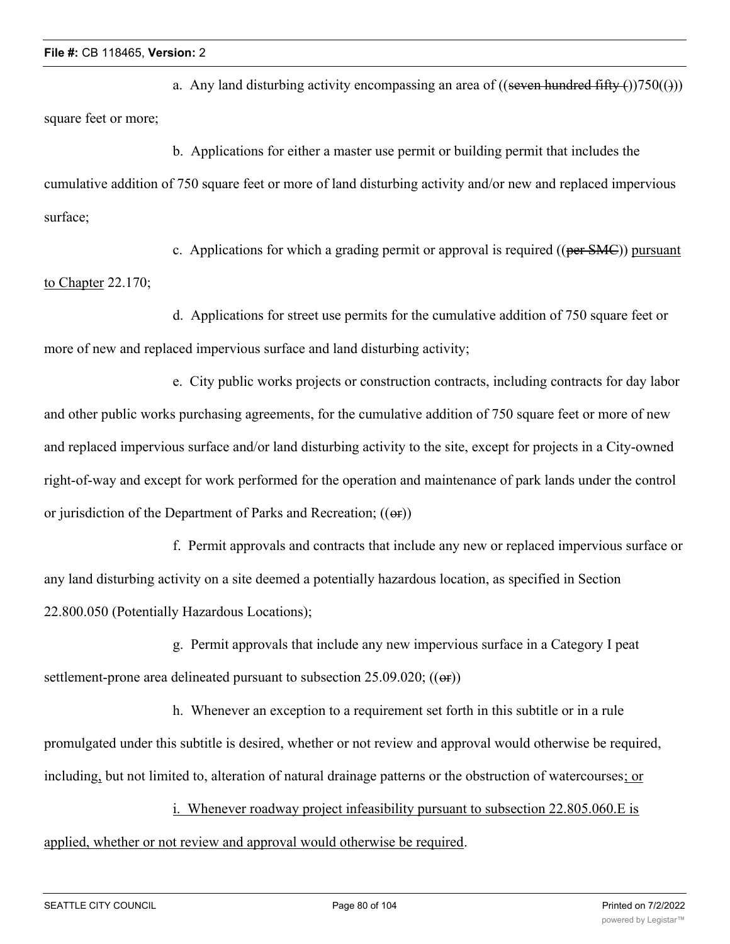a. Any land disturbing activity encompassing an area of ((seven hundred fifty  $\epsilon$ ))750(())) square feet or more;

b. Applications for either a master use permit or building permit that includes the cumulative addition of 750 square feet or more of land disturbing activity and/or new and replaced impervious surface;

c. Applications for which a grading permit or approval is required (( $per SMC$ )) pursuant to Chapter 22.170;

d. Applications for street use permits for the cumulative addition of 750 square feet or more of new and replaced impervious surface and land disturbing activity;

e. City public works projects or construction contracts, including contracts for day labor and other public works purchasing agreements, for the cumulative addition of 750 square feet or more of new and replaced impervious surface and/or land disturbing activity to the site, except for projects in a City-owned right-of-way and except for work performed for the operation and maintenance of park lands under the control or jurisdiction of the Department of Parks and Recreation; ((or))

f. Permit approvals and contracts that include any new or replaced impervious surface or any land disturbing activity on a site deemed a potentially hazardous location, as specified in Section 22.800.050 (Potentially Hazardous Locations);

g. Permit approvals that include any new impervious surface in a Category I peat settlement-prone area delineated pursuant to subsection  $25.09.020$ ; (( $\Theta$ ))

h. Whenever an exception to a requirement set forth in this subtitle or in a rule promulgated under this subtitle is desired, whether or not review and approval would otherwise be required, including, but not limited to, alteration of natural drainage patterns or the obstruction of watercourses; or

i. Whenever roadway project infeasibility pursuant to subsection 22.805.060.E is applied, whether or not review and approval would otherwise be required.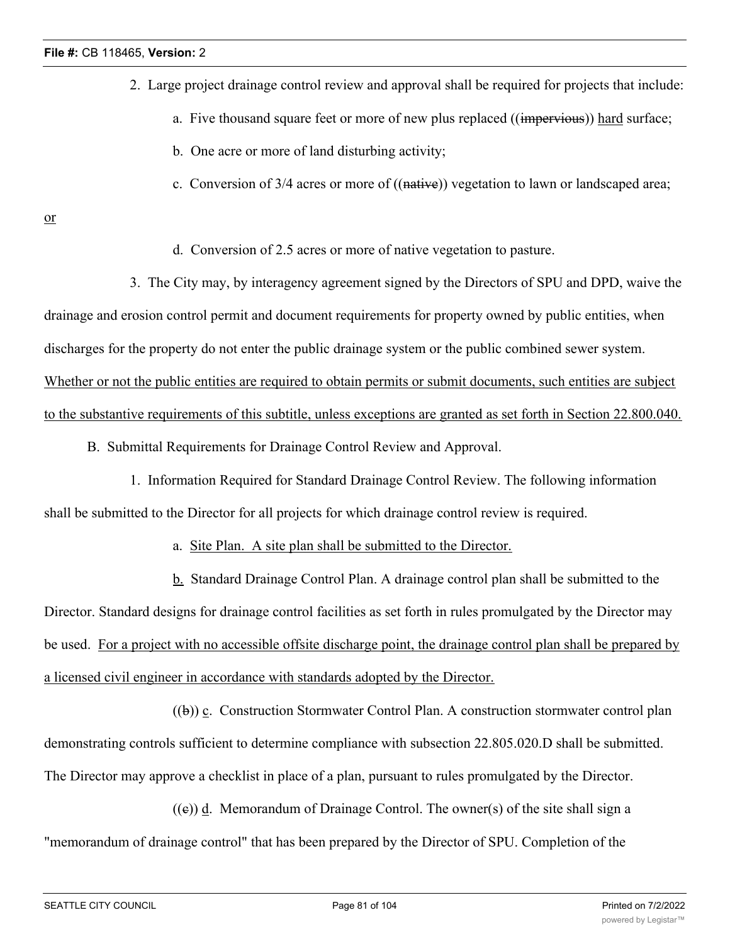- 2. Large project drainage control review and approval shall be required for projects that include:
	- a. Five thousand square feet or more of new plus replaced ((impervious)) hard surface;
	- b. One acre or more of land disturbing activity;
	- c. Conversion of  $3/4$  acres or more of  $((\text{native}))$  vegetation to lawn or landscaped area;

or

d. Conversion of 2.5 acres or more of native vegetation to pasture.

3. The City may, by interagency agreement signed by the Directors of SPU and DPD, waive the drainage and erosion control permit and document requirements for property owned by public entities, when discharges for the property do not enter the public drainage system or the public combined sewer system. Whether or not the public entities are required to obtain permits or submit documents, such entities are subject to the substantive requirements of this subtitle, unless exceptions are granted as set forth in Section 22.800.040.

- B. Submittal Requirements for Drainage Control Review and Approval.
- 1. Information Required for Standard Drainage Control Review. The following information shall be submitted to the Director for all projects for which drainage control review is required.
	- a. Site Plan. A site plan shall be submitted to the Director.

b. Standard Drainage Control Plan. A drainage control plan shall be submitted to the Director. Standard designs for drainage control facilities as set forth in rules promulgated by the Director may be used. For a project with no accessible offsite discharge point, the drainage control plan shall be prepared by a licensed civil engineer in accordance with standards adopted by the Director.

 $((b))$  c. Construction Stormwater Control Plan. A construction stormwater control plan demonstrating controls sufficient to determine compliance with subsection 22.805.020.D shall be submitted. The Director may approve a checklist in place of a plan, pursuant to rules promulgated by the Director.

 $((e))$  d. Memorandum of Drainage Control. The owner(s) of the site shall sign a "memorandum of drainage control" that has been prepared by the Director of SPU. Completion of the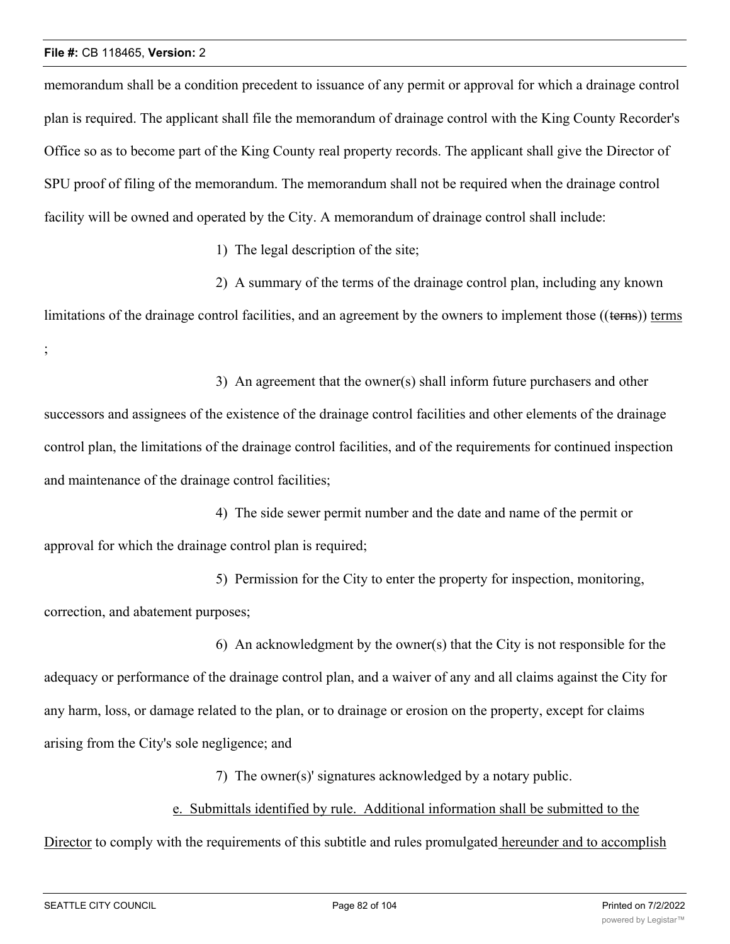memorandum shall be a condition precedent to issuance of any permit or approval for which a drainage control plan is required. The applicant shall file the memorandum of drainage control with the King County Recorder's Office so as to become part of the King County real property records. The applicant shall give the Director of SPU proof of filing of the memorandum. The memorandum shall not be required when the drainage control facility will be owned and operated by the City. A memorandum of drainage control shall include:

1) The legal description of the site;

2) A summary of the terms of the drainage control plan, including any known

limitations of the drainage control facilities, and an agreement by the owners to implement those ((terns)) terms ;

3) An agreement that the owner(s) shall inform future purchasers and other

successors and assignees of the existence of the drainage control facilities and other elements of the drainage control plan, the limitations of the drainage control facilities, and of the requirements for continued inspection and maintenance of the drainage control facilities;

4) The side sewer permit number and the date and name of the permit or approval for which the drainage control plan is required;

5) Permission for the City to enter the property for inspection, monitoring, correction, and abatement purposes;

6) An acknowledgment by the owner(s) that the City is not responsible for the adequacy or performance of the drainage control plan, and a waiver of any and all claims against the City for any harm, loss, or damage related to the plan, or to drainage or erosion on the property, except for claims arising from the City's sole negligence; and

7) The owner(s)' signatures acknowledged by a notary public.

# e. Submittals identified by rule. Additional information shall be submitted to the

Director to comply with the requirements of this subtitle and rules promulgated hereunder and to accomplish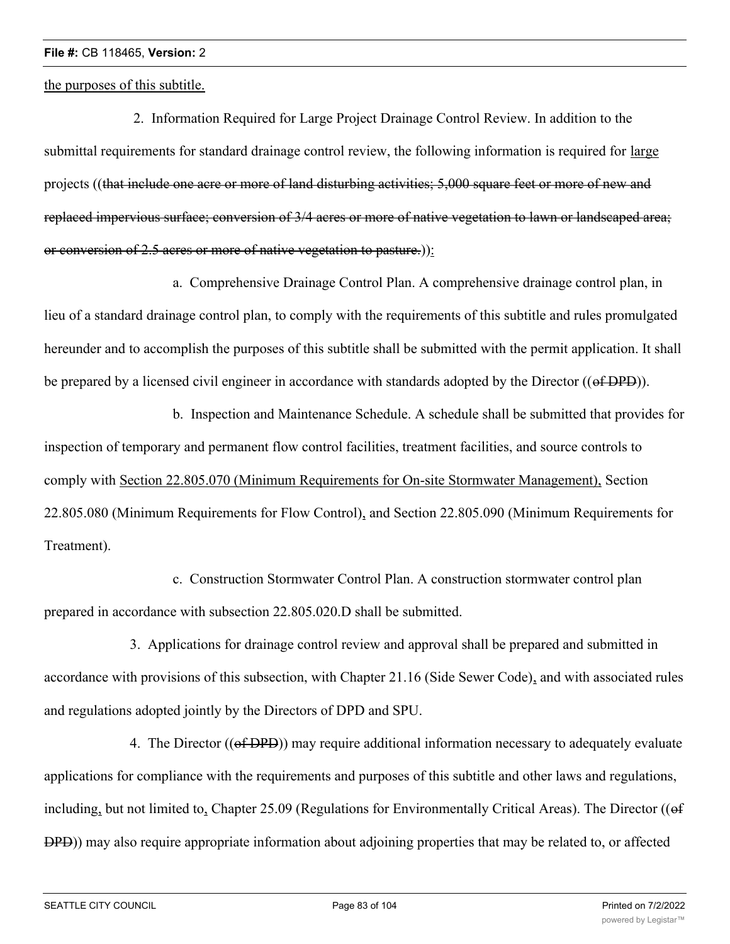the purposes of this subtitle.

 2. Information Required for Large Project Drainage Control Review. In addition to the submittal requirements for standard drainage control review, the following information is required for large projects ((that include one acre or more of land disturbing activities; 5,000 square feet or more of new and replaced impervious surface; conversion of 3/4 acres or more of native vegetation to lawn or landscaped area; or conversion of 2.5 acres or more of native vegetation to pasture.)):

a. Comprehensive Drainage Control Plan. A comprehensive drainage control plan, in lieu of a standard drainage control plan, to comply with the requirements of this subtitle and rules promulgated hereunder and to accomplish the purposes of this subtitle shall be submitted with the permit application. It shall be prepared by a licensed civil engineer in accordance with standards adopted by the Director (( $\theta$ f DPD)).

b. Inspection and Maintenance Schedule. A schedule shall be submitted that provides for inspection of temporary and permanent flow control facilities, treatment facilities, and source controls to comply with Section 22.805.070 (Minimum Requirements for On-site Stormwater Management), Section 22.805.080 (Minimum Requirements for Flow Control), and Section 22.805.090 (Minimum Requirements for Treatment).

c. Construction Stormwater Control Plan. A construction stormwater control plan prepared in accordance with subsection 22.805.020.D shall be submitted.

3. Applications for drainage control review and approval shall be prepared and submitted in accordance with provisions of this subsection, with Chapter 21.16 (Side Sewer Code), and with associated rules and regulations adopted jointly by the Directors of DPD and SPU.

4. The Director ((of DPD)) may require additional information necessary to adequately evaluate applications for compliance with the requirements and purposes of this subtitle and other laws and regulations, including, but not limited to, Chapter 25.09 (Regulations for Environmentally Critical Areas). The Director ((of DPD)) may also require appropriate information about adjoining properties that may be related to, or affected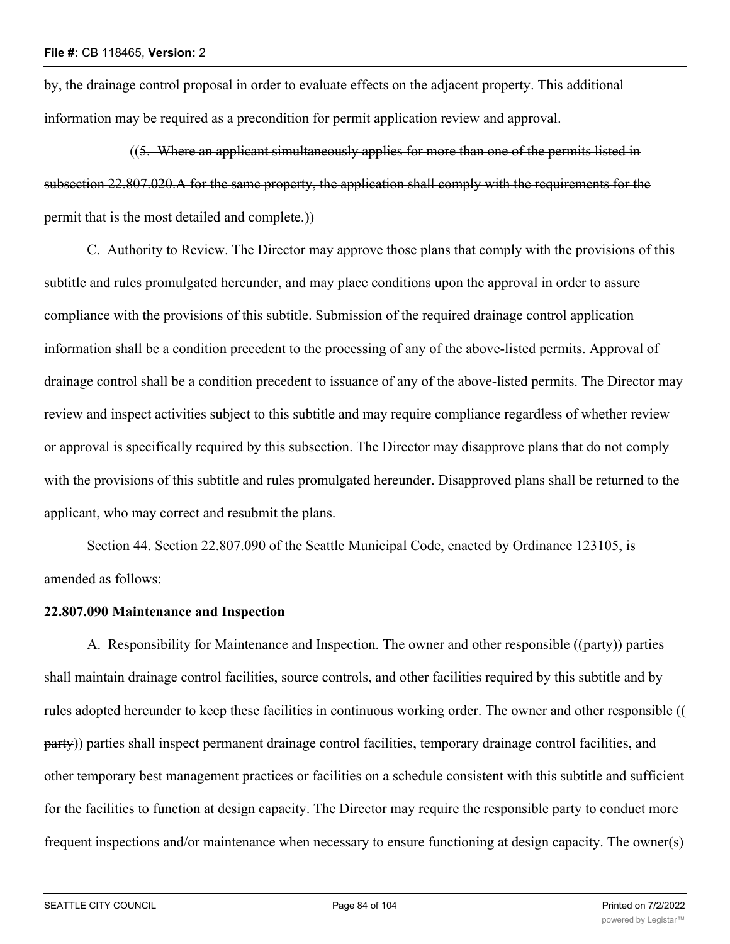by, the drainage control proposal in order to evaluate effects on the adjacent property. This additional information may be required as a precondition for permit application review and approval.

((5. Where an applicant simultaneously applies for more than one of the permits listed in subsection 22.807.020.A for the same property, the application shall comply with the requirements for the permit that is the most detailed and complete.))

C. Authority to Review. The Director may approve those plans that comply with the provisions of this subtitle and rules promulgated hereunder, and may place conditions upon the approval in order to assure compliance with the provisions of this subtitle. Submission of the required drainage control application information shall be a condition precedent to the processing of any of the above-listed permits. Approval of drainage control shall be a condition precedent to issuance of any of the above-listed permits. The Director may review and inspect activities subject to this subtitle and may require compliance regardless of whether review or approval is specifically required by this subsection. The Director may disapprove plans that do not comply with the provisions of this subtitle and rules promulgated hereunder. Disapproved plans shall be returned to the applicant, who may correct and resubmit the plans.

Section 44. Section 22.807.090 of the Seattle Municipal Code, enacted by Ordinance 123105, is amended as follows:

## **22.807.090 Maintenance and Inspection**

A. Responsibility for Maintenance and Inspection. The owner and other responsible ((party)) parties shall maintain drainage control facilities, source controls, and other facilities required by this subtitle and by rules adopted hereunder to keep these facilities in continuous working order. The owner and other responsible (( party)) parties shall inspect permanent drainage control facilities, temporary drainage control facilities, and other temporary best management practices or facilities on a schedule consistent with this subtitle and sufficient for the facilities to function at design capacity. The Director may require the responsible party to conduct more frequent inspections and/or maintenance when necessary to ensure functioning at design capacity. The owner(s)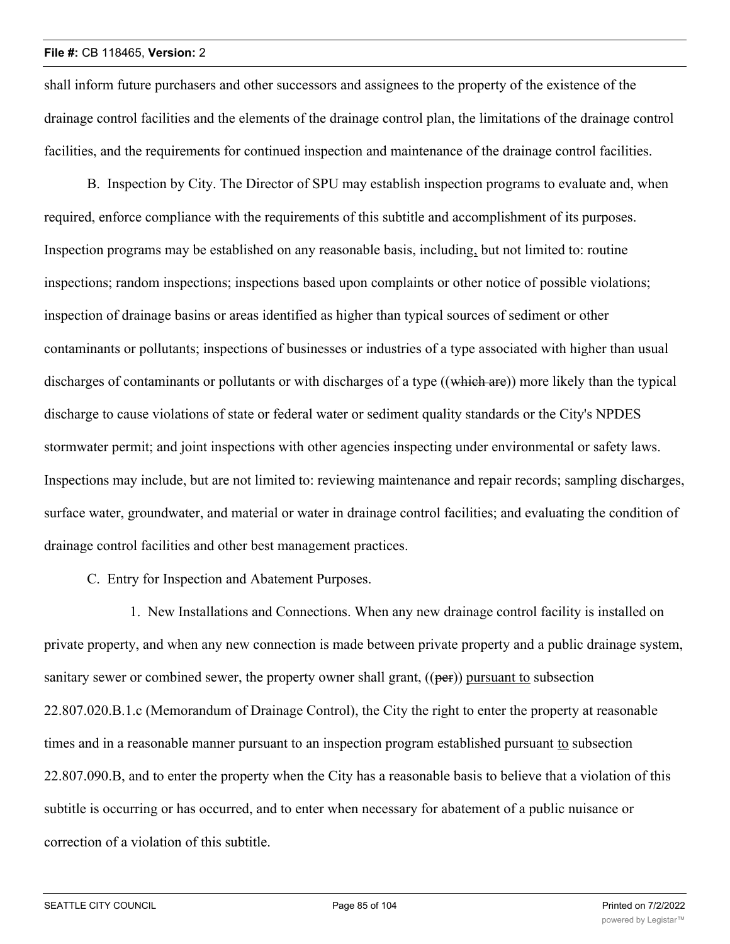shall inform future purchasers and other successors and assignees to the property of the existence of the drainage control facilities and the elements of the drainage control plan, the limitations of the drainage control facilities, and the requirements for continued inspection and maintenance of the drainage control facilities.

B. Inspection by City. The Director of SPU may establish inspection programs to evaluate and, when required, enforce compliance with the requirements of this subtitle and accomplishment of its purposes. Inspection programs may be established on any reasonable basis, including, but not limited to: routine inspections; random inspections; inspections based upon complaints or other notice of possible violations; inspection of drainage basins or areas identified as higher than typical sources of sediment or other contaminants or pollutants; inspections of businesses or industries of a type associated with higher than usual discharges of contaminants or pollutants or with discharges of a type ((which are)) more likely than the typical discharge to cause violations of state or federal water or sediment quality standards or the City's NPDES stormwater permit; and joint inspections with other agencies inspecting under environmental or safety laws. Inspections may include, but are not limited to: reviewing maintenance and repair records; sampling discharges, surface water, groundwater, and material or water in drainage control facilities; and evaluating the condition of drainage control facilities and other best management practices.

C. Entry for Inspection and Abatement Purposes.

1. New Installations and Connections. When any new drainage control facility is installed on private property, and when any new connection is made between private property and a public drainage system, sanitary sewer or combined sewer, the property owner shall grant,  $((per))$  pursuant to subsection 22.807.020.B.1.c (Memorandum of Drainage Control), the City the right to enter the property at reasonable times and in a reasonable manner pursuant to an inspection program established pursuant to subsection 22.807.090.B, and to enter the property when the City has a reasonable basis to believe that a violation of this subtitle is occurring or has occurred, and to enter when necessary for abatement of a public nuisance or correction of a violation of this subtitle.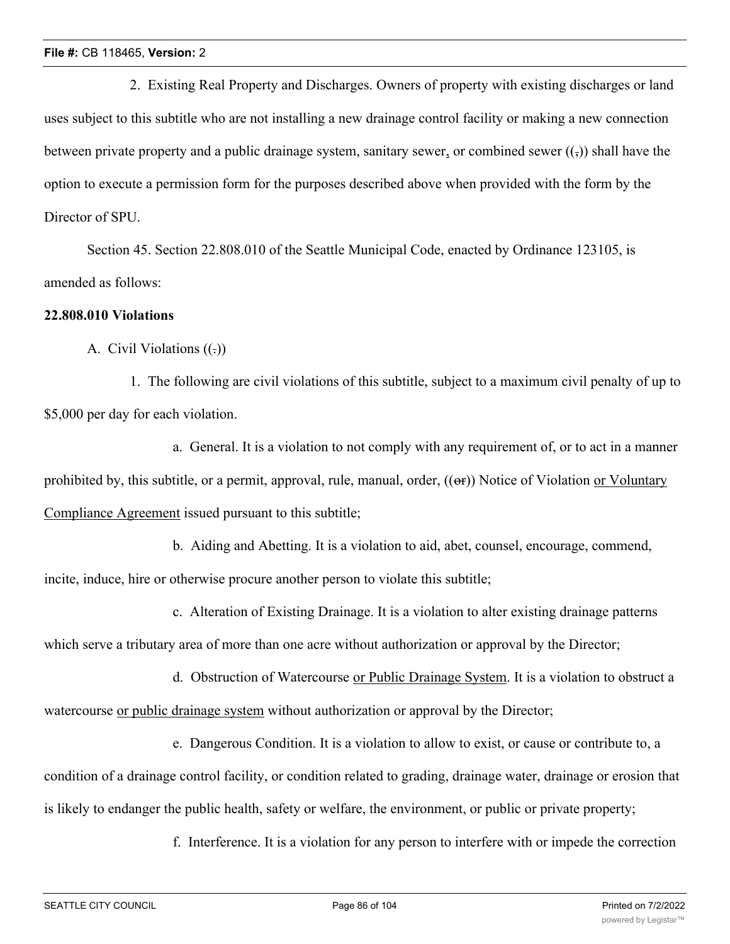2. Existing Real Property and Discharges. Owners of property with existing discharges or land uses subject to this subtitle who are not installing a new drainage control facility or making a new connection between private property and a public drainage system, sanitary sewer, or combined sewer  $(\cdot, \cdot)$ ) shall have the option to execute a permission form for the purposes described above when provided with the form by the Director of SPU.

Section 45. Section 22.808.010 of the Seattle Municipal Code, enacted by Ordinance 123105, is amended as follows:

# **22.808.010 Violations**

A. Civil Violations  $((.)$ 

1. The following are civil violations of this subtitle, subject to a maximum civil penalty of up to \$5,000 per day for each violation.

a. General. It is a violation to not comply with any requirement of, or to act in a manner prohibited by, this subtitle, or a permit, approval, rule, manual, order,  $((\Theta_F))$  Notice of Violation or Voluntary Compliance Agreement issued pursuant to this subtitle;

b. Aiding and Abetting. It is a violation to aid, abet, counsel, encourage, commend,

incite, induce, hire or otherwise procure another person to violate this subtitle;

c. Alteration of Existing Drainage. It is a violation to alter existing drainage patterns

which serve a tributary area of more than one acre without authorization or approval by the Director;

d. Obstruction of Watercourse or Public Drainage System. It is a violation to obstruct a watercourse or public drainage system without authorization or approval by the Director;

e. Dangerous Condition. It is a violation to allow to exist, or cause or contribute to, a

condition of a drainage control facility, or condition related to grading, drainage water, drainage or erosion that is likely to endanger the public health, safety or welfare, the environment, or public or private property;

f. Interference. It is a violation for any person to interfere with or impede the correction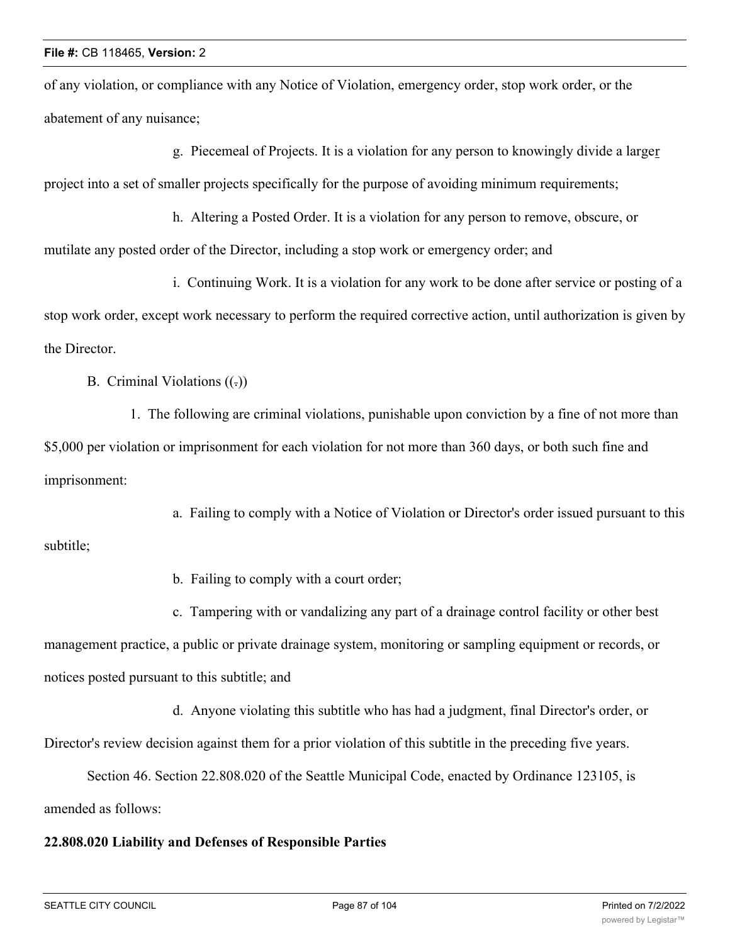of any violation, or compliance with any Notice of Violation, emergency order, stop work order, or the abatement of any nuisance;

g. Piecemeal of Projects. It is a violation for any person to knowingly divide a larger project into a set of smaller projects specifically for the purpose of avoiding minimum requirements;

h. Altering a Posted Order. It is a violation for any person to remove, obscure, or mutilate any posted order of the Director, including a stop work or emergency order; and

i. Continuing Work. It is a violation for any work to be done after service or posting of a stop work order, except work necessary to perform the required corrective action, until authorization is given by the Director.

B. Criminal Violations  $((.)$ 

1. The following are criminal violations, punishable upon conviction by a fine of not more than \$5,000 per violation or imprisonment for each violation for not more than 360 days, or both such fine and imprisonment:

a. Failing to comply with a Notice of Violation or Director's order issued pursuant to this subtitle;

b. Failing to comply with a court order;

c. Tampering with or vandalizing any part of a drainage control facility or other best management practice, a public or private drainage system, monitoring or sampling equipment or records, or notices posted pursuant to this subtitle; and

d. Anyone violating this subtitle who has had a judgment, final Director's order, or Director's review decision against them for a prior violation of this subtitle in the preceding five years.

Section 46. Section 22.808.020 of the Seattle Municipal Code, enacted by Ordinance 123105, is amended as follows:

## **22.808.020 Liability and Defenses of Responsible Parties**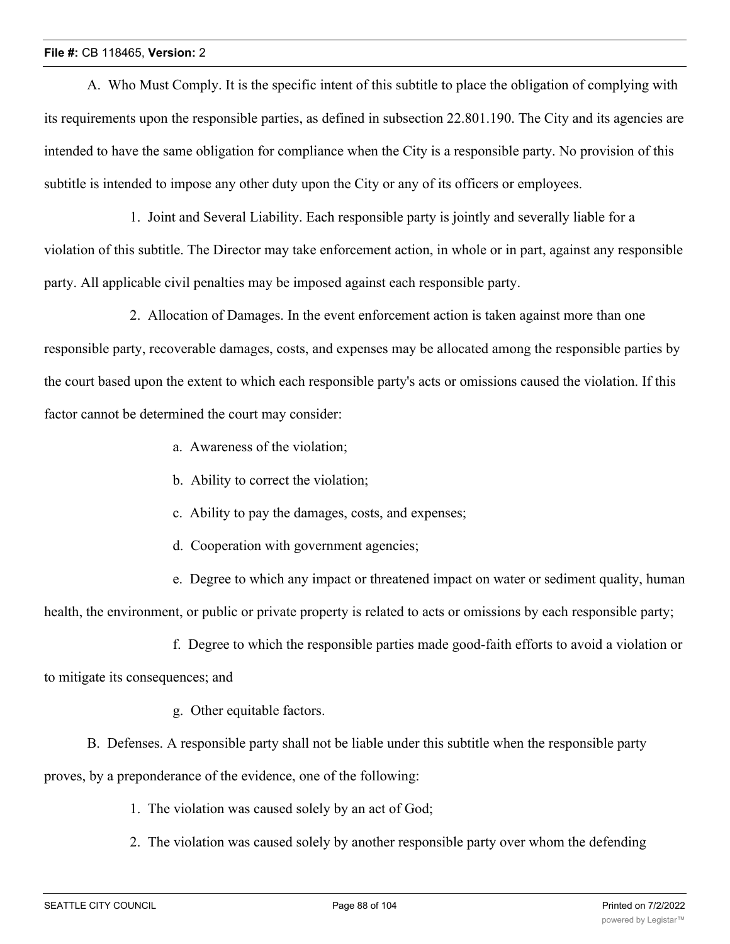A. Who Must Comply. It is the specific intent of this subtitle to place the obligation of complying with its requirements upon the responsible parties, as defined in subsection 22.801.190. The City and its agencies are intended to have the same obligation for compliance when the City is a responsible party. No provision of this subtitle is intended to impose any other duty upon the City or any of its officers or employees.

1. Joint and Several Liability. Each responsible party is jointly and severally liable for a violation of this subtitle. The Director may take enforcement action, in whole or in part, against any responsible party. All applicable civil penalties may be imposed against each responsible party.

2. Allocation of Damages. In the event enforcement action is taken against more than one responsible party, recoverable damages, costs, and expenses may be allocated among the responsible parties by the court based upon the extent to which each responsible party's acts or omissions caused the violation. If this factor cannot be determined the court may consider:

- a. Awareness of the violation;
- b. Ability to correct the violation;
- c. Ability to pay the damages, costs, and expenses;
- d. Cooperation with government agencies;
- e. Degree to which any impact or threatened impact on water or sediment quality, human

health, the environment, or public or private property is related to acts or omissions by each responsible party;

f. Degree to which the responsible parties made good-faith efforts to avoid a violation or

to mitigate its consequences; and

- g. Other equitable factors.
- B. Defenses. A responsible party shall not be liable under this subtitle when the responsible party

proves, by a preponderance of the evidence, one of the following:

- 1. The violation was caused solely by an act of God;
- 2. The violation was caused solely by another responsible party over whom the defending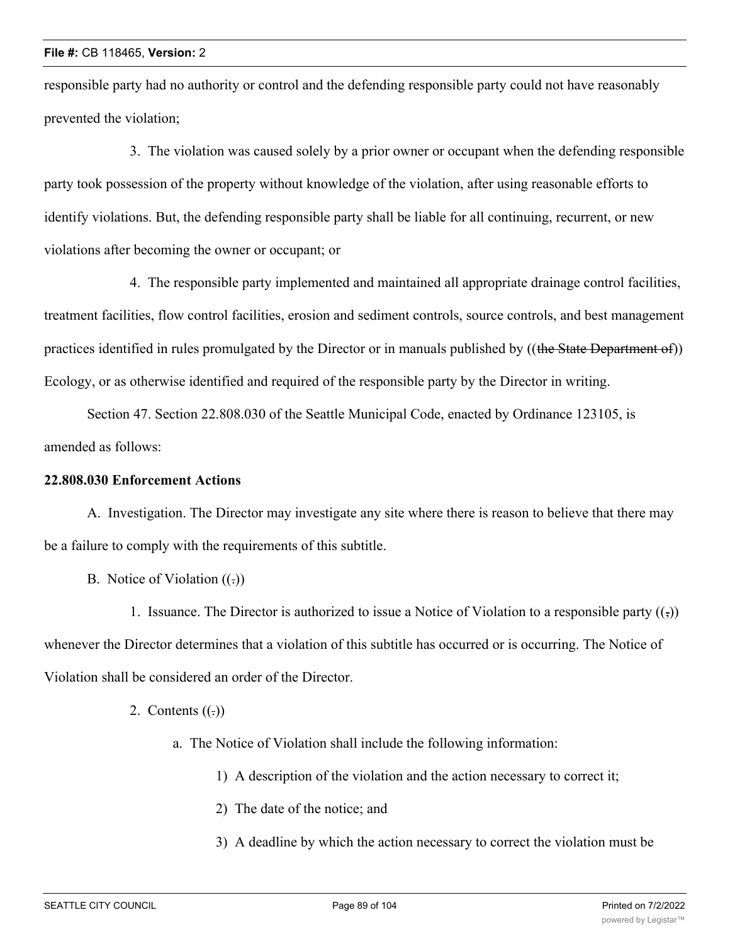responsible party had no authority or control and the defending responsible party could not have reasonably prevented the violation;

3. The violation was caused solely by a prior owner or occupant when the defending responsible party took possession of the property without knowledge of the violation, after using reasonable efforts to identify violations. But, the defending responsible party shall be liable for all continuing, recurrent, or new violations after becoming the owner or occupant; or

4. The responsible party implemented and maintained all appropriate drainage control facilities, treatment facilities, flow control facilities, erosion and sediment controls, source controls, and best management practices identified in rules promulgated by the Director or in manuals published by ((the State Department of)) Ecology, or as otherwise identified and required of the responsible party by the Director in writing.

Section 47. Section 22.808.030 of the Seattle Municipal Code, enacted by Ordinance 123105, is amended as follows:

# **22.808.030 Enforcement Actions**

A. Investigation. The Director may investigate any site where there is reason to believe that there may be a failure to comply with the requirements of this subtitle.

B. Notice of Violation  $((.)$ 

1. Issuance. The Director is authorized to issue a Notice of Violation to a responsible party  $(\cdot, \cdot)$ whenever the Director determines that a violation of this subtitle has occurred or is occurring. The Notice of Violation shall be considered an order of the Director.

- 2. Contents  $((.)$ 
	- a. The Notice of Violation shall include the following information:
		- 1) A description of the violation and the action necessary to correct it;
		- 2) The date of the notice; and
		- 3) A deadline by which the action necessary to correct the violation must be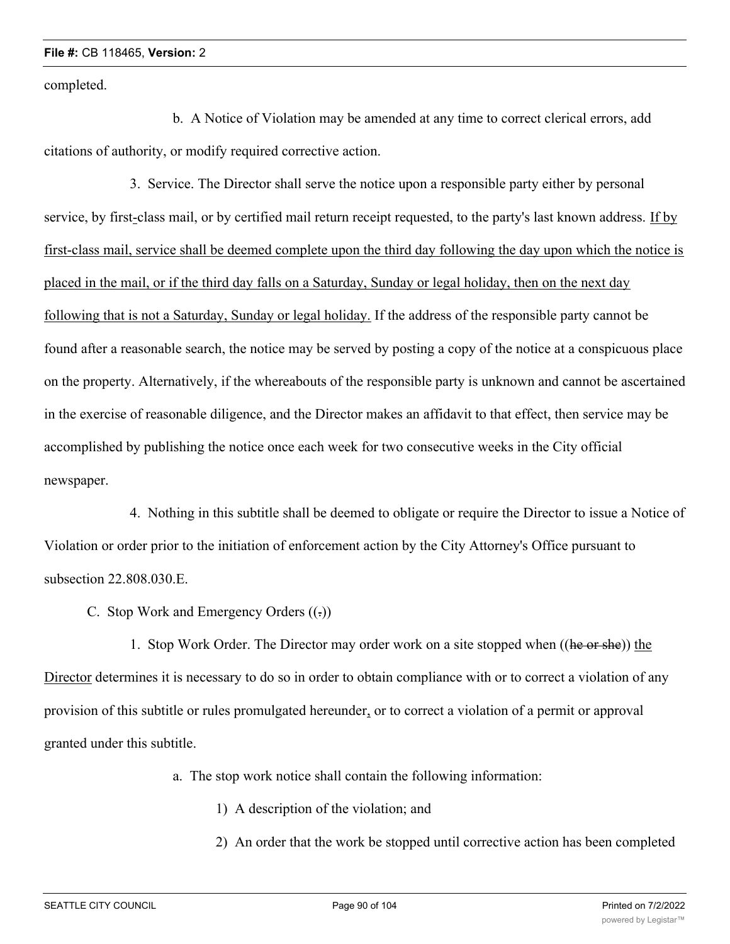completed.

b. A Notice of Violation may be amended at any time to correct clerical errors, add citations of authority, or modify required corrective action.

3. Service. The Director shall serve the notice upon a responsible party either by personal service, by first-class mail, or by certified mail return receipt requested, to the party's last known address. If by first-class mail, service shall be deemed complete upon the third day following the day upon which the notice is placed in the mail, or if the third day falls on a Saturday, Sunday or legal holiday, then on the next day following that is not a Saturday, Sunday or legal holiday. If the address of the responsible party cannot be found after a reasonable search, the notice may be served by posting a copy of the notice at a conspicuous place on the property. Alternatively, if the whereabouts of the responsible party is unknown and cannot be ascertained in the exercise of reasonable diligence, and the Director makes an affidavit to that effect, then service may be accomplished by publishing the notice once each week for two consecutive weeks in the City official newspaper.

4. Nothing in this subtitle shall be deemed to obligate or require the Director to issue a Notice of Violation or order prior to the initiation of enforcement action by the City Attorney's Office pursuant to subsection 22.808.030.E.

C. Stop Work and Emergency Orders  $((.)$ 

1. Stop Work Order. The Director may order work on a site stopped when ((he or she)) the Director determines it is necessary to do so in order to obtain compliance with or to correct a violation of any provision of this subtitle or rules promulgated hereunder, or to correct a violation of a permit or approval granted under this subtitle.

a. The stop work notice shall contain the following information:

- 1) A description of the violation; and
- 2) An order that the work be stopped until corrective action has been completed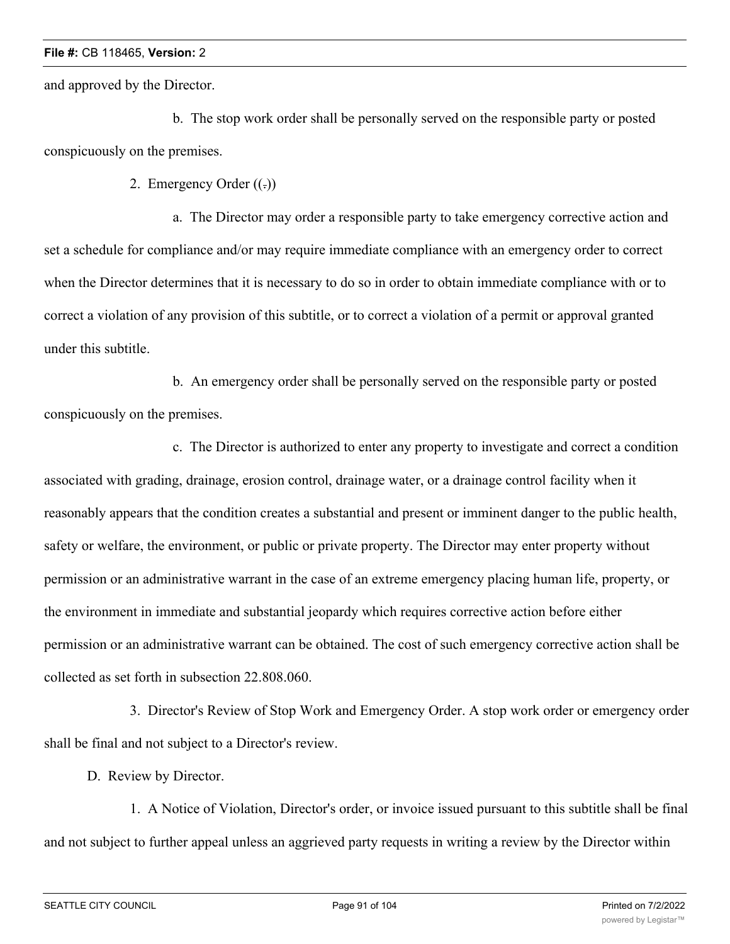and approved by the Director.

b. The stop work order shall be personally served on the responsible party or posted conspicuously on the premises.

2. Emergency Order  $((.)$ 

a. The Director may order a responsible party to take emergency corrective action and set a schedule for compliance and/or may require immediate compliance with an emergency order to correct when the Director determines that it is necessary to do so in order to obtain immediate compliance with or to correct a violation of any provision of this subtitle, or to correct a violation of a permit or approval granted under this subtitle.

b. An emergency order shall be personally served on the responsible party or posted conspicuously on the premises.

c. The Director is authorized to enter any property to investigate and correct a condition associated with grading, drainage, erosion control, drainage water, or a drainage control facility when it reasonably appears that the condition creates a substantial and present or imminent danger to the public health, safety or welfare, the environment, or public or private property. The Director may enter property without permission or an administrative warrant in the case of an extreme emergency placing human life, property, or the environment in immediate and substantial jeopardy which requires corrective action before either permission or an administrative warrant can be obtained. The cost of such emergency corrective action shall be collected as set forth in subsection 22.808.060.

3. Director's Review of Stop Work and Emergency Order. A stop work order or emergency order shall be final and not subject to a Director's review.

D. Review by Director.

1. A Notice of Violation, Director's order, or invoice issued pursuant to this subtitle shall be final and not subject to further appeal unless an aggrieved party requests in writing a review by the Director within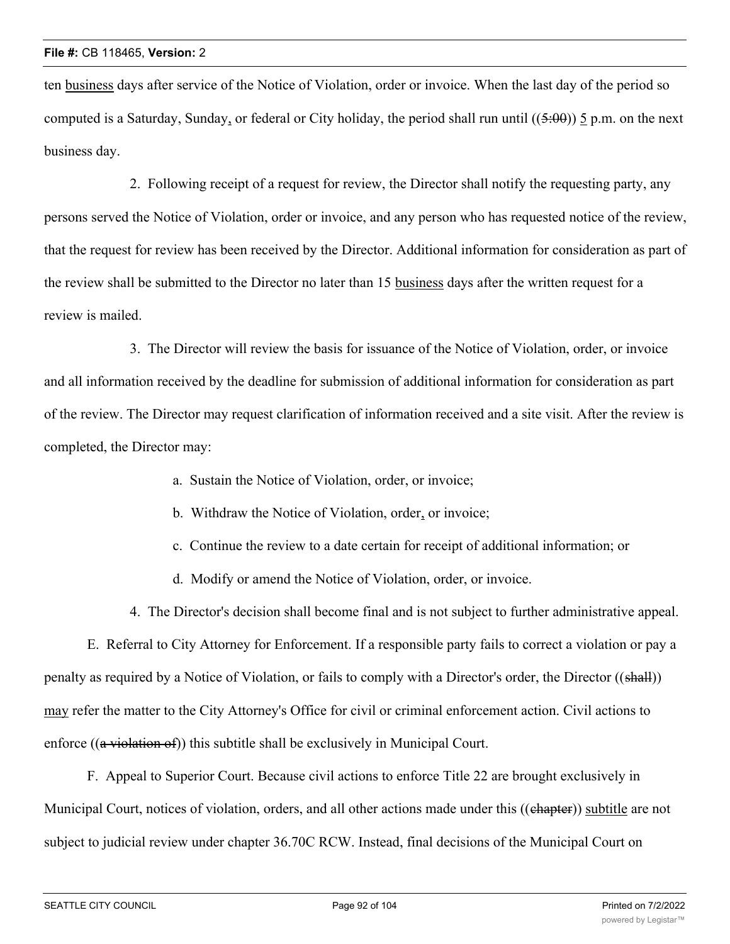ten business days after service of the Notice of Violation, order or invoice. When the last day of the period so computed is a Saturday, Sunday, or federal or City holiday, the period shall run until  $((5:00))$  5 p.m. on the next business day.

2. Following receipt of a request for review, the Director shall notify the requesting party, any persons served the Notice of Violation, order or invoice, and any person who has requested notice of the review, that the request for review has been received by the Director. Additional information for consideration as part of the review shall be submitted to the Director no later than 15 business days after the written request for a review is mailed.

3. The Director will review the basis for issuance of the Notice of Violation, order, or invoice and all information received by the deadline for submission of additional information for consideration as part of the review. The Director may request clarification of information received and a site visit. After the review is completed, the Director may:

- a. Sustain the Notice of Violation, order, or invoice;
- b. Withdraw the Notice of Violation, order, or invoice;
- c. Continue the review to a date certain for receipt of additional information; or
- d. Modify or amend the Notice of Violation, order, or invoice.

4. The Director's decision shall become final and is not subject to further administrative appeal.

E. Referral to City Attorney for Enforcement. If a responsible party fails to correct a violation or pay a penalty as required by a Notice of Violation, or fails to comply with a Director's order, the Director ((shall)) may refer the matter to the City Attorney's Office for civil or criminal enforcement action. Civil actions to enforce ((a violation of)) this subtitle shall be exclusively in Municipal Court.

F. Appeal to Superior Court. Because civil actions to enforce Title 22 are brought exclusively in Municipal Court, notices of violation, orders, and all other actions made under this ((chapter)) subtitle are not subject to judicial review under chapter 36.70C RCW. Instead, final decisions of the Municipal Court on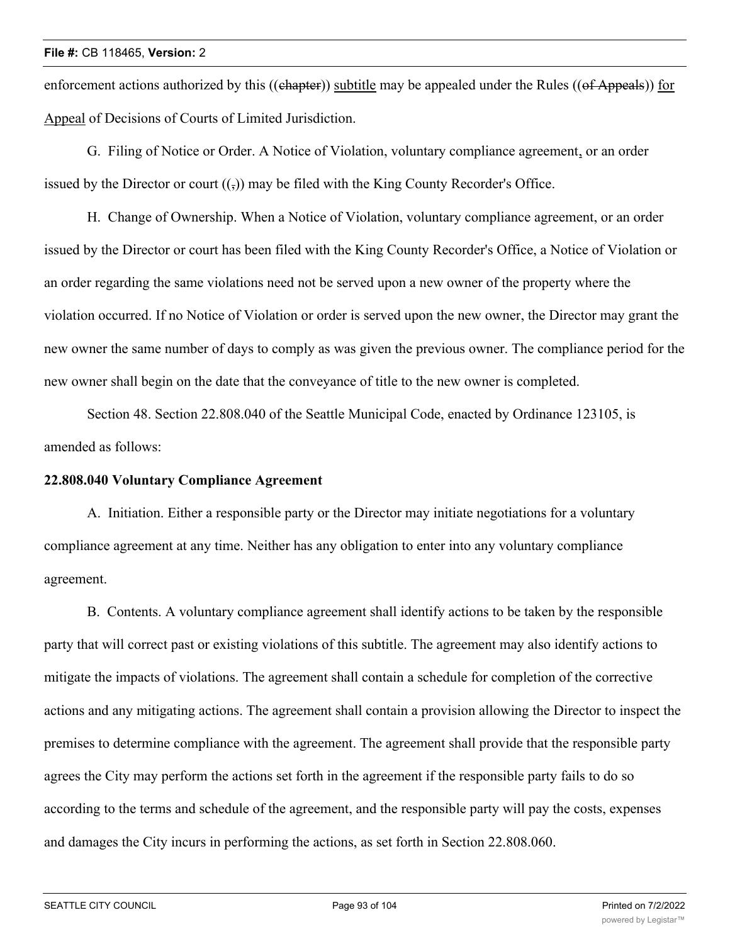enforcement actions authorized by this ((chapter)) subtitle may be appealed under the Rules ((of Appeals)) for Appeal of Decisions of Courts of Limited Jurisdiction.

G. Filing of Notice or Order. A Notice of Violation, voluntary compliance agreement, or an order issued by the Director or court  $((\cdot))$  may be filed with the King County Recorder's Office.

H. Change of Ownership. When a Notice of Violation, voluntary compliance agreement, or an order issued by the Director or court has been filed with the King County Recorder's Office, a Notice of Violation or an order regarding the same violations need not be served upon a new owner of the property where the violation occurred. If no Notice of Violation or order is served upon the new owner, the Director may grant the new owner the same number of days to comply as was given the previous owner. The compliance period for the new owner shall begin on the date that the conveyance of title to the new owner is completed.

Section 48. Section 22.808.040 of the Seattle Municipal Code, enacted by Ordinance 123105, is amended as follows:

# **22.808.040 Voluntary Compliance Agreement**

A. Initiation. Either a responsible party or the Director may initiate negotiations for a voluntary compliance agreement at any time. Neither has any obligation to enter into any voluntary compliance agreement.

B. Contents. A voluntary compliance agreement shall identify actions to be taken by the responsible party that will correct past or existing violations of this subtitle. The agreement may also identify actions to mitigate the impacts of violations. The agreement shall contain a schedule for completion of the corrective actions and any mitigating actions. The agreement shall contain a provision allowing the Director to inspect the premises to determine compliance with the agreement. The agreement shall provide that the responsible party agrees the City may perform the actions set forth in the agreement if the responsible party fails to do so according to the terms and schedule of the agreement, and the responsible party will pay the costs, expenses and damages the City incurs in performing the actions, as set forth in Section 22.808.060.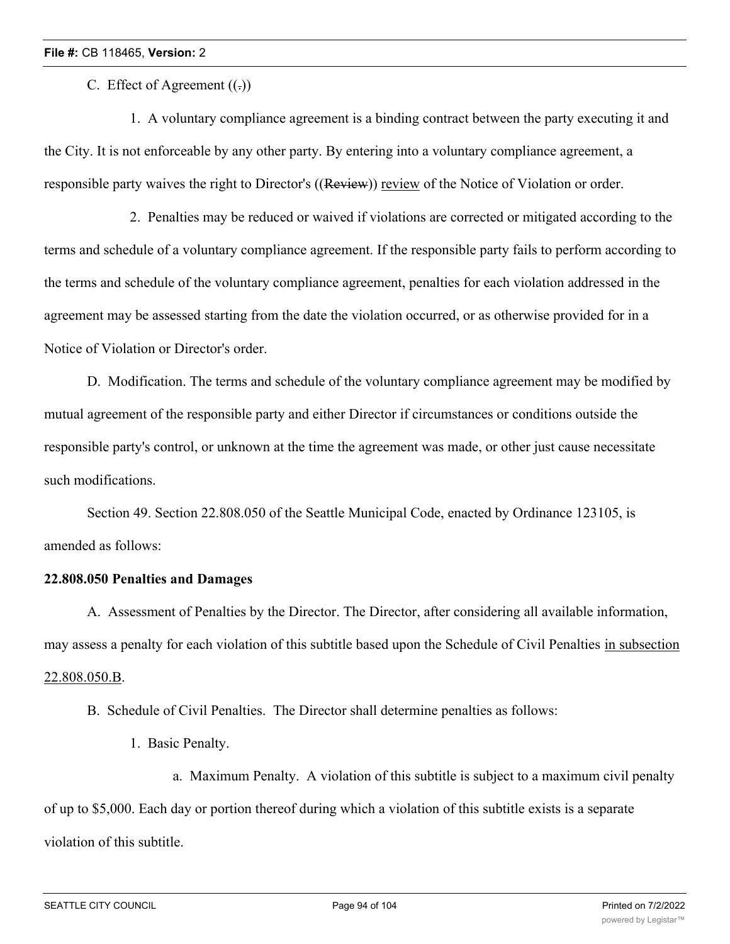C. Effect of Agreement  $((.)$ 

1. A voluntary compliance agreement is a binding contract between the party executing it and the City. It is not enforceable by any other party. By entering into a voluntary compliance agreement, a responsible party waives the right to Director's ((Review)) review of the Notice of Violation or order.

2. Penalties may be reduced or waived if violations are corrected or mitigated according to the terms and schedule of a voluntary compliance agreement. If the responsible party fails to perform according to the terms and schedule of the voluntary compliance agreement, penalties for each violation addressed in the agreement may be assessed starting from the date the violation occurred, or as otherwise provided for in a Notice of Violation or Director's order.

D. Modification. The terms and schedule of the voluntary compliance agreement may be modified by mutual agreement of the responsible party and either Director if circumstances or conditions outside the responsible party's control, or unknown at the time the agreement was made, or other just cause necessitate such modifications.

Section 49. Section 22.808.050 of the Seattle Municipal Code, enacted by Ordinance 123105, is amended as follows:

## **22.808.050 Penalties and Damages**

A. Assessment of Penalties by the Director. The Director, after considering all available information, may assess a penalty for each violation of this subtitle based upon the Schedule of Civil Penalties in subsection 22.808.050.B.

B. Schedule of Civil Penalties. The Director shall determine penalties as follows:

- 1. Basic Penalty.
	- a. Maximum Penalty. A violation of this subtitle is subject to a maximum civil penalty

of up to \$5,000. Each day or portion thereof during which a violation of this subtitle exists is a separate

violation of this subtitle.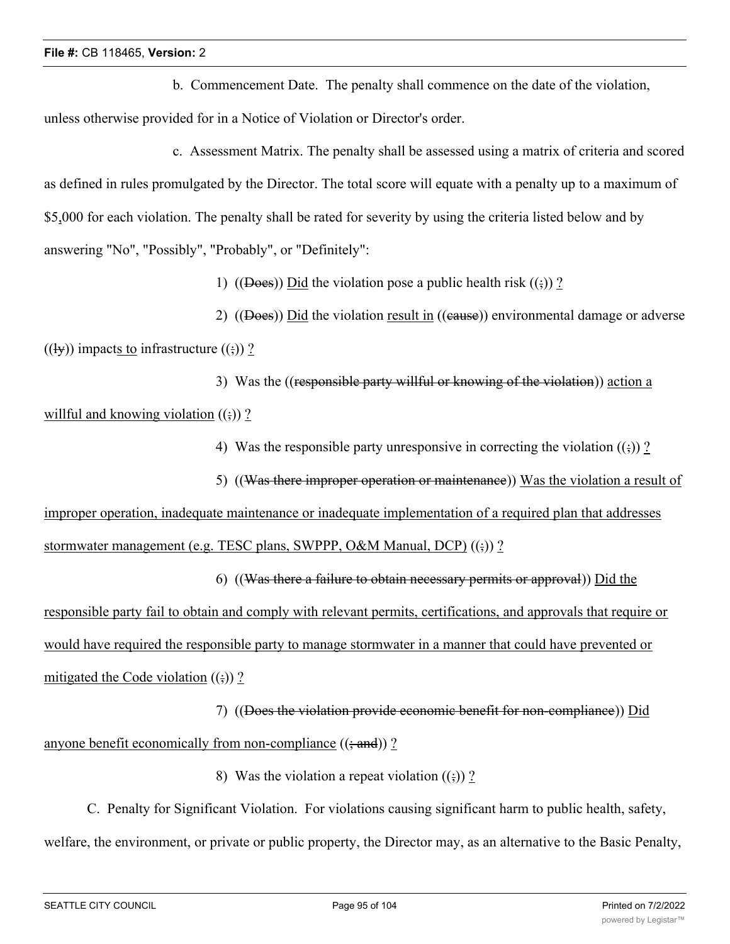b. Commencement Date. The penalty shall commence on the date of the violation, unless otherwise provided for in a Notice of Violation or Director's order.

c. Assessment Matrix. The penalty shall be assessed using a matrix of criteria and scored as defined in rules promulgated by the Director. The total score will equate with a penalty up to a maximum of \$5,000 for each violation. The penalty shall be rated for severity by using the criteria listed below and by answering "No", "Possibly", "Probably", or "Definitely":

1) ((Does)) Did the violation pose a public health risk  $(\frac{1}{2})$ ?

2) ((Does)) Did the violation result in ((cause)) environmental damage or adverse  $((\exists y))$  impacts to infrastructure  $((\exists y))$  ?

3) Was the ((responsible party willful or knowing of the violation)) action a willful and knowing violation  $((\frac{1}{2}))$ ?

4) Was the responsible party unresponsive in correcting the violation  $(\cdot; )$  ?

5) ((Was there improper operation or maintenance)) Was the violation a result of

improper operation, inadequate maintenance or inadequate implementation of a required plan that addresses stormwater management (e.g. TESC plans, SWPPP, O&M Manual, DCP)  $((\frac{1}{2}))$ ?

6) ((Was there a failure to obtain necessary permits or approval)) Did the responsible party fail to obtain and comply with relevant permits, certifications, and approvals that require or would have required the responsible party to manage stormwater in a manner that could have prevented or mitigated the Code violation  $((\frac{1}{2}))$ ?

7) ((Does the violation provide economic benefit for non-compliance)) Did anyone benefit economically from non-compliance  $((\frac{1}{2}and))$  ?

8) Was the violation a repeat violation  $((\frac{1}{2}))$ ?

C. Penalty for Significant Violation. For violations causing significant harm to public health, safety, welfare, the environment, or private or public property, the Director may, as an alternative to the Basic Penalty,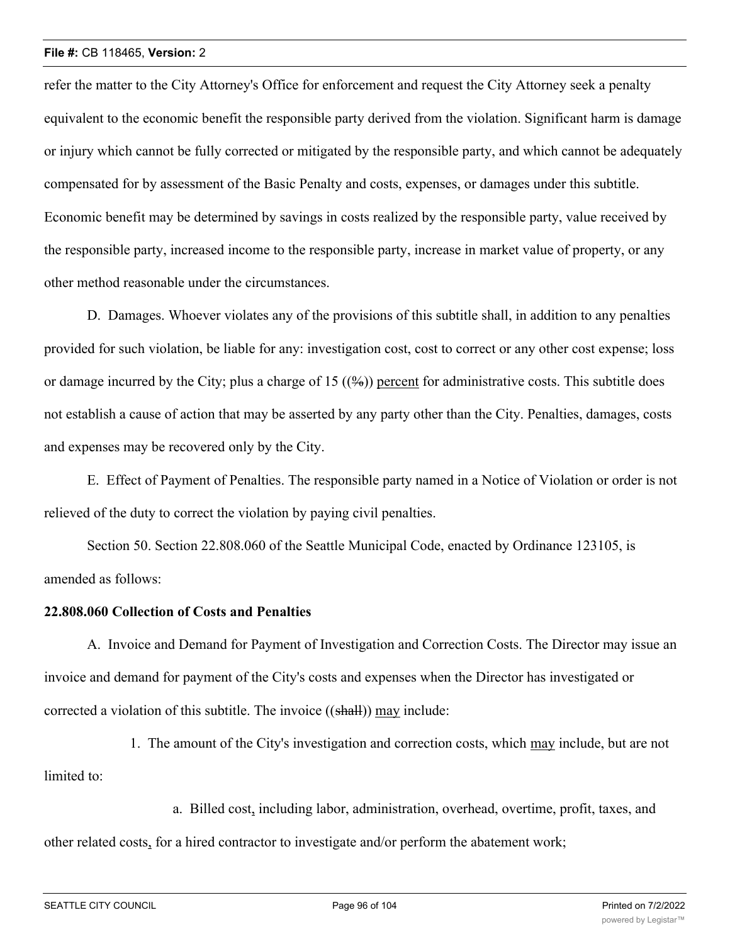refer the matter to the City Attorney's Office for enforcement and request the City Attorney seek a penalty equivalent to the economic benefit the responsible party derived from the violation. Significant harm is damage or injury which cannot be fully corrected or mitigated by the responsible party, and which cannot be adequately compensated for by assessment of the Basic Penalty and costs, expenses, or damages under this subtitle. Economic benefit may be determined by savings in costs realized by the responsible party, value received by the responsible party, increased income to the responsible party, increase in market value of property, or any other method reasonable under the circumstances.

D. Damages. Whoever violates any of the provisions of this subtitle shall, in addition to any penalties provided for such violation, be liable for any: investigation cost, cost to correct or any other cost expense; loss or damage incurred by the City; plus a charge of 15  $((\frac{9}{6}))$  percent for administrative costs. This subtitle does not establish a cause of action that may be asserted by any party other than the City. Penalties, damages, costs and expenses may be recovered only by the City.

E. Effect of Payment of Penalties. The responsible party named in a Notice of Violation or order is not relieved of the duty to correct the violation by paying civil penalties.

Section 50. Section 22.808.060 of the Seattle Municipal Code, enacted by Ordinance 123105, is amended as follows:

### **22.808.060 Collection of Costs and Penalties**

A. Invoice and Demand for Payment of Investigation and Correction Costs. The Director may issue an invoice and demand for payment of the City's costs and expenses when the Director has investigated or corrected a violation of this subtitle. The invoice ((shall)) may include:

1. The amount of the City's investigation and correction costs, which may include, but are not limited to:

a. Billed cost, including labor, administration, overhead, overtime, profit, taxes, and other related costs, for a hired contractor to investigate and/or perform the abatement work;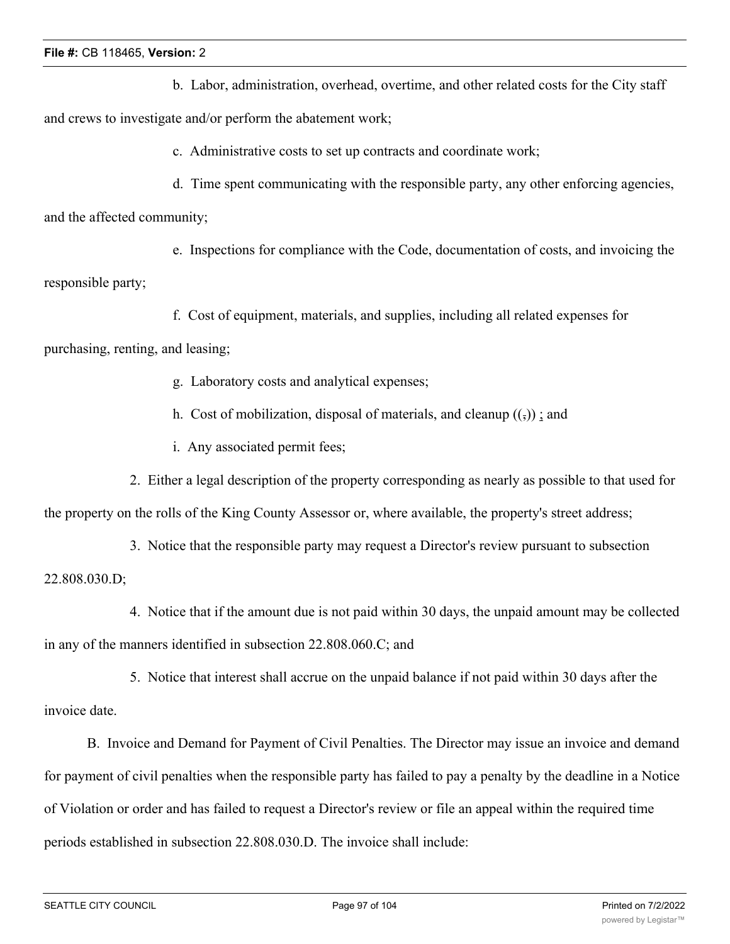b. Labor, administration, overhead, overtime, and other related costs for the City staff and crews to investigate and/or perform the abatement work;

c. Administrative costs to set up contracts and coordinate work;

d. Time spent communicating with the responsible party, any other enforcing agencies,

and the affected community;

e. Inspections for compliance with the Code, documentation of costs, and invoicing the responsible party;

f. Cost of equipment, materials, and supplies, including all related expenses for

purchasing, renting, and leasing;

g. Laboratory costs and analytical expenses;

h. Cost of mobilization, disposal of materials, and cleanup  $((\tau))$ ; and

- i. Any associated permit fees;
- 2. Either a legal description of the property corresponding as nearly as possible to that used for

the property on the rolls of the King County Assessor or, where available, the property's street address;

3. Notice that the responsible party may request a Director's review pursuant to subsection 22.808.030.D;

4. Notice that if the amount due is not paid within 30 days, the unpaid amount may be collected in any of the manners identified in subsection 22.808.060.C; and

5. Notice that interest shall accrue on the unpaid balance if not paid within 30 days after the invoice date.

B. Invoice and Demand for Payment of Civil Penalties. The Director may issue an invoice and demand for payment of civil penalties when the responsible party has failed to pay a penalty by the deadline in a Notice of Violation or order and has failed to request a Director's review or file an appeal within the required time periods established in subsection 22.808.030.D. The invoice shall include: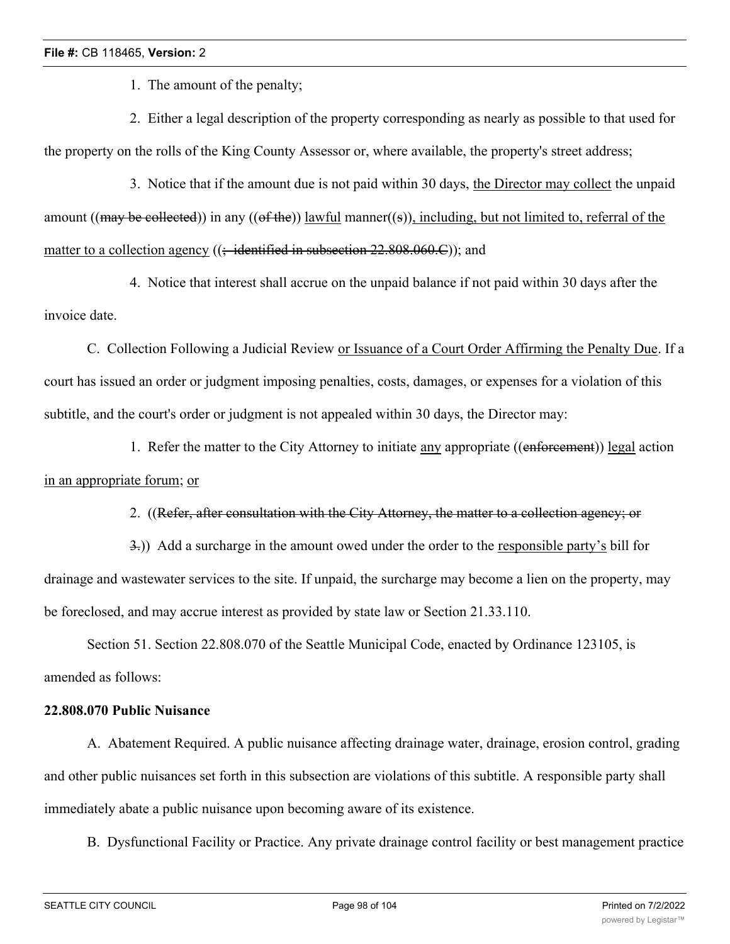1. The amount of the penalty;

2. Either a legal description of the property corresponding as nearly as possible to that used for the property on the rolls of the King County Assessor or, where available, the property's street address;

3. Notice that if the amount due is not paid within 30 days, the Director may collect the unpaid amount ((may be collected)) in any ((of the)) lawful manner((s)), including, but not limited to, referral of the matter to a collection agency  $((\div \text{identified in subsection 22.808.060.C}));$  and

4. Notice that interest shall accrue on the unpaid balance if not paid within 30 days after the invoice date.

C. Collection Following a Judicial Review or Issuance of a Court Order Affirming the Penalty Due. If a court has issued an order or judgment imposing penalties, costs, damages, or expenses for a violation of this subtitle, and the court's order or judgment is not appealed within 30 days, the Director may:

1. Refer the matter to the City Attorney to initiate any appropriate ((enforcement)) legal action in an appropriate forum; or

# 2. ((Refer, after consultation with the City Attorney, the matter to a collection agency; or

3.)) Add a surcharge in the amount owed under the order to the responsible party's bill for drainage and wastewater services to the site. If unpaid, the surcharge may become a lien on the property, may be foreclosed, and may accrue interest as provided by state law or Section 21.33.110.

Section 51. Section 22.808.070 of the Seattle Municipal Code, enacted by Ordinance 123105, is amended as follows:

# **22.808.070 Public Nuisance**

A. Abatement Required. A public nuisance affecting drainage water, drainage, erosion control, grading and other public nuisances set forth in this subsection are violations of this subtitle. A responsible party shall immediately abate a public nuisance upon becoming aware of its existence.

B. Dysfunctional Facility or Practice. Any private drainage control facility or best management practice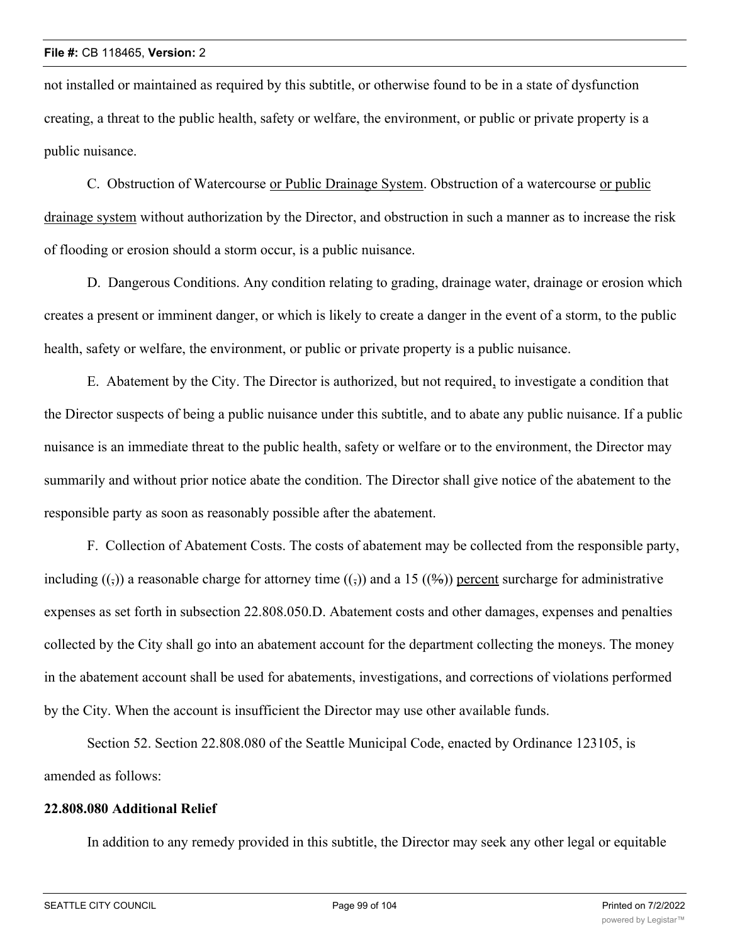not installed or maintained as required by this subtitle, or otherwise found to be in a state of dysfunction creating, a threat to the public health, safety or welfare, the environment, or public or private property is a public nuisance.

C. Obstruction of Watercourse or Public Drainage System. Obstruction of a watercourse or public drainage system without authorization by the Director, and obstruction in such a manner as to increase the risk of flooding or erosion should a storm occur, is a public nuisance.

D. Dangerous Conditions. Any condition relating to grading, drainage water, drainage or erosion which creates a present or imminent danger, or which is likely to create a danger in the event of a storm, to the public health, safety or welfare, the environment, or public or private property is a public nuisance.

E. Abatement by the City. The Director is authorized, but not required, to investigate a condition that the Director suspects of being a public nuisance under this subtitle, and to abate any public nuisance. If a public nuisance is an immediate threat to the public health, safety or welfare or to the environment, the Director may summarily and without prior notice abate the condition. The Director shall give notice of the abatement to the responsible party as soon as reasonably possible after the abatement.

F. Collection of Abatement Costs. The costs of abatement may be collected from the responsible party, including  $(\cdot, \cdot)$  a reasonable charge for attorney time  $(\cdot, \cdot)$  and a 15 ( $(\frac{6}{2})$ ) percent surcharge for administrative expenses as set forth in subsection 22.808.050.D. Abatement costs and other damages, expenses and penalties collected by the City shall go into an abatement account for the department collecting the moneys. The money in the abatement account shall be used for abatements, investigations, and corrections of violations performed by the City. When the account is insufficient the Director may use other available funds.

Section 52. Section 22.808.080 of the Seattle Municipal Code, enacted by Ordinance 123105, is amended as follows:

### **22.808.080 Additional Relief**

In addition to any remedy provided in this subtitle, the Director may seek any other legal or equitable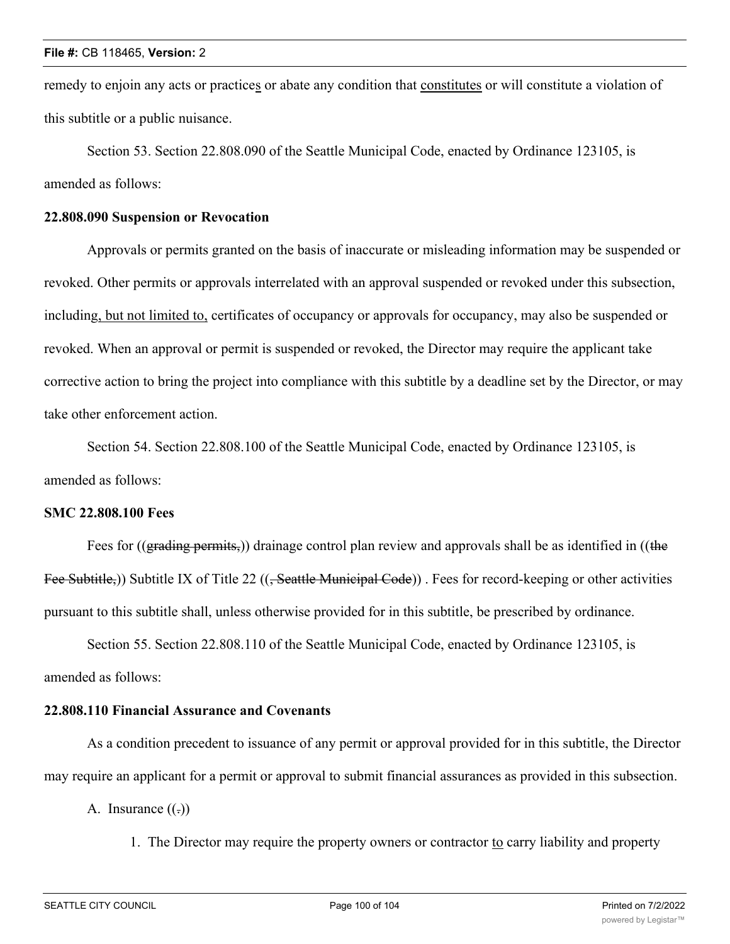remedy to enjoin any acts or practices or abate any condition that constitutes or will constitute a violation of this subtitle or a public nuisance.

Section 53. Section 22.808.090 of the Seattle Municipal Code, enacted by Ordinance 123105, is amended as follows:

## **22.808.090 Suspension or Revocation**

Approvals or permits granted on the basis of inaccurate or misleading information may be suspended or revoked. Other permits or approvals interrelated with an approval suspended or revoked under this subsection, including, but not limited to, certificates of occupancy or approvals for occupancy, may also be suspended or revoked. When an approval or permit is suspended or revoked, the Director may require the applicant take corrective action to bring the project into compliance with this subtitle by a deadline set by the Director, or may take other enforcement action.

Section 54. Section 22.808.100 of the Seattle Municipal Code, enacted by Ordinance 123105, is amended as follows:

### **SMC 22.808.100 Fees**

Fees for ((grading permits,)) drainage control plan review and approvals shall be as identified in ((the Fee Subtitle,)) Subtitle IX of Title 22 ((<del>, Seattle Municipal Code</del>)). Fees for record-keeping or other activities pursuant to this subtitle shall, unless otherwise provided for in this subtitle, be prescribed by ordinance.

Section 55. Section 22.808.110 of the Seattle Municipal Code, enacted by Ordinance 123105, is amended as follows:

## **22.808.110 Financial Assurance and Covenants**

As a condition precedent to issuance of any permit or approval provided for in this subtitle, the Director may require an applicant for a permit or approval to submit financial assurances as provided in this subsection.

A. Insurance  $((.)$ 

1. The Director may require the property owners or contractor to carry liability and property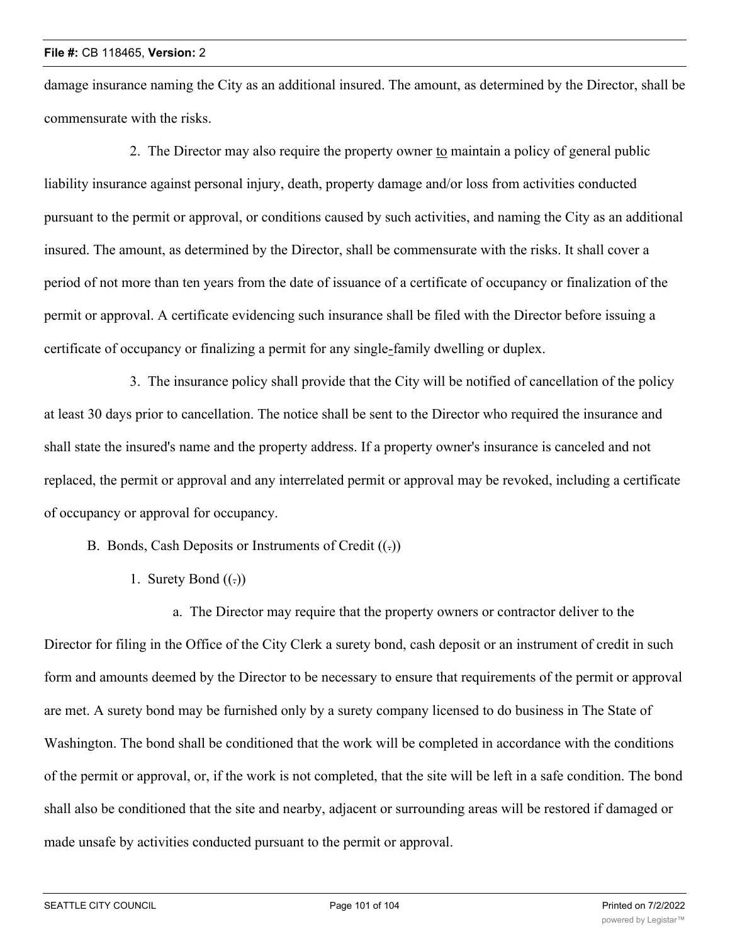damage insurance naming the City as an additional insured. The amount, as determined by the Director, shall be commensurate with the risks.

2. The Director may also require the property owner to maintain a policy of general public liability insurance against personal injury, death, property damage and/or loss from activities conducted pursuant to the permit or approval, or conditions caused by such activities, and naming the City as an additional insured. The amount, as determined by the Director, shall be commensurate with the risks. It shall cover a period of not more than ten years from the date of issuance of a certificate of occupancy or finalization of the permit or approval. A certificate evidencing such insurance shall be filed with the Director before issuing a certificate of occupancy or finalizing a permit for any single-family dwelling or duplex.

3. The insurance policy shall provide that the City will be notified of cancellation of the policy at least 30 days prior to cancellation. The notice shall be sent to the Director who required the insurance and shall state the insured's name and the property address. If a property owner's insurance is canceled and not replaced, the permit or approval and any interrelated permit or approval may be revoked, including a certificate of occupancy or approval for occupancy.

B. Bonds, Cash Deposits or Instruments of Credit  $((.)$ 

1. Surety Bond  $((.)$ 

a. The Director may require that the property owners or contractor deliver to the Director for filing in the Office of the City Clerk a surety bond, cash deposit or an instrument of credit in such form and amounts deemed by the Director to be necessary to ensure that requirements of the permit or approval are met. A surety bond may be furnished only by a surety company licensed to do business in The State of Washington. The bond shall be conditioned that the work will be completed in accordance with the conditions of the permit or approval, or, if the work is not completed, that the site will be left in a safe condition. The bond shall also be conditioned that the site and nearby, adjacent or surrounding areas will be restored if damaged or made unsafe by activities conducted pursuant to the permit or approval.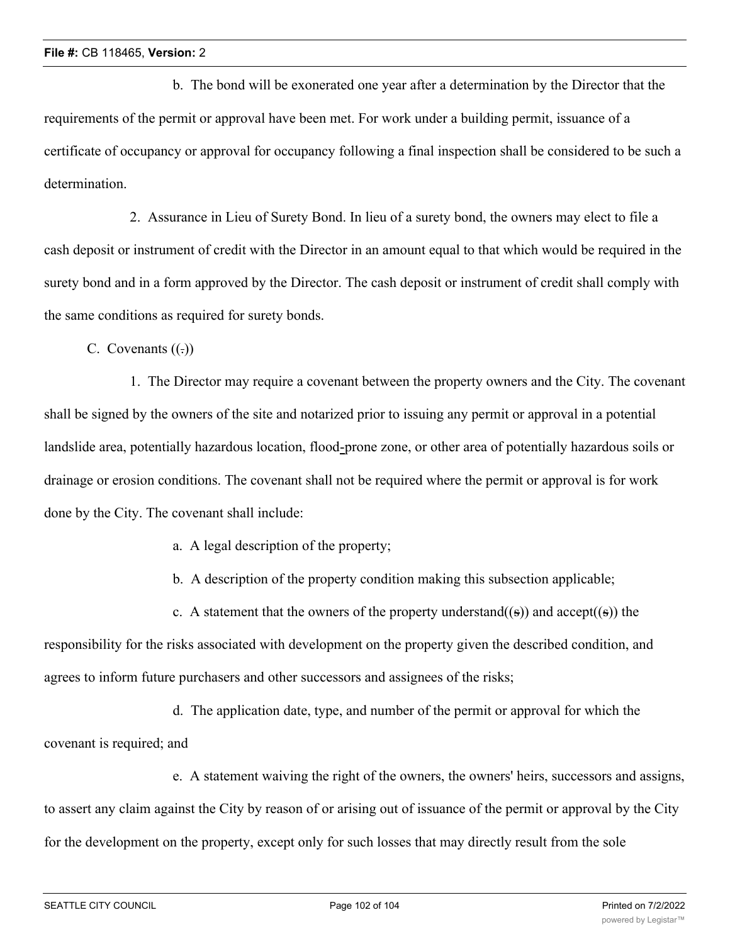b. The bond will be exonerated one year after a determination by the Director that the requirements of the permit or approval have been met. For work under a building permit, issuance of a certificate of occupancy or approval for occupancy following a final inspection shall be considered to be such a determination.

2. Assurance in Lieu of Surety Bond. In lieu of a surety bond, the owners may elect to file a cash deposit or instrument of credit with the Director in an amount equal to that which would be required in the surety bond and in a form approved by the Director. The cash deposit or instrument of credit shall comply with the same conditions as required for surety bonds.

C. Covenants  $((.)$ 

1. The Director may require a covenant between the property owners and the City. The covenant shall be signed by the owners of the site and notarized prior to issuing any permit or approval in a potential landslide area, potentially hazardous location, flood-prone zone, or other area of potentially hazardous soils or drainage or erosion conditions. The covenant shall not be required where the permit or approval is for work done by the City. The covenant shall include:

a. A legal description of the property;

b. A description of the property condition making this subsection applicable;

c. A statement that the owners of the property understand((s)) and accept((s)) the

responsibility for the risks associated with development on the property given the described condition, and agrees to inform future purchasers and other successors and assignees of the risks;

d. The application date, type, and number of the permit or approval for which the covenant is required; and

e. A statement waiving the right of the owners, the owners' heirs, successors and assigns, to assert any claim against the City by reason of or arising out of issuance of the permit or approval by the City for the development on the property, except only for such losses that may directly result from the sole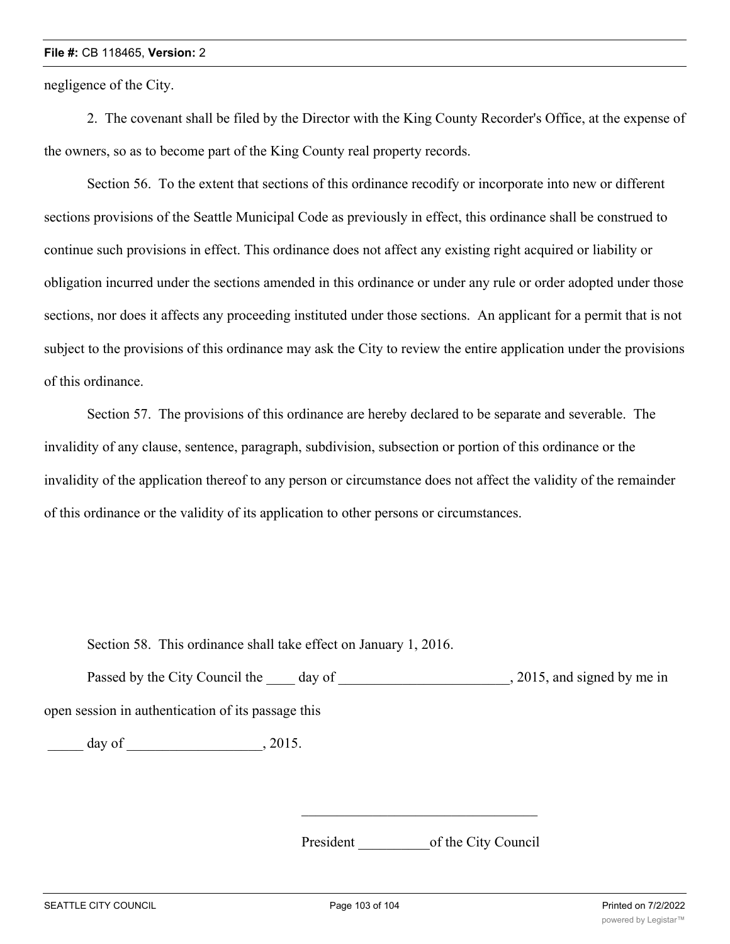negligence of the City.

2. The covenant shall be filed by the Director with the King County Recorder's Office, at the expense of the owners, so as to become part of the King County real property records.

Section 56. To the extent that sections of this ordinance recodify or incorporate into new or different sections provisions of the Seattle Municipal Code as previously in effect, this ordinance shall be construed to continue such provisions in effect. This ordinance does not affect any existing right acquired or liability or obligation incurred under the sections amended in this ordinance or under any rule or order adopted under those sections, nor does it affects any proceeding instituted under those sections. An applicant for a permit that is not subject to the provisions of this ordinance may ask the City to review the entire application under the provisions of this ordinance.

Section 57. The provisions of this ordinance are hereby declared to be separate and severable. The invalidity of any clause, sentence, paragraph, subdivision, subsection or portion of this ordinance or the invalidity of the application thereof to any person or circumstance does not affect the validity of the remainder of this ordinance or the validity of its application to other persons or circumstances.

Section 58. This ordinance shall take effect on January 1, 2016.

Passed by the City Council the day of the case of the council the day of the case of the case of the council the day of the case of the case of the case of the case of the case of the case of the case of the case of the ca open session in authentication of its passage this

\_\_\_\_\_ day of \_\_\_\_\_\_\_\_\_\_\_\_\_\_\_\_\_\_\_, 2015.

President of the City Council